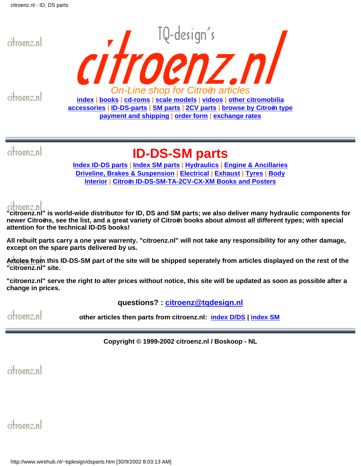<span id="page-0-0"></span>

citroenz.nl

citroenz.nl

### **ID-DS-SM parts**

**[Index ID-DS parts](#page-0-0) | [Index SM parts](#page-20-0) | [Hydraulics](#page-46-0) | [Engine & Ancillaries](#page-52-0) [Driveline, Brakes & Suspension](#page-57-0) | [Electrical](#page-60-0) | [Exhaust](#page-63-0) | [Tyres](#page-65-0) | [Body](#page-66-0) [Interior](#page-73-0) | [Citroën ID-DS-SM-TA-2CV-CX-XM Books and Posters](#page-75-0)**

**"citroenz.nl" is world-wide distributor for ID, DS and SM parts; we also deliver many hydraulic components for newer Citroëns, see the list, and a great variety of Citroën books about almost all different types; with special attention for the technical ID-DS books!** 

**All rebuilt parts carry a one year warrenty. "citroenz.nl" will not take any responsibility for any other damage, except on the spare parts delivered by us.**

**Artcles from this ID-DS-SM part of the site will be shipped seperately from articles displayed on the rest of the "citroenz.nl" site.**

**"citroenz.nl" serve the right to alter prices without notice, this site will be updated as soon as possible after a change in prices.**

#### **questions? : [citroenz@tqdesign.nl](mailto:citroenz@tqdesign.nl)**

menz nl **other articles then parts from citroenz.nl: [index D/DS](#page-80-0) | [index SM](#page-83-0)**

**Copyright © 1999-2002 citroenz.nl / Boskoop - NL**

citroenz.nl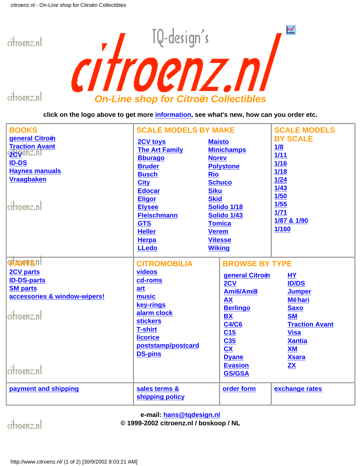<span id="page-1-0"></span>

**click on the logo above to get more [information](http://www.wirehub.nl/~tqdesign/citromobilia.htm), see what's new, how can you order etc.**

| <b>BOOKS</b>                                                                                                                              | <b>SCALE MODELS BY MAKE</b>                                                                                                                                                                                                                        |                                                                                                                                                                                                                                       | <b>SCALE MODELS</b>                                                                                                                                                                 |
|-------------------------------------------------------------------------------------------------------------------------------------------|----------------------------------------------------------------------------------------------------------------------------------------------------------------------------------------------------------------------------------------------------|---------------------------------------------------------------------------------------------------------------------------------------------------------------------------------------------------------------------------------------|-------------------------------------------------------------------------------------------------------------------------------------------------------------------------------------|
| general Citroën<br><b>Traction Avant</b><br>2CVGNZ.NI<br><b>ID-DS</b><br><b>Haynes manuals</b><br><b>Vraagbaken</b><br>citroenz.nl        | <b>2CV toys</b><br><b>The Art Family</b><br><b>Bburago</b><br><b>Bruder</b><br><b>Busch</b><br><b>City</b><br><b>Edocar</b><br><b>Eligor</b><br><b>Elysee</b><br><b>Fleischmann</b><br><b>GTS</b><br><b>Heller</b><br><b>Herpa</b><br><b>LLedo</b> | <b>Maisto</b><br><b>Minichamps</b><br><b>Norev</b><br><b>Polystone</b><br><b>Rio</b><br><b>Schuco</b><br><b>Siku</b><br><b>Skid</b><br>Solido 1/18<br>Solido 1/43<br><b>Tomica</b><br><b>Verem</b><br><b>Vitesse</b><br><b>Wiking</b> | <b>BY SCALE</b><br>1/8<br>$1/11$<br>1/16<br>1/18<br>$1/24$<br>$1/43$<br>1/50<br>1/55<br>$1/71$<br>1/87 & 1/90<br>1/160                                                              |
| <b>PARTSII</b><br><b>2CV parts</b><br><b>ID-DS-parts</b><br><b>SM parts</b><br>accessories & window-wipers!<br>citroenz.nl<br>citroenz.nl | <b>CITROMOBILIA</b><br>videos<br>cd-roms<br>art<br>music<br>key-rings<br>alarm clock<br><b>stickers</b><br><b>T-shirt</b><br><b>licorice</b><br>poststamp/postcard<br><b>DS-pins</b>                                                               | <b>BROWSE BY TYPE</b><br>general Citroën<br>2CV<br>Ami6/Ami8<br><b>AX</b><br><b>Berlingo</b><br><b>BX</b><br><b>C4/C6</b><br>C <sub>15</sub><br>C35<br><b>CX</b><br><b>Dyane</b><br><b>Evasion</b><br><b>GS/GSA</b>                   | <b>HY</b><br><b>ID/DS</b><br><b>Jumper</b><br><b>Méhari</b><br><b>Saxo</b><br><b>SM</b><br><b>Traction Avant</b><br><b>Visa</b><br><b>Xantia</b><br>XM<br><b>Xsara</b><br><b>ZX</b> |
| payment and shipping                                                                                                                      | sales terms &<br>shipping policy                                                                                                                                                                                                                   | order form                                                                                                                                                                                                                            | exchange rates                                                                                                                                                                      |

**e-mail: [hans@tqdesign.nl](mailto:hans@tqdesign.nl)**

citroenz.nl

#### **© 1999-2002 citroenz.nl / boskoop / NL**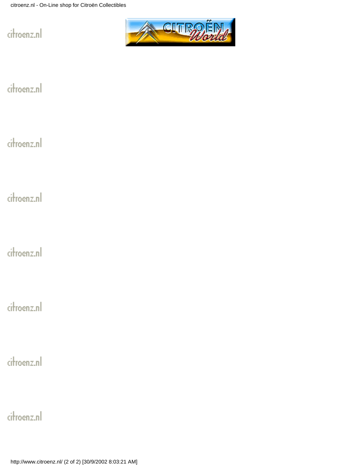

citroenz.nl

citroenz.nl

citroenz.nl

citroenz.nl

citroenz.nl

citroenz.nl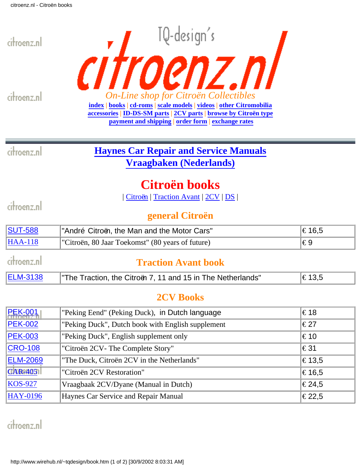<span id="page-3-0"></span>

### $\overline{\text{SUT-588}}$  $\overline{\text{SUT-588}}$  $\overline{\text{SUT-588}}$  | "André Citroën, the Man and the Motor Cars"  $\ket{\infty}$  16,5  $HAA-118$  "Citroën, 80 Jaar Toekomst" (80 years of future)  $\epsilon$ 9 citroenz.nl **Traction Avant book** [ELM-3138](http://www.wirehub.nl/~tqdesign/book-traction.htm)  $\blacksquare$  The Traction, the Citroën 7, 11 and 15 in The Netherlands"  $\blacksquare$   $\in$ 13,5

### **2CV Books**

| <b>PEK-001</b>  | "Peking Eend" (Peking Duck), in Dutch language    | €18              |
|-----------------|---------------------------------------------------|------------------|
| <b>PEK-002</b>  | "Peking Duck", Dutch book with English supplement | €27              |
| <b>PEK-003</b>  | "Peking Duck", English supplement only            | €10              |
| <b>CRO-108</b>  | "Citroën 2CV- The Complete Story"                 | €31              |
| <b>ELM-2069</b> | "The Duck, Citroën 2CV in the Netherlands"        | $\epsilon$ 13,5  |
| $CAR-4051$      | "Citroën 2CV Restoration"                         | $\epsilon$ 16.5  |
| $KOS-927$       | Vraagbaak 2CV/Dyane (Manual in Dutch)             | $ \epsilon$ 24,5 |
| <b>HAY-0196</b> | Haynes Car Service and Repair Manual              | €22,5            |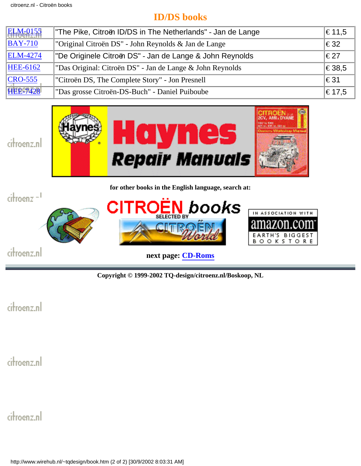### **ID/DS books**

| <b>ELM-0155</b> | "The Pike, Citroën ID/DS in The Netherlands" - Jan de Lange | $ \epsilon$ 11,5 |
|-----------------|-------------------------------------------------------------|------------------|
| <b>BAY-710</b>  | "Original Citroën DS" - John Reynolds & Jan de Lange        | €32              |
| <b>ELM-4274</b> | "De Originele Citroën DS" - Jan de Lange & John Reynolds    | ∣€27             |
| <b>HEE-6162</b> | "Das Original: Citroën DS" - Jan de Lange & John Reynolds   | €38,5            |
| $CRO-555$       | "Citroën DS, The Complete Story" - Jon Presnell             | ∣€31             |
| <b>HEE-7428</b> | "Das grosse Citroën-DS-Buch" - Daniel Puiboube              | $ \epsilon$ 17,5 |



**for other books in the English language, search at:**



**Copyright © 1999-2002 TQ-design/citroenz.nl/Boskoop, NL**

citroenz.nl

citroenz.nl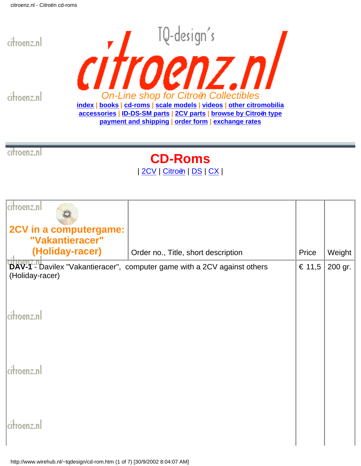<span id="page-5-0"></span>



citroenz.nl

**CD-Roms**

| [2CV](#page-5-1) | [Citroën](#page-7-0) | [DS](#page-9-0) | [CX](#page-10-0) |

<span id="page-5-1"></span>

| citroenz.nl<br>2CV in a computergame:<br>"Vakantieracer"<br>(Holiday-racer) | Order no., Title, short description<br>DAV-1 - Davilex "Vakantieracer", computer game with a 2CV against others | Price<br>€ 11,5 | Weight<br>200 gr. |
|-----------------------------------------------------------------------------|-----------------------------------------------------------------------------------------------------------------|-----------------|-------------------|
| (Holiday-racer)                                                             |                                                                                                                 |                 |                   |
| citroenz.nl                                                                 |                                                                                                                 |                 |                   |
| citroenz.nl                                                                 |                                                                                                                 |                 |                   |
| citroenz.nl                                                                 |                                                                                                                 |                 |                   |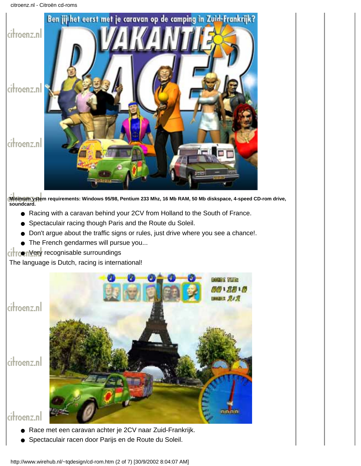

**Minimum ystem requirements: Windows 95/98, Pentium 233 Mhz, 16 Mb RAM, 50 Mb diskspace, 4-speed CD-rom drive, soundcard.**

- Racing with a caravan behind your 2CV from Holland to the South of France.
- Spectaculair racing though Paris and the Route du Soleil.
- Don't argue about the traffic signs or rules, just drive where you see a chance!.
- The French gendarmes will pursue you...

#### citroenVery recognisable surroundings

The language is Dutch, racing is international!

citroenz.nl

citroenz.nl



**BOOKS REE** 

- Race met een caravan achter je 2CV naar Zuid-Frankrijk.
- Spectaculair racen door Parijs en de Route du Soleil.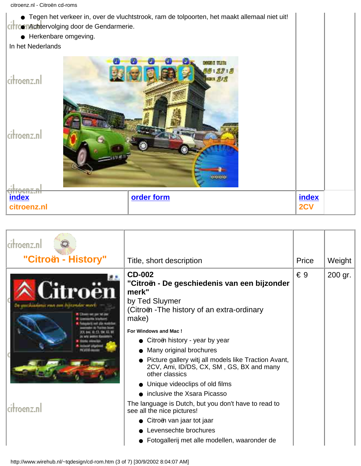| • Tegen het verkeer in, over de vluchtstrook, ram de tolpoorten, het maakt allemaal niet uit!<br><b>Achtervolging door de Gendarmerie.</b><br>• Herkenbare omgeving.<br>In het Nederlands |                     |  |
|-------------------------------------------------------------------------------------------------------------------------------------------------------------------------------------------|---------------------|--|
| <b>DIGGS HARD</b><br>$-27.3$<br><b>MARK 202</b><br>citroenz.nl<br>citroenz.nl<br>accioio                                                                                                  |                     |  |
| <b>index</b><br>order form<br>citroenz.nl                                                                                                                                                 | <b>index</b><br>2CV |  |

<span id="page-7-0"></span>

| "Citroën - History"                   | Title, short description                                                                                                                                                                                                                                                                                                                                                                                                                                                                                                                                                                                                     | Price        | Weight  |
|---------------------------------------|------------------------------------------------------------------------------------------------------------------------------------------------------------------------------------------------------------------------------------------------------------------------------------------------------------------------------------------------------------------------------------------------------------------------------------------------------------------------------------------------------------------------------------------------------------------------------------------------------------------------------|--------------|---------|
| <b>Rethal shind short SATESTIVIAN</b> | <b>CD-002</b><br>"Citroën - De geschiedenis van een bijzonder<br>merk"<br>by Ted Sluymer<br>(Citroën - The history of an extra-ordinary<br>make)<br>For Windows and Mac!<br>Citroën history - year by year<br>Many original brochures<br>• Picture gallery witj all models like Traction Avant,<br>2CV, Ami, ID/DS, CX, SM, GS, BX and many<br>other classics<br>Unique videoclips of old films<br>• inclusive the Xsara Picasso<br>The language is Dutch, but you don't have to read to<br>see all the nice pictures!<br>Citroën van jaar tot jaar<br>Levensechte brochures<br>Fotogallerij met alle modellen, waaronder de | $\epsilon$ 9 | 200 gr. |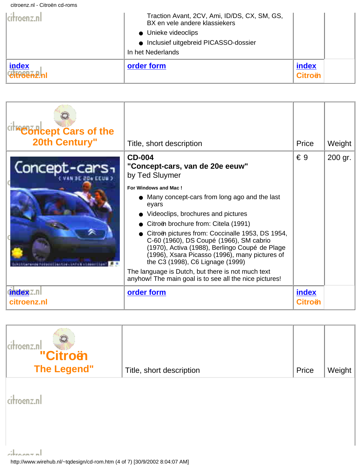citroenz.nl - Citroën cd-roms

| lcitroenz.nl                        | Traction Avant, 2CV, Ami, ID/DS, CX, SM, GS,<br>BX en vele andere klassiekers<br>• Unieke videoclips<br>• Inclusief uitgebreid PICASSO-dossier<br>In het Nederlands |                         |  |
|-------------------------------------|---------------------------------------------------------------------------------------------------------------------------------------------------------------------|-------------------------|--|
| <b>index</b><br><b>Citropozi</b> ni | order form                                                                                                                                                          | index<br><b>Citroën</b> |  |

| citing oncept Cars of the<br><b>20th Century"</b> | Title, short description                                                                                                                                                                                                                                                                                                                                                                                                                                                                                                                                                                | Price                   | Weight  |
|---------------------------------------------------|-----------------------------------------------------------------------------------------------------------------------------------------------------------------------------------------------------------------------------------------------------------------------------------------------------------------------------------------------------------------------------------------------------------------------------------------------------------------------------------------------------------------------------------------------------------------------------------------|-------------------------|---------|
| Concept-car                                       | <b>CD-004</b><br>"Concept-cars, van de 20e eeuw"<br>by Ted Sluymer<br>For Windows and Mac!<br>Many concept-cars from long ago and the last<br>eyars<br>Videoclips, brochures and pictures<br>Citroën brochure from: Citela (1991)<br>Citroën pictures from: Coccinalle 1953, DS 1954,<br>C-60 (1960), DS Coupé (1966), SM cabrio<br>(1970), Activa (1988), Berlingo Coupé de Plage<br>(1996), Xsara Picasso (1996), many pictures of<br>the C3 (1998), C6 Lignage (1999)<br>The language is Dutch, but there is not much text<br>anyhow! The main goal is to see all the nice pictures! | $\epsilon$ 9            | 200 gr. |
| <b>index Z.n</b><br>citroenz.nl                   | order form                                                                                                                                                                                                                                                                                                                                                                                                                                                                                                                                                                              | index<br><b>Citroën</b> |         |

| citroenz.nl<br>"Citroën<br><b>The Legend"</b> | Title, short description | Price | Weight |
|-----------------------------------------------|--------------------------|-------|--------|
| citroenz.nl                                   |                          |       |        |
|                                               |                          |       |        |

http://www.wirehub.nl/~tqdesign/cd-rom.htm (4 of 7) [30/9/2002 8:04:07 AM]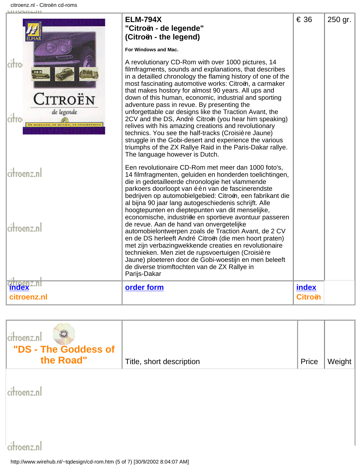|                                                                                   | <b>ELM-794X</b><br>"Citroën - de legende"<br>(Citroën - the legend)                                                                                                                                                                                                                                                                                                                                                                                                                                                                                                                                                                                                                                                                                                                             | € 36             | 250 gr. |
|-----------------------------------------------------------------------------------|-------------------------------------------------------------------------------------------------------------------------------------------------------------------------------------------------------------------------------------------------------------------------------------------------------------------------------------------------------------------------------------------------------------------------------------------------------------------------------------------------------------------------------------------------------------------------------------------------------------------------------------------------------------------------------------------------------------------------------------------------------------------------------------------------|------------------|---------|
|                                                                                   | For Windows and Mac.                                                                                                                                                                                                                                                                                                                                                                                                                                                                                                                                                                                                                                                                                                                                                                            |                  |         |
| citro<br>CITROËN<br>de legende<br>citro<br>DE MODELLES, OF MENTEX, DE OXDERNEMENT | A revolutionary CD-Rom with over 1000 pictures, 14<br>filmfragments, sounds and explanations, that describes<br>in a detailled chronology the flaming history of one of the<br>most fascinating automotive works: Citroën, a carmaker<br>that makes hostory for almost 90 years. All ups and<br>down of this human, economic, industrial and sporting<br>adventure pass in revue. By presenting the<br>unforgettable car designs like the Traction Avant, the<br>2CV and the DS, André Citroën (you hear him speaking)<br>relives with his amazing creations and revolutionary<br>technics. You see the half-tracks (Croisiè re Jaune)<br>struggle in the Gobi-desert and experience the various<br>triumphs of the ZX Rallye Raid in the Paris-Dakar rallye.<br>The language however is Dutch. |                  |         |
| citroenz.nl                                                                       | Een revolutionaire CD-Rom met meer dan 1000 foto's,<br>14 filmfragmenten, geluiden en honderden toelichtingen,<br>die in gedetailleerde chronologie het vlammende<br>parkoers doorloopt van één van de fascinerendste<br>bedrijven op automobielgebied: Citroën, een fabrikant die<br>al bijna 90 jaar lang autogeschiedenis schrijft. Alle<br>hoogtepunten en dieptepunten van dit menselijke,<br>economische, industriëe en sportieve avontuur passeren                                                                                                                                                                                                                                                                                                                                       |                  |         |
| citroenz.nl                                                                       | de revue. Aan de hand van onvergetelijke<br>automobielontwerpen zoals de Traction Avant, de 2 CV<br>en de DS herleeft André Citroën (die men hoort praten)<br>met zijn verbazingwekkende creaties en revolutionaire<br>technieken. Men ziet de rupsvoertuigen (Croisière<br>Jaune) ploeteren door de Gobi-woestijn en men beleeft<br>de diverse triomftochten van de ZX Rallye in<br>Parijs-Dakar                                                                                                                                                                                                                                                                                                                                                                                               |                  |         |
| <b>index</b><br>citroenz.nl                                                       | order form                                                                                                                                                                                                                                                                                                                                                                                                                                                                                                                                                                                                                                                                                                                                                                                      | index<br>Citroën |         |

<span id="page-9-0"></span>

| "DS - The Goddess of<br>the Road" | Title, short description | Price | Weight |
|-----------------------------------|--------------------------|-------|--------|
|                                   |                          |       |        |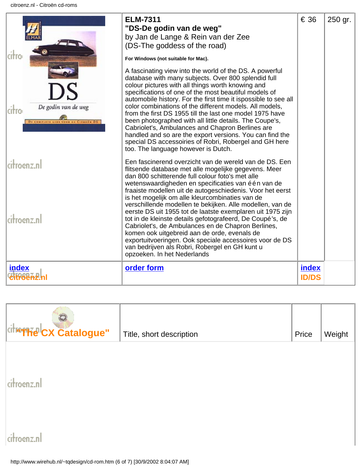| De godin van de weg<br>citro<br>DE COMPIETE GIES VOOR DE CITEOIN DI | <b>ELM-7311</b><br>"DS-De godin van de weg"<br>by Jan de Lange & Rein van der Zee<br>(DS-The goddess of the road)<br>For Windows (not suitable for Mac).<br>A fascinating view into the world of the DS. A powerful<br>database with many subjects. Over 800 splendid full<br>colour pictures with all things worth knowing and<br>specifications of one of the most beautiful models of<br>automobile history. For the first time it ispossible to see all<br>color combinations of the different models. All models,<br>from the first DS 1955 till the last one model 1975 have<br>been photographed with all little details. The Coupe's,<br>Cabriolet's, Ambulances and Chapron Berlines are<br>handled and so are the export versions. You can find the<br>special DS accessoiries of Robri, Robergel and GH here<br>too. The language however is Dutch. | € 36                  | 250 gr. |
|---------------------------------------------------------------------|----------------------------------------------------------------------------------------------------------------------------------------------------------------------------------------------------------------------------------------------------------------------------------------------------------------------------------------------------------------------------------------------------------------------------------------------------------------------------------------------------------------------------------------------------------------------------------------------------------------------------------------------------------------------------------------------------------------------------------------------------------------------------------------------------------------------------------------------------------------|-----------------------|---------|
| citroenz.nl<br>citroenz.nl                                          | Een fascinerend overzicht van de wereld van de DS. Een<br>flitsende database met alle mogelijke gegevens. Meer<br>dan 800 schitterende full colour foto's met alle<br>wetenswaardigheden en specificaties van één van de<br>fraaiste modellen uit de autogeschiedenis. Voor het eerst<br>is het mogelijk om alle kleurcombinaties van de<br>verschillende modellen te bekijken. Alle modellen, van de<br>eerste DS uit 1955 tot de laatste exemplaren uit 1975 zijn<br>tot in de kleinste details gefotografeerd, De Coupé's, de<br>Cabriolet's, de Ambulances en de Chapron Berlines,<br>komen ook uitgebreid aan de orde, evenals de<br>exportuitvoeringen. Ook speciale accessoires voor de DS<br>van bedrijven als Robri, Robergel en GH kunt u<br>opzoeken. In het Nederlands                                                                             |                       |         |
| index                                                               | order form                                                                                                                                                                                                                                                                                                                                                                                                                                                                                                                                                                                                                                                                                                                                                                                                                                                     | index<br><b>ID/DS</b> |         |

<span id="page-10-0"></span>

| citroffice CX Catalogue" | Title, short description | Price | Weight |
|--------------------------|--------------------------|-------|--------|
|                          |                          |       |        |
| citroenz.nl              |                          |       |        |
|                          |                          |       |        |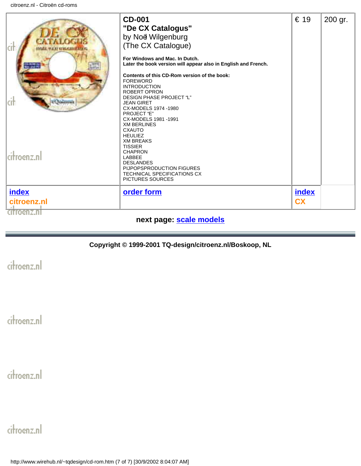| <b>MUREAU IS</b> | <b>CD-001</b><br>"De CX Catalogus"<br>by Noë Wilgenburg<br>(The CX Catalogue)<br>For Windows and Mac. In Dutch.<br>Later the book version will appear also in English and French.<br>Contents of this CD-Rom version of the book:<br><b>FOREWORD</b><br><b>INTRODUCTION</b><br><b>ROBERT OPRON</b><br>DESIGN PHASE PROJECT "L"<br><b>JEAN GIRET</b><br>CX-MODELS 1974 -1980<br>PROJECT "E"<br>CX-MODELS 1981 -1991<br><b>XM BERLINES</b> | € 19      | 200 gr. |
|------------------|------------------------------------------------------------------------------------------------------------------------------------------------------------------------------------------------------------------------------------------------------------------------------------------------------------------------------------------------------------------------------------------------------------------------------------------|-----------|---------|
| citroenz.nl      | <b>CXAUTO</b><br><b>HEULIEZ</b><br><b>XM BREAKS</b><br><b>TISSIER</b><br><b>CHAPRON</b><br>LABBEE<br><b>DESLANDES</b><br>PIJPOPSPRODUCTION FIGURES<br>TECHNICAL SPECIFICATIONS CX<br>PICTURES SOURCES                                                                                                                                                                                                                                    |           |         |
| index            | order form                                                                                                                                                                                                                                                                                                                                                                                                                               | index     |         |
| citroenz.nl      |                                                                                                                                                                                                                                                                                                                                                                                                                                          | <b>CX</b> |         |
| citroenz.n       |                                                                                                                                                                                                                                                                                                                                                                                                                                          |           |         |

#### **next page: [scale models](#page-12-0)**

#### **Copyright © 1999-2001 TQ-design/citroenz.nl/Boskoop, NL**

citroenz.nl

citroenz.nl

citroenz.nl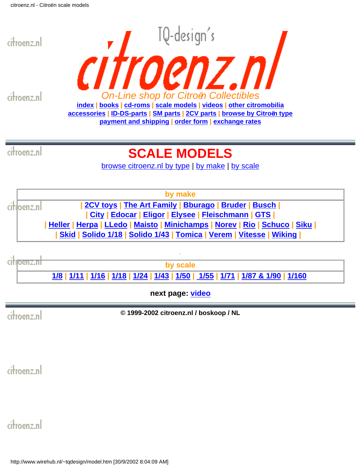<span id="page-12-0"></span>

# **SCALE MODELS**

[browse citroenz.nl by type](#page-41-0) | [by make](#page-12-1) | by scale

<span id="page-12-1"></span>

. citioenz.ni **by scale** [1/8](http://www.wirehub.nl/~tqdesign/m8.htm) | [1/11](http://www.wirehub.nl/~tqdesign/m11.htm) | [1/16](http://www.wirehub.nl/~tqdesign/m16.htm) | [1/18](http://www.wirehub.nl/~tqdesign/m18.htm) | [1/24](http://www.wirehub.nl/~tqdesign/m24.htm) | [1/43](http://www.wirehub.nl/~tqdesign/m43.htm) | [1/50](http://www.wirehub.nl/~tqdesign/m50.htm) | [1/55](http://www.wirehub.nl/~tqdesign/m55.htm) | [1/71](http://www.wirehub.nl/~tqdesign/m71.htm) | [1/87 & 1/90](http://www.wirehub.nl/~tqdesign/m87.htm) | [1/160](http://www.wirehub.nl/~tqdesign/m160.htm)

**next page: [video](#page-13-0)**

citroenz.nl

**© 1999-2002 citroenz.nl / boskoop / NL**

citroenz.nl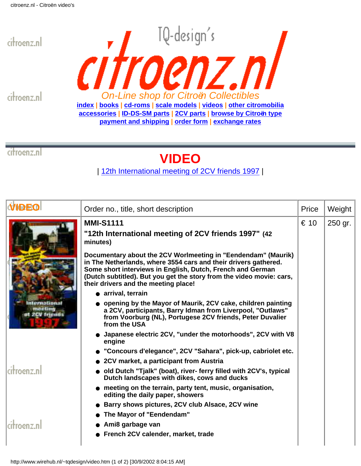<span id="page-13-0"></span>



citroenz.nl

# **VIDEO**

| 12th International meeting of 2CV friends 1997 |

| <b>IDEO</b> | Order no., title, short description                                                                                                                                                                                                                                                                            | Price | Weight  |
|-------------|----------------------------------------------------------------------------------------------------------------------------------------------------------------------------------------------------------------------------------------------------------------------------------------------------------------|-------|---------|
|             | <b>MMI-S1111</b><br>"12th International meeting of 2CV friends 1997" (42<br>minutes)                                                                                                                                                                                                                           | € 10  | 250 gr. |
|             | Documentary about the 2CV Worlmeeting in "Eendendam" (Maurik)<br>in The Netherlands, where 3554 cars and their drivers gathered.<br>Some short interviews in English, Dutch, French and German<br>(Dutch subtitled). But you get the story from the video movie: cars,<br>their drivers and the meeting place! |       |         |
|             | • arrival, terrain<br>opening by the Mayor of Maurik, 2CV cake, children painting                                                                                                                                                                                                                              |       |         |
| 2CV friends | a 2CV, participants, Barry Idman from Liverpool, "Outlaws"<br>from Voorburg (NL), Portugese 2CV friends, Peter Duvalier<br>from the USA                                                                                                                                                                        |       |         |
|             | • Japanese electric 2CV, "under the motorhoods", 2CV with V8<br>engine                                                                                                                                                                                                                                         |       |         |
|             | "Concours d'elegance", 2CV "Sahara", pick-up, cabriolet etc.                                                                                                                                                                                                                                                   |       |         |
|             | • 2CV market, a participant from Austria                                                                                                                                                                                                                                                                       |       |         |
| citroenz.nl | old Dutch "Tjalk" (boat), river- ferry filled with 2CV's, typical<br>Dutch landscapes with dikes, cows and ducks                                                                                                                                                                                               |       |         |
|             | • meeting on the terrain, party tent, music, organisation,<br>editing the daily paper, showers                                                                                                                                                                                                                 |       |         |
|             | Barry shows pictures, 2CV club Alsace, 2CV wine                                                                                                                                                                                                                                                                |       |         |
|             | The Mayor of "Eendendam"                                                                                                                                                                                                                                                                                       |       |         |
| citroenz.nl | Ami8 garbage van                                                                                                                                                                                                                                                                                               |       |         |
|             | French 2CV calender, market, trade                                                                                                                                                                                                                                                                             |       |         |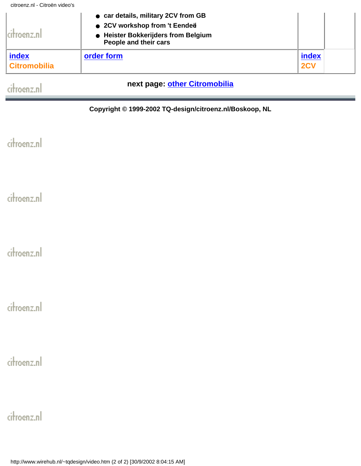| citroenz.n <sup>,</sup>      | • car details, military 2CV from GB<br>• 2CV workshop from 't Eendeë<br>• Heister Bokkerijders from Belgium<br>People and their cars |              |  |
|------------------------------|--------------------------------------------------------------------------------------------------------------------------------------|--------------|--|
| index<br><b>Citromobilia</b> | order form                                                                                                                           | index<br>2CV |  |

### **next page: [other Citromobilia](#page-15-0)**

**Copyright © 1999-2002 TQ-design/citroenz.nl/Boskoop, NL**

citroenz.nl

citroenz.nl

citroenz.nl

citroenz.nl

citroenz.nl

citroenz.nl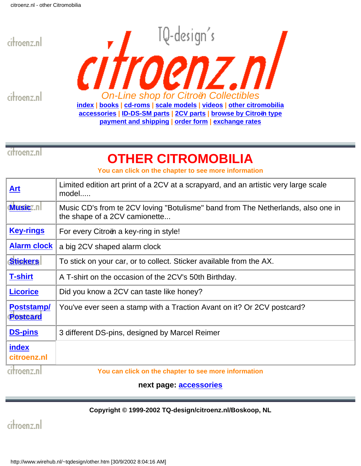<span id="page-15-0"></span>



citroenz.nl

# **OTHER CITROMOBILIA**

**You can click on the chapter to see more information**

| Art                           | Limited edition art print of a 2CV at a scrapyard, and an artistic very large scale<br>model                      |
|-------------------------------|-------------------------------------------------------------------------------------------------------------------|
| <b>Musicz</b> nl              | Music CD's from te 2CV loving "Botulisme" band from The Netherlands, also one in<br>the shape of a 2CV camionette |
| <u>Key-rings</u>              | For every Citroën a key-ring in style!                                                                            |
| <b>Alarm clock</b>            | a big 2CV shaped alarm clock                                                                                      |
| <b>Stickers</b>               | To stick on your car, or to collect. Sticker available from the AX.                                               |
| <b>T-shirt</b>                | A T-shirt on the occasion of the 2CV's 50th Birthday.                                                             |
| <b>Licorice</b>               | Did you know a 2CV can taste like honey?                                                                          |
| Poststamp/<br><b>Postcard</b> | You've ever seen a stamp with a Traction Avant on it? Or 2CV postcard?                                            |
| <b>DS-pins</b>                | 3 different DS-pins, designed by Marcel Reimer                                                                    |
| <b>index</b><br>citroenz.nl   |                                                                                                                   |
| citroenz.ni                   | You can click on the chapter to see more information                                                              |

**next page: [accessories](#page-16-0)**

#### **Copyright © 1999-2002 TQ-design/citroenz.nl/Boskoop, NL**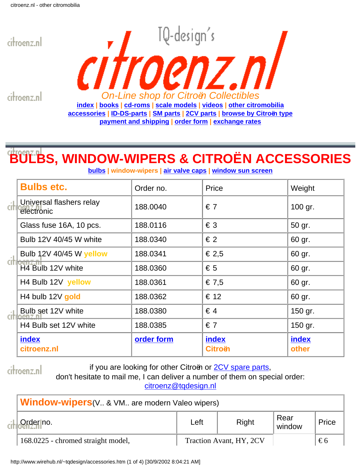<span id="page-16-0"></span>

citroenz.nl *On-Line shop for Citroën Collectibles* **[index](#page-1-0) | [books](#page-3-0) | [cd-roms](#page-5-0) | [scale models](#page-12-0) | [videos](#page-13-0) | [other citromobilia](#page-15-0) [accessories](#page-16-0) | [ID-DS-parts](#page-0-0) | [SM parts](#page-20-0) | [2CV parts](#page-24-0) | [browse by Citroën type](#page-41-0) [payment and shipping](#page-42-0) | [order form](#page-44-0) | [exchange rates](#page-45-0)**

# **BULBS, WINDOW-WIPERS & CITROËN ACCESSORIES**

**bulbs | window-wipers | air valve caps | window sun screen**

|      | <b>Bulbs etc.</b>                       | Order no.  | Price                   | Weight         |
|------|-----------------------------------------|------------|-------------------------|----------------|
| cit  | Universal flashers relay<br>electronic  | 188,0040   | $\epsilon$ 7            | 100 gr.        |
|      | Glass fuse 16A, 10 pcs.                 | 188.0116   | $\epsilon$ 3            | 50 gr.         |
|      | Bulb 12V 40/45 W white                  | 188.0340   | $\epsilon$ 2            | 60 gr.         |
|      | Bulb 12V 40/45 W yellow                 | 188.0341   | € 2,5                   | 60 gr.         |
| (Iti | H4 Bulb 12V white                       | 188.0360   | $\epsilon$ 5            | 60 gr.         |
|      | H4 Bulb 12V yellow                      | 188.0361   | € 7,5                   | 60 gr.         |
|      | H4 bulb 12V gold                        | 188.0362   | € 12                    | 60 gr.         |
|      | Bulb set 12V white<br><u>citioenz n</u> | 188.0380   | $\in$ 4                 | 150 gr.        |
|      | H4 Bulb set 12V white                   | 188.0385   | $\epsilon$ 7            | 150 gr.        |
|      | index<br>citroenz.nl                    | order form | index<br><b>Citroën</b> | index<br>other |

citroenz.nl

if you are looking for other Citroën or [2CV spare parts](#page-24-0),

don't hesitate to mail me, I can deliver a number of them on special order:

[citroenz@tqdesign.nl](mailto:citroenz@tqdesign.nl?subject=I need other Citro�n parts)

| <b>Window-wipers</b> (V & VM are modern Valeo wipers) |                                    |      |                         |                |              |
|-------------------------------------------------------|------------------------------------|------|-------------------------|----------------|--------------|
|                                                       | Order no.                          | Left | Right                   | Rear<br>window | Price        |
|                                                       | 168.0225 - chromed straight model, |      | Traction Avant, HY, 2CV |                | $\epsilon$ 6 |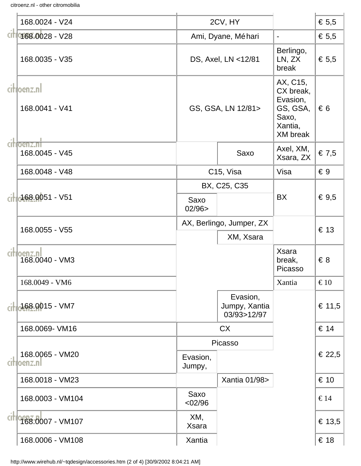citroenz.nl - other citromobilia

|      | 168.0024 - V24                 |                     | 2CV, HY                                  |                                                                                      | € 5,5         |
|------|--------------------------------|---------------------|------------------------------------------|--------------------------------------------------------------------------------------|---------------|
|      | citio 68.0028 - V28            |                     | Ami, Dyane, Méhari                       | $\blacksquare$                                                                       | € 5,5         |
|      | 168.0035 - V35                 |                     | DS, Axel, LN <12/81                      | Berlingo,<br>LN, ZX<br>break                                                         | € 5,5         |
|      | citioenz.nl<br>168.0041 - V41  |                     | GS, GSA, LN 12/81>                       | AX, C15,<br>CX break,<br>Evasion,<br>GS, GSA,<br>Saxo,<br>Xantia,<br><b>XM</b> break | $\epsilon$ 6  |
|      | citioenz.nt<br>168.0045 - V45  |                     | Saxo                                     | Axel, XM,<br>Xsara, ZX                                                               | € 7,5         |
|      | 168.0048 - V48                 |                     | C <sub>15</sub> , Visa                   | Visa                                                                                 | $\epsilon$ 9  |
|      |                                |                     | BX, C25, C35                             |                                                                                      |               |
| cihl | $-168.0051 - V51$              | Saxo<br>02/96       |                                          | <b>BX</b>                                                                            | € $9,5$       |
|      | 168.0055 - V55                 |                     | AX, Berlingo, Jumper, ZX                 |                                                                                      | € 13          |
|      |                                |                     | XM, Xsara                                |                                                                                      |               |
|      | citloenz.nl<br>168.0040 - VM3  |                     |                                          | <b>Xsara</b><br>break,<br>Picasso                                                    | $\epsilon$ 8  |
|      | 168.0049 - VM6                 |                     |                                          | Xantia                                                                               | $\epsilon$ 10 |
|      | cillo168.0015 - VM7            |                     | Evasion,<br>Jumpy, Xantia<br>03/93>12/97 |                                                                                      | € 11,5        |
|      | 168.0069- VM16                 |                     | <b>CX</b>                                |                                                                                      | € 14          |
|      |                                |                     | Picasso                                  |                                                                                      |               |
|      | 168.0065 - VM20<br>citloenz.nl | Evasion,<br>Jumpy,  |                                          |                                                                                      | € 22,5        |
|      | 168.0018 - VM23                |                     | Xantia 01/98>                            |                                                                                      | € 10          |
|      | 168.0003 - VM104               | Saxo<br><02/96      |                                          |                                                                                      | $\epsilon$ 14 |
|      | cit 968.0007 - VM107           | XM,<br><b>Xsara</b> |                                          |                                                                                      | € 13,5        |
|      | 168.0006 - VM108               | Xantia              |                                          |                                                                                      | € 18          |

http://www.wirehub.nl/~tqdesign/accessories.htm (2 of 4) [30/9/2002 8:04:21 AM]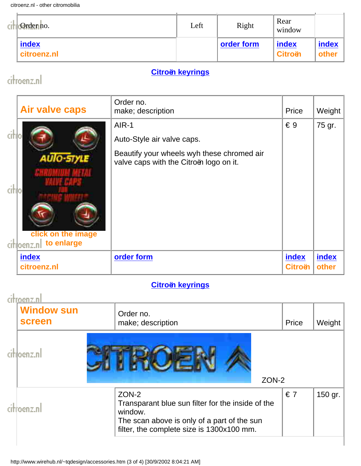citroenz.nl - other citromobilia

| - 11 | $\frac{1}{2}$ Order no. | Left | Right      | Rear<br>window          |                |
|------|-------------------------|------|------------|-------------------------|----------------|
|      | index<br>citroenz.nl    |      | order form | index<br><b>Citroën</b> | index<br>other |

### **[Citroën keyrings](http://www.wirehub.nl/~tqdesign/keyring.htm)**

### citroenz.nl

|       | <b>Air valve caps</b>                                             | Order no.<br>make; description                                                                                               | Price                   | Weight         |
|-------|-------------------------------------------------------------------|------------------------------------------------------------------------------------------------------------------------------|-------------------------|----------------|
| citlo | <b>AUIO-STYLE</b><br>click on the image<br>citioenz.nl to enlarge | AIR-1<br>Auto-Style air valve caps.<br>Beautify your wheels wyh these chromed air<br>valve caps with the Citroën logo on it. | $\epsilon$ 9            | 75 gr.         |
|       | index<br>citroenz.nl                                              | order form                                                                                                                   | index<br><b>Citroën</b> | index<br>other |

### **[Citroën keyrings](http://www.wirehub.nl/~tqdesign/keyring.htm)**

| ሰውነን በ<br><b>Window sun</b><br><b>screen</b> | Order no.<br>make; description                                                                                                                                    | Price        | Weight  |
|----------------------------------------------|-------------------------------------------------------------------------------------------------------------------------------------------------------------------|--------------|---------|
|                                              | ZON-2                                                                                                                                                             |              |         |
|                                              | ZON-2<br>Transparant blue sun filter for the inside of the<br>window.<br>The scan above is only of a part of the sun<br>filter, the complete size is 1300x100 mm. | $\epsilon$ 7 | 150 gr. |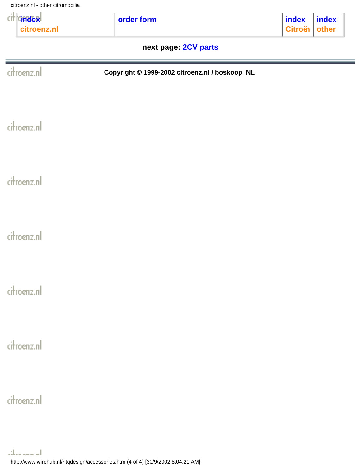citroenz.nl - other citromobilia

| <b>dndex</b><br>cıt<br>citroenz.nl | order form                                     | <b>index</b><br><b>Citroën</b> | <b>index</b><br>other |  |  |  |  |
|------------------------------------|------------------------------------------------|--------------------------------|-----------------------|--|--|--|--|
| next page: 2CV parts               |                                                |                                |                       |  |  |  |  |
| citroenz.nl                        | Copyright © 1999-2002 citroenz.nl / boskoop NL |                                |                       |  |  |  |  |
| citroenz.nl                        |                                                |                                |                       |  |  |  |  |
| citroenz.nl                        |                                                |                                |                       |  |  |  |  |
| citroenz.nl                        |                                                |                                |                       |  |  |  |  |
| citroenz.nl                        |                                                |                                |                       |  |  |  |  |
| citroenz.nl                        |                                                |                                |                       |  |  |  |  |
| citroenz.nl                        |                                                |                                |                       |  |  |  |  |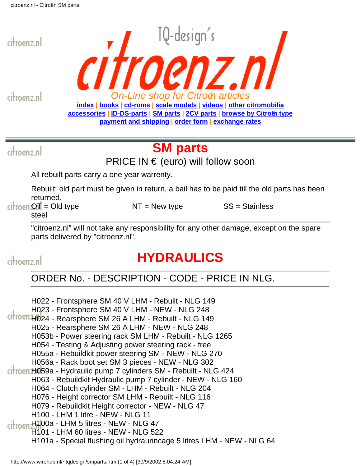citroenz.nl

<span id="page-20-0"></span>citroenz.nl *On-Line shop for Citroën articles* **[index](#page-1-0) | [books](#page-3-0) | [cd-roms](#page-5-0) | [scale models](#page-12-0) | [videos](#page-13-0) | [other citromobilia](#page-15-0) [accessories](#page-16-0) | [ID-DS-parts](#page-0-0) | [SM parts](#page-20-0) | [2CV parts](#page-24-0) | [browse by Citroën type](#page-41-0) [payment and shipping](#page-42-0) | [order form](#page-44-0) | [exchange rates](#page-45-0)**

TQ-design's

citroenz.nl

# **SM parts**

PRICE IN € (euro) will follow soon

All rebuilt parts carry a one year warrenty.

Rebuilt: old part must be given in return, a bail has to be paid till the old parts has been returned.

OT = Old type .... ...... NT = New type ..... ...... SS = Stainless steel

"citroenz.nl" will not take any responsibility for any other damage, except on the spare parts delivered by "citroenz.nl".

citroenz.nl

# **HYDRAULICS**

### ORDER No. - DESCRIPTION - CODE - PRICE IN NLG.

H022 - Frontsphere SM 40 V LHM - Rebuilt - NLG 149 H023 - Frontsphere SM 40 V LHM - NEW - NLG 248 citroen<sub>H024</sub> - Rearsphere SM 26 A LHM - Rebuilt - NLG 149 H025 - Rearsphere SM 26 A LHM - NEW - NLG 248 H053b - Power steering rack SM LHM - Rebuilt - NLG 1265 H054 - Testing & Adjusting power steering rack - free H055a - Rebuildkit power steering SM - NEW - NLG 270 H056a - Rack boot set SM 3 pieces - NEW - NLG 302 citroen H059a - Hydraulic pump 7 cylinders SM - Rebuilt - NLG 424 H063 - Rebuildkit Hydraulic pump 7 cylinder - NEW - NLG 160 H064 - Clutch cylinder SM - LHM - Rebuilt - NLG 204 H076 - Height corrector SM LHM - Rebuilt - NLG 116 H079 - Rebuildkit Height corrector - NEW - NLG 47 H100 - LHM 1 litre - NEW - NLG 11 citroen H100a - LHM 5 litres - NEW - NLG 47 H101 - LHM 60 litres - NEW - NLG 522 H101a - Special flushing oil hydraurincage 5 litres LHM - NEW - NLG 64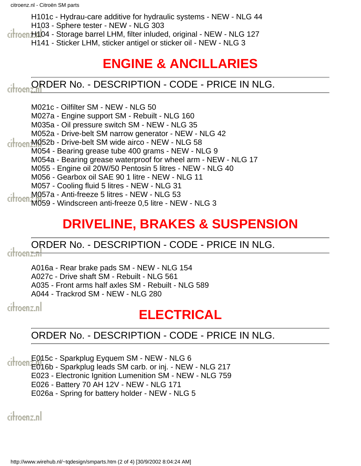H101c - Hydrau-care additive for hydraulic systems - NEW - NLG 44 H103 - Sphere tester - NEW - NLG 303

citroen H104 - Storage barrel LHM, filter inluded, original - NEW - NLG 127

H141 - Sticker LHM, sticker antigel or sticker oil - NEW - NLG 3

# **ENGINE & ANCILLARIES**

## citroen: **ORDER No. - DESCRIPTION - CODE - PRICE IN NLG.**

M021c - Oilfilter SM - NEW - NLG 50

M027a - Engine support SM - Rebuilt - NLG 160

M035a - Oil pressure switch SM - NEW - NLG 35

M052a - Drive-belt SM narrow generator - NEW - NLG 42

ci<sup>1</sup>rocn<sup>M052b</sup> - Drive-belt SM wide airco - NEW - NLG 58

M054 - Bearing grease tube 400 grams - NEW - NLG 9

M054a - Bearing grease waterproof for wheel arm - NEW - NLG 17

M055 - Engine oil 20W/50 Pentosin 5 litres - NEW - NLG 40

M056 - Gearbox oil SAE 90 1 litre - NEW - NLG 11

M057 - Cooling fluid 5 litres - NEW - NLG 31

M057a - Anti-freeze 5 litres - NEW - NLG 53

M059 - Windscreen anti-freeze 0,5 litre - NEW - NLG 3

# **DRIVELINE, BRAKES & SUSPENSION**

# ORDER No. - DESCRIPTION - CODE - PRICE IN NLG.<br>
Citroenzal

A016a - Rear brake pads SM - NEW - NLG 154

A027c - Drive shaft SM - Rebuilt - NLG 561

A035 - Front arms half axles SM - Rebuilt - NLG 589

A044 - Trackrod SM - NEW - NLG 280

citroenz.nl

# **ELECTRICAL**

### ORDER No. - DESCRIPTION - CODE - PRICE IN NLG.

E015c - Sparkplug Eyquem SM - NEW - NLG 6

 $\frac{1}{20166}$  - Sparkplug leads SM carb. or inj. - NEW - NLG 217

E023 - Electronic Ignition Lumenition SM - NEW - NLG 759

E026 - Battery 70 AH 12V - NEW - NLG 171

E026a - Spring for battery holder - NEW - NLG 5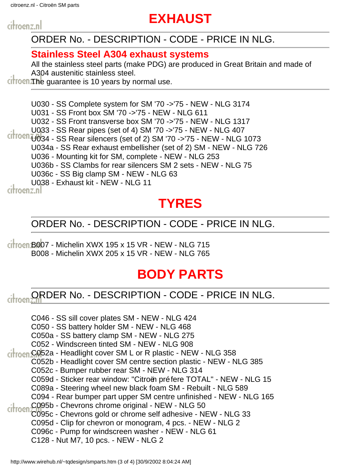citroenz.nl - Citroën SM parts

# **EXHAUST**

citroenz.nl

### ORDER No. - DESCRIPTION - CODE - PRICE IN NLG.

### **Stainless Steel A304 exhaust systems**

All the stainless steel parts (make PDG) are produced in Great Britain and made of A304 austenitic stainless steel.

 $C$  the guarantee is 10 years by normal use.

U030 - SS Complete system for SM '70 ->'75 - NEW - NLG 3174

U031 - SS Front box SM '70 ->'75 - NEW - NLG 611

U032 - SS Front transverse box SM '70 ->'75 - NEW - NLG 1317

U033 - SS Rear pipes (set of 4) SM '70 ->'75 - NEW - NLG 407

 $Cit$  rocn  $U_0$ 34 - SS Rear silencers (set of 2) SM '70 ->'75 - NEW - NLG 1073 U034a - SS Rear exhaust embellisher (set of 2) SM - NEW - NLG 726 U036 - Mounting kit for SM, complete - NEW - NLG 253 U036b - SS Clambs for rear silencers SM 2 sets - NEW - NLG 75 U036c - SS Big clamp SM - NEW - NLG 63 U038 - Exhaust kit - NEW - NLG 11

# **TYRES**

### ORDER No. - DESCRIPTION - CODE - PRICE IN NLG.

 $\frac{1}{2}$  Citroen B007 - Michelin XWX 195 x 15 VR - NEW - NLG 715 B008 - Michelin XWX 205 x 15 VR - NEW - NLG 765

# **BODY PARTS**

#### ORDER No. - DESCRIPTION - CODE - PRICE IN NLG. citroen.

C046 - SS sill cover plates SM - NEW - NLG 424

C050 - SS battery holder SM - NEW - NLG 468

C050a - SS battery clamp SM - NEW - NLG 275

C052 - Windscreen tinted SM - NEW - NLG 908

citroen C052a - Headlight cover SM L or R plastic - NEW - NLG 358

C052b - Headlight cover SM centre section plastic - NEW - NLG 385

C052c - Bumper rubber rear SM - NEW - NLG 314

C059d - Sticker rear window: "Citroën préfere TOTAL" - NEW - NLG 15

C089a - Steering wheel new black foam SM - Rebuilt - NLG 589

C094 - Rear bumper part upper SM centre unfinished - NEW - NLG 165

C095b - Chevrons chrome original - NEW - NLG 50 citroen

C095c - Chevrons gold or chrome self adhesive - NEW - NLG 33

C095d - Clip for chevron or monogram, 4 pcs. - NEW - NLG 2

C096c - Pump for windscreen washer - NEW - NLG 61

C128 - Nut M7, 10 pcs. - NEW - NLG 2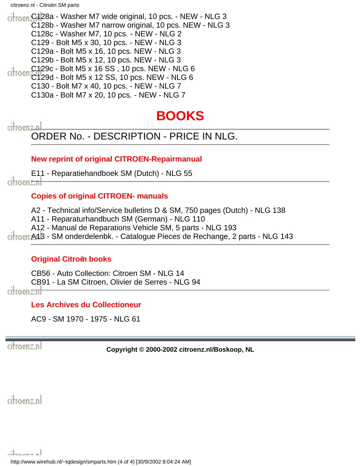citroenz.nl - Citroën SM parts

citroen C128a - Washer M7 wide original, 10 pcs. - NEW - NLG 3 C128b - Washer M7 narrow original, 10 pcs. NEW - NLG 3 C128c - Washer M7, 10 pcs. - NEW - NLG 2 C129 - Bolt M5 x 30, 10 pcs. - NEW - NLG 3 C129a - Bolt M5 x 16, 10 pcs. NEW - NLG 3 C129b - Bolt M5 x 12, 10 pcs. NEW - NLG 3 C129c - Bolt M5 x 16 SS , 10 pcs. NEW - NLG 6 citroen  $C129d$  - Bolt M5 x 12 SS, 10 pcs. NEW - NLG 6 C130 - Bolt M7 x 40, 10 pcs. - NEW - NLG 7 C130a - Bolt M7 x 20, 10 pcs. - NEW - NLG 7

## **BOOKS**

# citroenzal<br>ORDER No. - DESCRIPTION - PRICE IN NLG.

#### **New reprint of original CITROEN-Repairmanual**

E11 - Reparatiehandboek SM (Dutch) - NLG 55 citroen<del>z.nl</del>

#### **Copies of original CITROEN- manuals**

A2 - Technical info/Service bulletins D & SM, 750 pages (Dutch) - NLG 138

A11 - Reparaturhandbuch SM (German) - NLG 110

A12 - Manual de Reparations Vehicle SM, 5 parts - NLG 193

A13 - SM onderdelenbk. - Catalogue Pieces de Rechange, 2 parts - NLG 143

#### **Original Citroën books**

CB56 - Auto Collection: Citroen SM - NLG 14 CB91 - La SM Citroen, Olivier de Serres - NLG 94

citroen<del>z.nl</del>

**Les Archives du Collectioneur**

AC9 - SM 1970 - 1975 - NLG 61

citroenz.nl

**Copyright © 2000-2002 citroenz.nl/Boskoop, NL**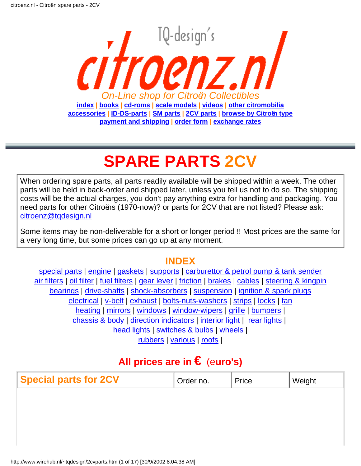<span id="page-24-0"></span>

# **SPARE PARTS 2CV**

When ordering spare parts, all parts readily available will be shipped within a week. The other parts will be held in back-order and shipped later, unless you tell us not to do so. The shipping costs will be the actual charges, you don't pay anything extra for handling and packaging. You need parts for other Citroëns (1970-now)? or parts for 2CV that are not listed? Please ask: [citroenz@tqdesign.nl](mailto:citroenz@tqdesign.nl)

Some items may be non-deliverable for a short or longer period !! Most prices are the same for a very long time, but some prices can go up at any moment.

### **INDEX**

<span id="page-24-2"></span>[special parts](#page-24-1) | engine | [gaskets](#page-25-0) | [supports](#page-26-0) | carburettor & petrol pump & tank sender air filters | [oil filter](#page-26-1) | [fuel filters](#page-26-2) | [gear lever](#page-26-3) | [friction](#page-27-0) | brakes | cables | [steering & kingpin](#page-29-0) bearings | drive-shafts | [shock-absorbers](#page-30-0) | [suspension](#page-30-1) | [ignition & spark plugs](#page-31-0) electrical | [v-belt](#page-32-0) | [exhaust](#page-32-1) | bolts-nuts-washers | [strips](#page-33-0) | [locks](#page-33-1) | [fan](#page-33-2) [heating](#page-33-3) | [mirrors](#page-34-0) | [windows](#page-34-1) | [window-wipers](#page-34-2) | [grille](#page-34-3) | bumpers | chassis & body | direction indicators | [interior light](#page-37-0) | [rear lights](#page-37-1) | [head lights](#page-37-2) | [switches & bulbs](#page-37-3) | [wheels](#page-38-0) | [rubbers](#page-38-1) | [various](#page-38-2) | roofs |

### **All prices are in €** (e**uro's)**

<span id="page-24-1"></span>

| <b>Special parts for 2CV</b> | Order no. | Price | Weight |
|------------------------------|-----------|-------|--------|
|                              |           |       |        |
|                              |           |       |        |
|                              |           |       |        |
|                              |           |       |        |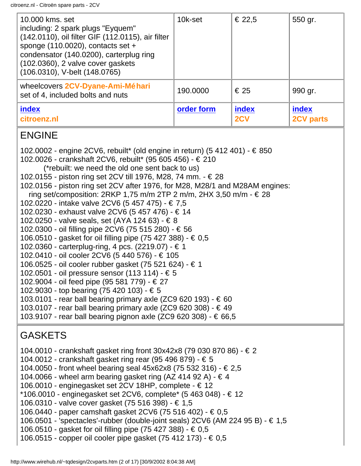| 10.000 kms. set<br>including: 2 spark plugs "Eyquem"<br>(142.0110), oil filter GIF (112.0115), air filter<br>sponge $(110.0020)$ , contacts set +<br>condensator (140.0200), carterplug ring<br>(102.0360), 2 valve cover gaskets<br>(106.0310), V-belt (148.0765) | 10k-set    | € 22,5       | 550 gr.                   |
|--------------------------------------------------------------------------------------------------------------------------------------------------------------------------------------------------------------------------------------------------------------------|------------|--------------|---------------------------|
| wheelcovers 2CV-Dyane-Ami-Méhari<br>set of 4, included bolts and nuts                                                                                                                                                                                              | 190.0000   | € 25         | 990 gr.                   |
| index<br>citroenz.nl                                                                                                                                                                                                                                               | order form | index<br>2CV | index<br><b>2CV parts</b> |

### ENGINE

102.0002 - engine 2CV6, rebuilt\* (old engine in return) (5 412 401) - € 850 102.0026 - crankshaft 2CV6, rebuilt\* (95 605 456) - € 210 (\*rebuilt: we need the old one sent back to us) 102.0155 - piston ring set 2CV till 1976, M28, 74 mm. - € 28 102.0156 - piston ring set 2CV after 1976, for M28, M28/1 and M28AM engines: ring set/composition: 2RKP 1,75 m/m 2TP 2 m/m, 2HX 3,50 m/m  $\cdot \in 28$ 102.0220 - intake valve 2CV6 (5 457 475) - € 7,5 102.0230 - exhaust valve 2CV6 (5 457 476) - € 14 102.0250 - valve seals, set (AYA 124 63) - € 8 102.0300 - oil filling pipe 2CV6 (75 515 280) - € 56 106.0510 - gasket for oil filling pipe (75 427 388) - € 0,5 102.0360 - carterplug-ring, 4 pcs. (2219.07) - € 1 102.0410 - oil cooler 2CV6 (5 440 576) - € 105 106.0525 - oil cooler rubber gasket (75 521 624) - € 1 102.0501 - oil pressure sensor (113 114) - € 5 102.9004 - oil feed pipe (95 581 779) - € 27 102.9030 - top bearing (75 420 103) - € 5 103.0101 - rear ball bearing primary axle (ZC9 620 193) - € 60 103.0107 - rear ball bearing primary axle (ZC9 620 308) -  $\in$  49 103.9107 - rear ball bearing pignon axle (ZC9 620 308) - € 66,5

### <span id="page-25-0"></span>**GASKETS**

- 104.0010 crankshaft gasket ring front 30x42x8 (79 030 870 86) € 2
- 104.0012 crankshaft gasket ring rear (95 496 879) € 5
- 104.0050 front wheel bearing seal 45x62x8 (75 532 316) € 2,5
- 104.0066 wheel arm bearing gasket ring  $(AZ 414 92 A) \epsilon 4$
- 106.0010 enginegasket set 2CV 18HP, complete € 12
- \*106.0010 enginegasket set 2CV6, complete\* (5 463 048) € 12
- 106.0310 valve cover gasket (75 516 398) € 1,5
- 106.0440 paper camshaft gasket 2CV6 (75 516 402) € 0,5
- 106.0501 'spectacles'-rubber (double-joint seals) 2CV6 (AM 224 95 B) € 1,5
- 106.0510 gasket for oil filling pipe (75 427 388) € 0,5
- 106.0515 copper oil cooler pipe gasket (75 412 173) € 0,5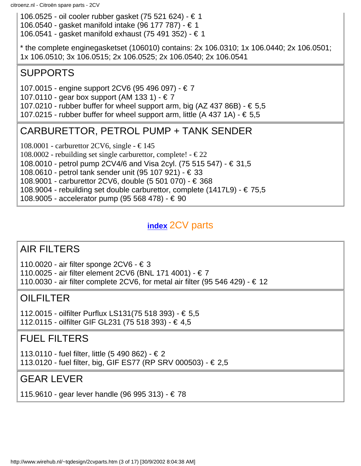106.0525 - oil cooler rubber gasket (75 521 624) - € 1 106.0540 - gasket manifold intake (96 177 787) - € 1 106.0541 - gasket manifold exhaust (75 491 352) - € 1

\* the complete enginegasketset (106010) contains: 2x 106.0310; 1x 106.0440; 2x 106.0501; 1x 106.0510; 3x 106.0515; 2x 106.0525; 2x 106.0540; 2x 106.0541

### <span id="page-26-0"></span>SUPPORTS

107.0015 - engine support 2CV6 (95 496 097) - € 7

107.0110 - gear box support (AM 133 1) - € 7

107.0210 - rubber buffer for wheel support arm, big (AZ 437 86B) -  $\in$  5,5

107.0215 - rubber buffer for wheel support arm, little  $(A 437 1A) - \epsilon 5.5$ 

### CARBURETTOR, PETROL PUMP + TANK SENDER

108.0001 - carburettor 2CV6, single -  $\in$  145

108.0002 - rebuilding set single carburettor, complete! -  $\in$  22

108.0010 - petrol pump 2CV4/6 and Visa 2cyl. (75 515 547) - € 31,5

108.0610 - petrol tank sender unit (95 107 921) - € 33

108.9001 - carburettor 2CV6, double (5 501 070) - € 368

108.9004 - rebuilding set double carburettor, complete (1417L9) - € 75,5

108.9005 - accelerator pump (95 568 478) - € 90

### **[index](#page-24-2)** 2CV parts

### AIR FILTERS

110.0020 - air filter sponge 2CV6 - € 3

110.0025 - air filter element 2CV6 (BNL 171 4001) - € 7

110.0030 - air filter complete 2CV6, for metal air filter (95 546 429) - € 12

### <span id="page-26-1"></span>OILFILTER

112.0015 - oilfilter Purflux LS131(75 518 393) - € 5,5 112.0115 - oilfilter GIF GL231 (75 518 393) - € 4,5

### <span id="page-26-2"></span>FUEL FILTERS

113.0110 - fuel filter, little (5 490 862) - € 2 113.0120 - fuel filter, big, GIF ES77 (RP SRV 000503) - € 2,5

### <span id="page-26-3"></span>GEAR LEVER

115.9610 - gear lever handle (96 995 313) - € 78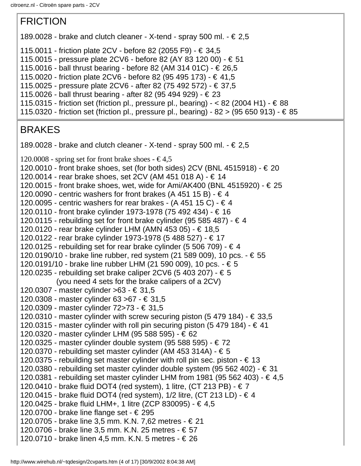### <span id="page-27-0"></span>FRICTION

- 189.0028 brake and clutch cleaner X-tend spray 500 ml.  $\epsilon \in \mathbb{Z}$ ,5
- 115.0011 friction plate 2CV before 82 (2055 F9) € 34,5
- 115.0015 pressure plate 2CV6 before 82 (AY 83 120 00) € 51
- 115.0016 ball thrust bearing before 82 (AM 314 01C) € 26,5
- 115.0020 friction plate 2CV6 before 82 (95 495 173) € 41,5
- 115.0025 pressure plate 2CV6 after 82 (75 492 572) € 37,5
- 115.0026 ball thrust bearing after 82 (95 494 929) € 23
- 115.0315 friction set (friction pl., pressure pl., bearing)  $-$  < 82 (2004 H1)  $\in$  88
- 115.0320 friction set (friction pl., pressure pl., bearing) 82 > (95 650 913) € 85

### BRAKES

- 189.0028 brake and clutch cleaner X-tend spray 500 ml.  $\in 2.5$
- 120.0008 spring set for front brake shoes  $\in$  4,5
- 120.0010 front brake shoes, set (for both sides) 2CV (BNL 4515918)  $\in$  20
- 120.0014 rear brake shoes, set 2CV (AM 451 018 A) € 14
- 120.0015 front brake shoes, wet, wide for Ami/AK400 (BNL 4515920) € 25
- 120.0090 centric washers for front brakes (A 451 15 B)  $\in$  4
- 120.0095 centric washers for rear brakes  $(A 451 15 C) \epsilon 4$
- 120.0110 front brake cylinder 1973-1978 (75 492 434) € 16
- 120.0115 rebuilding set for front brake cylinder (95 585 487)  $\in$  4
- 120.0120 rear brake cylinder LHM (AMN 453 05) € 18,5
- 120.0122 rear brake cylinder 1973-1978 (5 488 527) € 17
- 120.0125 rebuilding set for rear brake cylinder (5 506 709)  $\in$  4
- 120.0190/10 brake line rubber, red system (21 589 009), 10 pcs. € 55
- 120.0191/10 brake line rubber LHM (21 590 009), 10 pcs. € 5
- 120.0235 rebuilding set brake caliper 2CV6 (5 403 207) € 5
	- (you need 4 sets for the brake calipers of a 2CV)
- 120.0307 master cylinder >63 € 31,5
- 120.0308 master cylinder 63 >67 € 31,5
- 120.0309 master cylinder 72>73 € 31,5
- 120.0310 master cylinder with screw securing piston (5 479 184)  $\in$  33,5
- 120.0315 master cylinder with roll pin securing piston  $(5 479 184) \epsilon$  41
- 120.0320 master cylinder LHM (95 588 595) € 62
- 120.0325 master cylinder double system (95 588 595) € 72
- 120.0370 rebuilding set master cylinder (AM 453 314A)  $\in$  5
- 120.0375 rebuilding set master cylinder with roll pin sec. piston  $-\epsilon$  13
- 120.0380 rebuilding set master cylinder double system (95 562 402) € 31
- 120.0381 rebuilding set master cylinder LHM from 1981 (95 562 403) € 4,5
- 120.0410 brake fluid DOT4 (red system), 1 litre, (CT 213 PB)  $\in$  7

```
120.0415 - brake fluid DOT4 (red system), 1/2 litre, (CT 213 LD) - € 4
```
- 120.0425 brake fluid LHM+, 1 litre (ZCP 830095) € 4,5
- 120.0700 brake line flange set € 295
- 120.0705 brake line 3,5 mm. K.N. 7,62 metres € 21
- 120.0706 brake line 3,5 mm. K.N. 25 metres € 57
- 120.0710 brake linen 4,5 mm. K.N. 5 metres € 26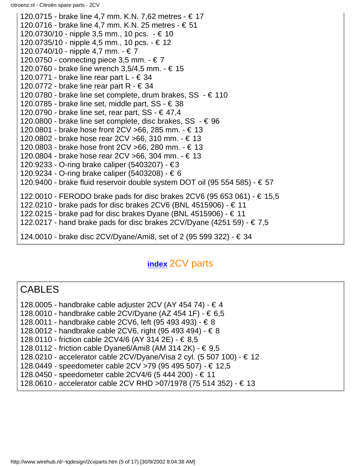citroenz.nl - Citroën spare parts - 2CV

120.0715 - brake line 4,7 mm. K.N. 7,62 metres - € 17 120.0716 - brake line 4,7 mm. K.N. 25 metres - € 51 120.0730/10 - nipple 3,5 mm., 10 pcs. - € 10 120.0735/10 - nipple 4,5 mm., 10 pcs. - € 12 120.0740/10 - nipple 4,7 mm. - € 7 120.0750 - connecting piece 3,5 mm.  $\textbf{-} \in \textbf{7}$ 120.0760 - brake line wrench 3,5/4,5 mm. - € 15 120.0771 - brake line rear part  $L - \epsilon$  34 120.0772 - brake line rear part R -  $\in$  34 120.0780 - brake line set complete, drum brakes,  $SS - \epsilon$  110 120.0785 - brake line set, middle part,  $SS - \epsilon$  38 120.0790 - brake line set, rear part, SS -  $\in$  47,4 120.0800 - brake line set complete, disc brakes,  $SS - \epsilon$  96 120.0801 - brake hose front 2CV >66, 285 mm. - € 13 120.0802 - brake hose rear 2CV >66, 310 mm. - € 13 120.0803 - brake hose front 2CV >66, 280 mm. - € 13 120.0804 - brake hose rear 2CV >66, 304 mm. - € 13 120.9233 - O-ring brake caliper (5403207) - €3 120.9234 - O-ring brake caliper (5403208) - € 6 120.9400 - brake fluid reservoir double system DOT oil (95 554 585) -  $\in$  57 122.0010 - FERODO brake pads for disc brakes 2CV6 (95 653 061) - € 15,5 122.0210 - brake pads for disc brakes 2CV6 (BNL 4515906) - € 11 122.0215 - brake pad for disc brakes Dyane (BNL 4515906) - € 11 122.0217 - hand brake pads for disc brakes 2CV/Dyane (4251 59) -  $\in 7.5$ 124.0010 - brake disc 2CV/Dyane/Ami8, set of 2 (95 599 322) - € 34

### **[index](#page-24-2)** 2CV parts

### **CABLES**

- 128.0005 handbrake cable adjuster 2CV (AY 454 74)  $\in$  4
- 128.0010 handbrake cable 2CV/Dyane (AZ 454 1F) € 6,5
- 128.0011 handbrake cable 2CV6, left (95 493 493) € 8
- 128.0012 handbrake cable 2CV6, right (95 493 494) € 8
- 128.0110 friction cable 2CV4/6 (AY 314 2E) € 8,5
- 128.0112 friction cable Dyane6/Ami8 (AM 314 2K) € 9,5
- 128.0210 accelerator cable 2CV/Dyane/Visa 2 cyl. (5 507 100) € 12
- 128.0449 speedometer cable 2CV >79 (95 495 507) € 12,5
- 128.0450 speedometer cable 2CV4/6 (5 444 200) € 11
- 128.0610 accelerator cable 2CV RHD >07/1978 (75 514 352) € 13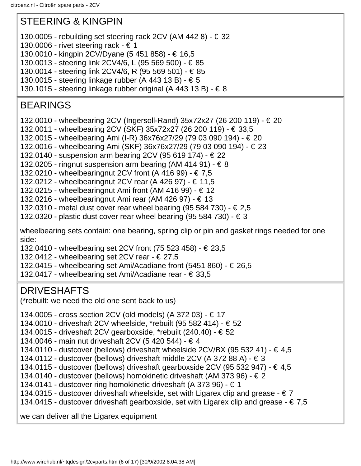### <span id="page-29-0"></span>STEERING & KINGPIN

- 130.0005 rebuilding set steering rack 2CV (AM 442 8)  $\in$  32
- 130.0006 rivet steering rack  $\in$  1
- 130.0010 kingpin 2CV/Dyane (5 451 858) € 16,5
- 130.0013 steering link 2CV4/6, L (95 569 500) € 85
- 130.0014 steering link 2CV4/6, R (95 569 501) € 85
- 130.0015 steering linkage rubber (A 443 13 B) € 5
- 130.1015 steering linkage rubber original (A 443 13 B)  $\in$  8

### BEARINGS

- 132.0010 wheelbearing 2CV (Ingersoll-Rand) 35x72x27 (26 200 119) € 20
- 132.0011 wheelbearing 2CV (SKF) 35x72x27 (26 200 119) € 33,5
- 132.0015 wheelbearing Ami (I-R) 36x76x27/29 (79 03 090 194) € 20
- 132.0016 wheelbearing Ami (SKF) 36x76x27/29 (79 03 090 194) € 23
- 132.0140 suspension arm bearing 2CV (95 619 174) € 22
- 132.0205 ringnut suspension arm bearing (AM 414 91)  $\in$  8
- 132.0210 wheelbearing nut 2CV front (A 416 99) € 7,5
- 132.0212 wheelbearingnut 2CV rear (A 426 97) € 11,5
- 132.0215 wheelbearingnut Ami front (AM 416 99)  $\in$  12
- 132.0216 wheelbearingnut Ami rear (AM 426 97) € 13
- 132.0310 metal dust cover rear wheel bearing (95 584 730) € 2,5
- 132.0320 plastic dust cover rear wheel bearing (95 584 730)  $\in$  3

wheelbearing sets contain: one bearing, spring clip or pin and gasket rings needed for one side:

- 132.0410 wheelbearing set 2CV front (75 523 458) € 23,5
- 132.0412 wheelbearing set 2CV rear  $\in$  27.5
- 132.0415 wheelbearing set Ami/Acadiane front  $(5451 860)$   $\in$  26,5
- 132.0417 wheelbearing set Ami/Acadiane rear € 33,5

### DRIVESHAFTS

(\*rebuilt: we need the old one sent back to us)

134.0005 - cross section 2CV (old models) (A 372 03) - € 17

- 134.0010 driveshaft 2CV wheelside, \*rebuilt (95 582 414) € 52
- 134.0015 driveshaft 2CV gearboxside, \*rebuilt (240.40) € 52
- 134.0046 main nut driveshaft 2CV (5 420 544) € 4
- 134.0110 dustcover (bellows) driveshaft wheelside  $2CV/BX$  (95 532 41)  $\in$  4.5
- 134.0112 dustcover (bellows) driveshaft middle 2CV (A 372 88 A)  $\in$  3
- 134.0115 dustcover (bellows) driveshaft gearboxside 2CV (95 532 947) € 4,5
- 134.0140 dustcover (bellows) homokinetic driveshaft (AM 373 96) € 2
- 134.0141 dustcover ring homokinetic driveshaft (A 373 96) € 1
- 134.0315 dustcover driveshaft wheelside, set with Ligarex clip and grease  $\in 7$
- 134.0415 dustcover driveshaft gearboxside, set with Ligarex clip and grease  $\epsilon$  7,5

we can deliver all the Ligarex equipment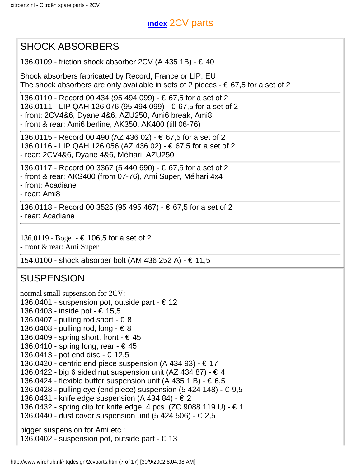### **[index](#page-24-2)** 2CV parts

### <span id="page-30-0"></span>SHOCK ABSORBERS

136.0109 - friction shock absorber 2CV (A 435 1B) - € 40

Shock absorbers fabricated by Record, France or LIP, EU The shock absorbers are only available in sets of 2 pieces  $- \epsilon$  67,5 for a set of 2

136.0110 - Record 00 434 (95 494 099) - € 67,5 for a set of 2 136.0111 - LIP QAH 126.076 (95 494 099) - € 67,5 for a set of 2 - front: 2CV4&6, Dyane 4&6, AZU250, Ami6 break, Ami8

- front & rear: Ami6 berline, AK350, AK400 (till 06-76)

136.0115 - Record 00 490 (AZ 436 02) - € 67,5 for a set of 2 136.0116 - LIP QAH 126.056 (AZ 436 02) - € 67,5 for a set of 2 - rear: 2CV4&6, Dyane 4&6, Méhari, AZU250

136.0117 - Record 00 3367 (5 440 690) - € 67,5 for a set of 2

- front & rear: AKS400 (from 07-76), Ami Super, Méhari 4x4

- front: Acadiane

- rear: Ami8

136.0118 - Record 00 3525 (95 495 467) - € 67,5 for a set of 2 - rear: Acadiane

136.0119 - Boge - € 106,5 for a set of 2

- front & rear: Ami Super

154.0100 - shock absorber bolt (AM 436 252 A) - € 11,5

### <span id="page-30-1"></span>**SUSPENSION**

normal small supsension for 2CV:

- 136.0401 suspension pot, outside part  $\in$  12
- 136.0403 inside pot € 15,5
- 136.0407 pulling rod short  $\in$  8
- 136.0408 pulling rod, long  $\in$  8
- 136.0409 spring short, front  $\in$  45
- 136.0410 spring long, rear € 45
- 136.0413 pot end disc € 12,5
- 136.0420 centric end piece suspension (A 434 93)  $\in$  17
- 136.0422 big 6 sided nut suspension unit (AZ 434 87)  $\in$  4
- 136.0424 flexible buffer suspension unit (A 435 1 B)  $\in$  6,5
- 136.0428 pulling eye (end piece) suspension  $(5 424 148)$  € 9.5
- 136.0431 knife edge suspension (A 434 84) € 2
- 136.0432 spring clip for knife edge, 4 pcs. (ZC 9088 119 U) € 1
- 136.0440 dust cover suspension unit (5 424 506) € 2,5

bigger suspension for Ami etc.:

136.0402 - suspension pot, outside part -  $\in$  13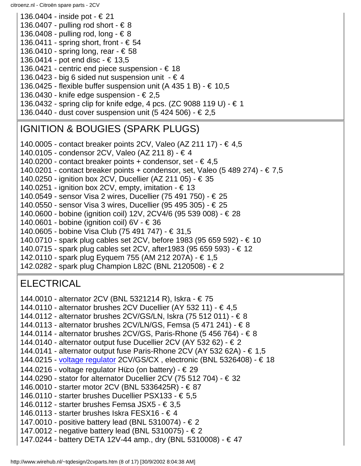136.0404 - inside pot - € 21 136.0407 - pulling rod short -  $\in$  8 136.0408 - pulling rod, long -  $\in$  8 136.0411 - spring short, front -  $\in$  54 136.0410 - spring long, rear -  $\in$  58 136.0414 - pot end disc - € 13,5 136.0421 - centric end piece suspension -  $\in$  18 136.0423 - big 6 sided nut suspension unit  $- \notin 4$ 136.0425 - flexible buffer suspension unit (A 435 1 B) -  $\in$  10,5 136.0430 - knife edge suspension -  $\in$  2,5 136.0432 - spring clip for knife edge, 4 pcs. (ZC 9088 119 U) - € 1 136.0440 - dust cover suspension unit  $(5 424 506)$  - € 2,5 IGNITION & BOUGIES (SPARK PLUGS)

<span id="page-31-0"></span>140.0005 - contact breaker points 2CV, Valeo (AZ 211 17) - € 4,5

140.0105 - condensor 2CV, Valeo (AZ 211 8) - € 4

140.0200 - contact breaker points + condensor, set -  $\in$  4,5

140.0201 - contact breaker points + condensor, set, Valeo (5 489 274) -  $\in 7.5$ 

140.0250 - ignition box 2CV, Ducellier (AZ 211 05) - € 35

- 140.0251 ignition box 2CV, empty, imitation  $\in$  13
- 140.0549 sensor Visa 2 wires, Ducellier (75 491 750) € 25

140.0550 - sensor Visa 3 wires, Ducellier (95 495 305) - € 25

140.0600 - bobine (ignition coil) 12V, 2CV4/6 (95 539 008) - € 28

140.0601 - bobine (ignition coil) 6V - € 36

140.0605 - bobine Visa Club (75 491 747) - € 31,5

140.0710 - spark plug cables set 2CV, before 1983 (95 659 592) - € 10

140.0715 - spark plug cables set 2CV, after1983 (95 659 593) - € 12

142.0110 - spark plug Eyquem 755 (AM 212 207A) - € 1,5

142.0282 - spark plug Champion L82C (BNL 2120508) - € 2

### **ELECTRICAL**

144.0010 - alternator 2CV (BNL 5321214 R), Iskra - € 75

- 144.0110 alternator brushes 2CV Ducellier (AY 532 11) € 4,5
- 144.0112 alternator brushes 2CV/GS/LN, Iskra (75 512 011) € 8

144.0113 - alternator brushes 2CV/LN/GS, Femsa (5 471 241) - € 8

144.0114 - alternator brushes 2CV/GS, Paris-Rhone (5 456 764) - € 8

- 144.0140 alternator output fuse Ducellier 2CV (AY 532 62) € 2
- 144.0141 alternator output fuse Paris-Rhone 2CV (AY 532 62A) € 1,5
- 144.0215 [voltage regulator](http://www.wirehub.nl/~tqdesign/spanningsregelaar.jpg) 2CV/GS/CX , electronic (BNL 5326408) € 18
- 144.0216 voltage regulator Hüco (on battery)  $\in$  29

144.0290 - stator for alternator Ducellier 2CV (75 512 704) - € 32

- 146.0010 starter motor 2CV (BNL 5336425R) € 87
- 146.0110 starter brushes Ducellier PSX133 € 5,5
- 146.0112 starter brushes Femsa JSX5  $\in$  3,5
- 146.0113 starter brushes Iskra FESX16  $\in$  4
- 147.0010 positive battery lead (BNL 5310074) € 2
- 147.0012 negative battery lead (BNL 5310075) € 2
- 147.0244 battery DETA 12V-44 amp., dry (BNL 5310008) € 47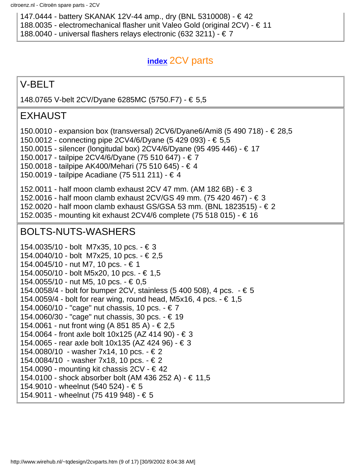147.0444 - battery SKANAK 12V-44 amp., dry (BNL 5310008) - € 42

188.0035 - electromechanical flasher unit Valeo Gold (original 2CV) - € 11

188.0040 - universal flashers relays electronic (632 3211) - € 7

### **[index](#page-24-2)** 2CV parts

### <span id="page-32-0"></span>V-BELT

148.0765 V-belt 2CV/Dyane 6285MC (5750.F7) - € 5,5

### <span id="page-32-1"></span>EXHAUST

150.0010 - expansion box (transversal) 2CV6/Dyane6/Ami8 (5 490 718) - € 28,5

150.0012 - connecting pipe 2CV4/6/Dyane (5 429 093) - € 5,5

150.0015 - silencer (longitudal box) 2CV4/6/Dyane (95 495 446) - € 17

150.0017 - tailpipe 2CV4/6/Dyane (75 510 647) - € 7

150.0018 - tailpipe AK400/Mehari (75 510 645) - € 4

150.0019 - tailpipe Acadiane (75 511 211) - € 4

152.0011 - half moon clamb exhaust 2CV 47 mm. (AM 182 6B) - € 3

152.0016 - half moon clamb exhaust 2CV/GS 49 mm. (75 420 467) - € 3

152.0020 - half moon clamb exhaust GS/GSA 53 mm. (BNL 1823515) - € 2

152.0035 - mounting kit exhaust 2CV4/6 complete (75 518 015) - € 16

### BOLTS-NUTS-WASHERS

154.0035/10 - bolt M7x35, 10 pcs. - € 3 154.0040/10 - bolt M7x25, 10 pcs. - € 2,5 154.0045/10 - nut M7, 10 pcs. - € 1 154.0050/10 - bolt M5x20, 10 pcs. - € 1,5 154.0055/10 - nut M5, 10 pcs. - € 0,5 154.0058/4 - bolt for bumper 2CV, stainless (5 400 508), 4 pcs. - € 5 154.0059/4 - bolt for rear wing, round head, M5x16, 4 pcs.  $\cdot \in 1.5$ 154.0060/10 - "cage" nut chassis, 10 pcs. - € 7 154.0060/30 - "cage" nut chassis, 30 pcs. - € 19 154.0061 - nut front wing (A 851 85 A) - € 2,5 154.0064 - front axle bolt 10x125 (AZ 414 90) - € 3 154.0065 - rear axle bolt 10x135 (AZ 424 96) - € 3 154.0080/10 - washer 7x14, 10 pcs. - € 2 154.0084/10 - washer 7x18, 10 pcs. - € 2 154.0090 - mounting kit chassis  $2CV - € 42$ 154.0100 - shock absorber bolt (AM 436 252 A) - € 11,5 154.9010 - wheelnut (540 524) - € 5 154.9011 - wheelnut (75 419 948) - € 5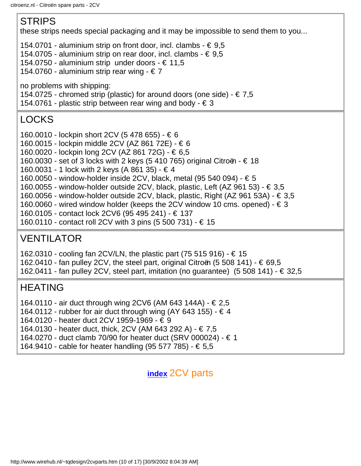### <span id="page-33-1"></span><span id="page-33-0"></span>STRIPS these strips needs special packaging and it may be impossible to send them to you... 154.0701 - aluminium strip on front door, incl. clambs  $- \epsilon$  9,5 154.0705 - aluminium strip on rear door, incl. clambs -  $\in$  9,5 154.0750 - aluminium strip under doors - € 11,5 154.0760 - aluminium strip rear wing -  $\in$  7 no problems with shipping: 154.0725 - chromed strip (plastic) for around doors (one side) -  $\in 7.5$ 154.0761 - plastic strip between rear wing and body -  $\in$  3 LOCKS 160.0010 - lockpin short 2CV (5 478 655) - € 6 160.0015 - lockpin middle 2CV (AZ 861 72E) - € 6 160.0020 - lockpin long 2CV (AZ 861 72G) - € 6,5 160.0030 - set of 3 locks with 2 keys (5 410 765) original Citroën -  $\in$  18 160.0031 - 1 lock with 2 keys (A 861 35) - € 4 160.0050 - window-holder inside 2CV, black, metal (95 540 094) - € 5 160.0055 - window-holder outside 2CV, black, plastic, Left (AZ 961 53) - € 3,5 160.0056 - window-holder outside 2CV, black, plastic, Right (AZ 961 53A) - € 3,5 160.0060 - wired window holder (keeps the 2CV window 10 cms. opened) -  $\in$  3 160.0105 - contact lock 2CV6 (95 495 241) - € 137 160.0110 - contact roll 2CV with 3 pins (5 500 731) - € 15 VENTILATOR 162.0310 - cooling fan 2CV/LN, the plastic part (75 515 916) - € 15 162.0410 - fan pulley 2CV, the steel part, original Citroën (5 508 141) -  $\in$  69,5 162.0411 - fan pulley 2CV, steel part, imitation (no guarantee)  $(5\ 508\ 141)$  -  $\in$  32,5 HEATING 164.0110 - air duct through wing 2CV6 (AM 643 144A) - € 2,5 164.0112 - rubber for air duct through wing (AY 643 155) -  $\in$  4 164.0120 - heater duct 2CV 1959-1969 - € 9

<span id="page-33-3"></span><span id="page-33-2"></span>164.0130 - heater duct, thick, 2CV (AM 643 292 A) - € 7,5

164.0270 - duct clamb 70/90 for heater duct (SRV 000024) - € 1

164.9410 - cable for heater handling (95 577 785) - € 5,5

**[index](#page-24-2)** 2CV parts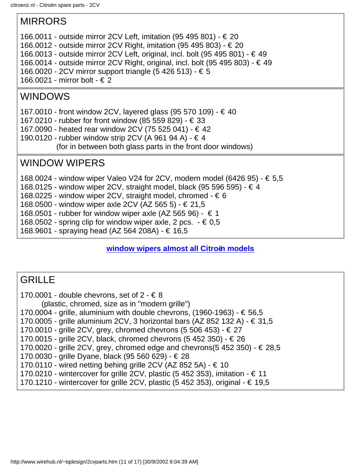### <span id="page-34-0"></span>MIRRORS

- 166.0011 outside mirror 2CV Left, imitation (95 495 801) € 20
- 166.0012 outside mirror 2CV Right, imitation (95 495 803) € 20
- 166.0013 outside mirror 2CV Left, original, incl. bolt (95 495 801) € 49
- 166.0014 outside mirror 2CV Right, original, incl. bolt (95 495 803)  $\in$  49
- 166.0020 2CV mirror support triangle (5 426 513) € 5
- 166.0021 mirror bolt € 2

### <span id="page-34-1"></span>WINDOWS

167.0010 - front window 2CV, layered glass (95 570 109) - € 40

- 167.0210 rubber for front window (85 559 829) € 33
- 167.0090 heated rear window 2CV (75 525 041) € 42
- 190.0120 rubber window strip 2CV (A 961 94 A) € 4
	- (for in between both glass parts in the front door windows)

### <span id="page-34-2"></span>WINDOW WIPERS

- 168.0024 window wiper Valeo V24 for 2CV, modern model (6426 95) € 5,5
- 168.0125 window wiper 2CV, straight model, black (95 596 595) € 4
- 168.0225 window wiper 2CV, straight model, chromed  $\in$  6
- 168.0500 window wiper axle 2CV (AZ 565 5) € 21,5
- 168.0501 rubber for window wiper axle (AZ 565 96)  $\in$  1
- 168.0502 spring clip for window wiper axle, 2 pcs.  $\cdot \in 0.5$
- 168.9601 spraying head (AZ 564 208A) € 16,5

### **[window wipers almost all Citroën models](#page-16-0)**

### <span id="page-34-3"></span>**GRILLE**

170.0001 - double chevrons, set of  $2 - 68$  (plastic, chromed, size as in "modern grille") 170.0004 - grille, aluminium with double chevrons, (1960-1963) - € 56,5 170.0005 - grille aluminium 2CV, 3 horizontal bars (AZ 852 132 A) -  $\in$  31,5 170.0010 - grille 2CV, grey, chromed chevrons (5 506 453) - € 27 170.0015 - grille 2CV, black, chromed chevrons (5 452 350) - € 26 170.0020 - grille 2CV, grey, chromed edge and chevrons(5 452 350) -  $\in$  28,5 170.0030 - grille Dyane, black (95 560 629) - € 28 170.0110 - wired netting behing grille 2CV (AZ 852 5A) -  $\in$  10 170.0210 - wintercover for grille 2CV, plastic (5 452 353), imitation -  $\in$  11 170.1210 - wintercover for grille 2CV, plastic (5 452 353), original -  $\in$  19,5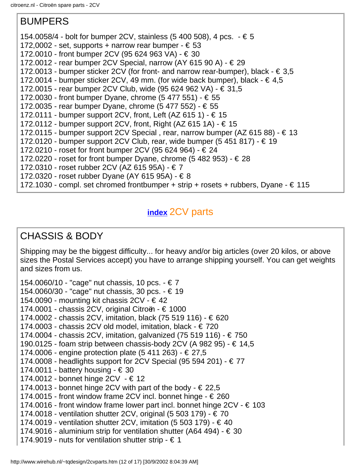### BUMPERS

154.0058/4 - bolt for bumper 2CV, stainless (5 400 508), 4 pcs.  $\cdot \in$  5

- 172,0002 set, supports + narrow rear bumper  $\in$  53
- 172.0010 front bumper 2CV (95 624 963 VA) € 30
- 172.0012 rear bumper 2CV Special, narrow (AY 615 90 A) € 29
- 172.0013 bumper sticker 2CV (for front- and narrow rear-bumper), black  $\in$  3,5
- 172.0014 bumper sticker 2CV, 49 mm. (for wide back bumper), black  $\in$  4,5
- 172.0015 rear bumper 2CV Club, wide (95 624 962 VA) € 31,5
- 172.0030 front bumper Dyane, chrome (5 477 551) € 55
- 172.0035 rear bumper Dyane, chrome (5 477 552) € 55
- 172.0111 bumper support 2CV, front, Left (AZ 615 1)  $\in$  15
- 172.0112 bumper support 2CV, front, Right (AZ 615 1A) € 15
- 172.0115 bumper support 2CV Special, rear, narrow bumper (AZ 615 88)  $\in$  13
- 172.0120 bumper support 2CV Club, rear, wide bumper (5 451 817)  $\in$  19
- 172.0210 roset for front bumper 2CV (95 624 964) € 24
- 172.0220 roset for front bumper Dyane, chrome  $(5 482 953)$  € 28
- 172.0310 roset rubber 2CV (AZ 615 95A) € 7
- 172.0320 roset rubber Dyane (AY 615 95A) € 8
- 172.1030 compl. set chromed frontbumper + strip + rosets + rubbers, Dyane  $\epsilon$  115

### **[index](#page-24-2)** 2CV parts

### CHASSIS & BODY

Shipping may be the biggest difficulty... for heavy and/or big articles (over 20 kilos, or above sizes the Postal Services accept) you have to arrange shipping yourself. You can get weights and sizes from us.

154.0060/10 - "cage" nut chassis, 10 pcs. - € 7 154.0060/30 - "cage" nut chassis, 30 pcs. - € 19 154.0090 - mounting kit chassis  $2CV - € 42$ 174.0001 - chassis 2CV, original Citroën - € 1000 174.0002 - chassis 2CV, imitation, black (75 519 116) - € 620 174.0003 - chassis 2CV old model, imitation, black - € 720 174.0004 - chassis 2CV, imitation, galvanized (75 519 116) - € 750 190.0125 - foam strip between chassis-body 2CV (A 982 95) -  $\in$  14.5 174.0006 - engine protection plate (5 411 263) - € 27,5 174.0008 - headlights support for 2CV Special (95 594 201) - € 77 174.0011 - battery housing -  $\in$  30 174.0012 - bonnet hinge 2CV - € 12 174.0013 - bonnet hinge 2CV with part of the body  $-\epsilon$  22,5 174.0015 - front window frame 2CV incl. bonnet hinge -  $\epsilon$  260 174.0016 - front window frame lower part incl. bonnet hinge  $2CV - \epsilon$  103 174.0018 - ventilation shutter 2CV, original (5 503 179) - € 70 174.0019 - ventilation shutter 2CV, imitation (5 503 179) -  $\in$  40 174.9016 - aluminium strip for ventilation shutter (A64 494) -  $\in$  30 174.9019 - nuts for ventilation shutter strip -  $\in$  1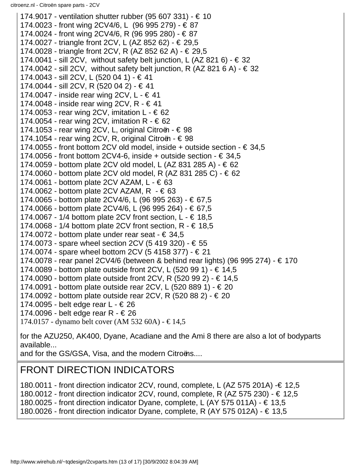174.9017 - ventilation shutter rubber (95 607 331) - € 10 174.0023 - front wing 2CV4/6, L (96 995 279) - € 87 174.0024 - front wing 2CV4/6, R (96 995 280) - € 87 174.0027 - triangle front 2CV, L (AZ 852 62) - € 29,5 174.0028 - triangle front 2CV, R (AZ 852 62 A) - € 29,5 174.0041 - sill 2CV, without safety belt junction, L (AZ 821 6) -  $\in$  32 174.0042 - sill 2CV, without safety belt junction, R (AZ 821 6 A) -  $\in$  32 174.0043 - sill 2CV, L (520 04 1) - € 41 174.0044 - sill 2CV, R (520 04 2) - € 41 174.0047 - inside rear wing  $2CV, L - \epsilon$  41 174.0048 - inside rear wing 2CV, R  $- \in 41$ 174.0053 - rear wing 2CV, imitation  $L - \epsilon$  62 174.0054 - rear wing 2CV, imitation R -  $\in$  62 174.1053 - rear wing 2CV, L, original Citroën -  $\in$  98 174.1054 - rear wing 2CV, R, original Citroën -  $\in$  98 174.0055 - front bottom 2CV old model, inside + outside section  $- \epsilon$  34,5 174.0056 - front bottom 2CV4-6, inside + outside section  $- \epsilon$  34.5 174.0059 - bottom plate 2CV old model, L (AZ 831 285 A) - € 62 174.0060 - bottom plate 2CV old model, R (AZ 831 285 C) - € 62 174.0061 - bottom plate 2CV AZAM,  $L - \epsilon$  63 174.0062 - bottom plate 2CV AZAM,  $R - \epsilon$  63 174.0065 - bottom plate 2CV4/6, L (96 995 263) - € 67,5 174.0066 - bottom plate 2CV4/6, L (96 995 264) - € 67,5 174.0067 - 1/4 bottom plate 2CV front section,  $L - \epsilon$  18,5 174.0068 - 1/4 bottom plate 2CV front section,  $R - \epsilon$  18,5 174.0072 - bottom plate under rear seat -  $\in$  34,5 174.0073 - spare wheel section 2CV (5 419 320) - € 55 174.0074 - spare wheel bottom 2CV (5 4158 377) - € 21 174.0078 - rear panel 2CV4/6 (between & behind rear lights) (96 995 274) - € 170 174.0089 - bottom plate outside front 2CV, L (520 99 1) - € 14,5 174.0090 - bottom plate outside front 2CV, R (520 99 2) - € 14,5 174.0091 - bottom plate outside rear 2CV, L  $(520 889 1)$  - € 20 174.0092 - bottom plate outside rear 2CV, R (520 88 2) - € 20 174.0095 - belt edge rear  $L - \epsilon$  26 174.0096 - belt edge rear R - € 26 174.0157 - dynamo belt cover (AM 532 60A) - € 14,5 for the AZU250, AK400, Dyane, Acadiane and the Ami 8 there are also a lot of bodyparts available...

and for the GS/GSA, Visa, and the modern Citroëns....

# FRONT DIRECTION INDICATORS

180.0011 - front direction indicator 2CV, round, complete, L (AZ 575 201A) -€ 12,5 180.0012 - front direction indicator 2CV, round, complete, R (AZ 575 230) - € 12,5 180.0025 - front direction indicator Dyane, complete, L (AY 575 011A) -  $\in$  13,5 180.0026 - front direction indicator Dyane, complete, R (AY 575 012A) - € 13,5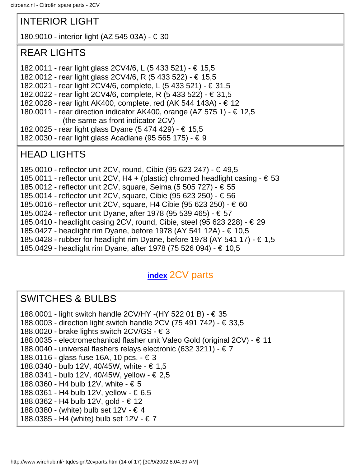# INTERIOR LIGHT

180.9010 - interior light (AZ 545 03A) - € 30

## REAR LIGHTS

- 182.0011 rear light glass 2CV4/6, L (5 433 521) € 15,5
- 182.0012 rear light glass 2CV4/6, R (5 433 522) € 15,5
- 182.0021 rear light 2CV4/6, complete, L (5 433 521) € 31,5
- 182.0022 rear light 2CV4/6, complete, R (5 433 522) € 31,5
- 182.0028 rear light AK400, complete, red (AK 544 143A) € 12
- 180.0011 rear direction indicator AK400, orange (AZ 575 1)  $\in$  12,5 (the same as front indicator 2CV)
- 182.0025 rear light glass Dyane (5 474 429) € 15,5
- 182.0030 rear light glass Acadiane (95 565 175) € 9

# HEAD LIGHTS

- 185.0010 reflector unit 2CV, round, Cibie (95 623 247) € 49,5
- 185.0011 reflector unit 2CV, H4 + (plastic) chromed headlight casing  $\epsilon$  53
- 185.0012 reflector unit 2CV, square, Seima (5 505 727) € 55
- 185.0014 reflector unit 2CV, square, Cibie (95 623 250) € 56
- 185.0016 reflector unit 2CV, square, H4 Cibie (95 623 250) € 60
- 185.0024 reflector unit Dyane, after 1978 (95 539 465) € 57
- 185.0410 headlight casing 2CV, round, Cibie, steel (95 623 228) € 29
- 185.0427 headlight rim Dyane, before 1978 (AY 541 12A) € 10,5
- 185.0428 rubber for headlight rim Dyane, before 1978 (AY 541 17) € 1,5
- 185.0429 headlight rim Dyane, after 1978 (75 526 094) € 10,5

# **[index](#page-24-0)** 2CV parts

# SWITCHES & BULBS

- 188.0001 light switch handle 2CV/HY -(HY 522 01 B) € 35
- 188.0003 direction light switch handle 2CV (75 491 742) € 33,5
- 188.0020 brake lights switch 2CV/GS  $\in$  3
- 188.0035 electromechanical flasher unit Valeo Gold (original 2CV) € 11
- 188.0040 universal flashers relays electronic (632 3211) € 7
- 188.0116 glass fuse 16A, 10 pcs. € 3
- 188.0340 bulb 12V, 40/45W, white € 1,5
- 188.0341 bulb 12V, 40/45W, yellow € 2,5
- 188.0360 H4 bulb 12V, white € 5
- 188.0361 H4 bulb 12V, yellow € 6,5
- 188.0362 H4 bulb 12V, gold € 12
- 188.0380 (white) bulb set 12V € 4
- 188.0385 H4 (white) bulb set 12V € 7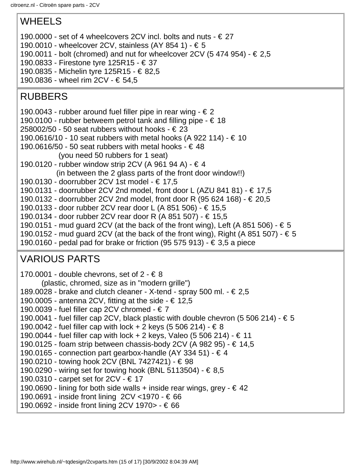# WHEELS

190.0000 - set of 4 wheelcovers 2CV incl. bolts and nuts  $- \epsilon$  27

- 190.0010 wheelcover 2CV, stainless (AY 854 1) € 5
- 190.0011 bolt (chromed) and nut for wheelcover 2CV (5 474 954)  $\in 2.5$
- 190.0833 Firestone tyre 125R15 € 37
- 190.0835 Michelin tyre 125R15 € 82,5
- 190.0836 wheel rim 2CV € 54,5

# RUBBERS

- 190.0043 rubber around fuel filler pipe in rear wing  $\epsilon$  2
- 190.0100 rubber betweem petrol tank and filling pipe  $-\epsilon$  18
- 258002/50 50 seat rubbers without hooks  $\in$  23
- 190.0616/10 10 seat rubbers with metal hooks (A 922 114) € 10
- 190.0616/50 50 seat rubbers with metal hooks  $\in$  48
	- (you need 50 rubbers for 1 seat)
- 190.0120 rubber window strip 2CV (A 961 94 A) € 4
- (in between the 2 glass parts of the front door window!!)
- 190.0130 doorrubber 2CV 1st model € 17,5
- 190.0131 doorrubber 2CV 2nd model, front door L (AZU 841 81) € 17,5
- 190.0132 doorrubber 2CV 2nd model, front door R (95 624 168) € 20,5
- 190.0133 door rubber 2CV rear door L (A 851 506) € 15,5
- 190.0134 door rubber 2CV rear door R (A 851 507) € 15,5
- 190.0151 mud guard 2CV (at the back of the front wing), Left (A 851 506)  $\in$  5
- 190.0152 mud guard 2CV (at the back of the front wing), Right (A 851 507)  $\in$  5
- 190.0160 pedal pad for brake or friction (95 575 913)  $\epsilon$  3.5 a piece

# VARIOUS PARTS

170.0001 - double chevrons, set of  $2 - 68$  (plastic, chromed, size as in "modern grille") 189.0028 - brake and clutch cleaner - X-tend - spray 500 ml. -  $\in 2.5$ 190.0005 - antenna 2CV, fitting at the side -  $\in$  12,5 190.0039 - fuel filler cap 2CV chromed -  $\in 7$ 190.0041 - fuel filler cap 2CV, black plastic with double chevron (5 506 214) -  $\in$  5 190.0042 - fuel filler cap with lock + 2 keys (5 506 214) - € 8 190.0044 - fuel filler cap with lock + 2 keys, Valeo (5 506 214) - € 11 190.0125 - foam strip between chassis-body 2CV (A 982 95) -  $\in$  14,5 190.0165 - connection part gearbox-handle (AY 334 51) -  $\in$  4 190.0210 - towing hook 2CV (BNL 7427421) - € 98 190.0290 - wiring set for towing hook (BNL 5113504) - € 8,5 190.0310 - carpet set for 2CV - € 17 190.0690 - lining for both side walls + inside rear wings, grey  $- \epsilon$  42 190.0691 - inside front lining 2CV <1970 - € 66 190.0692 - inside front lining 2CV 1970> - € 66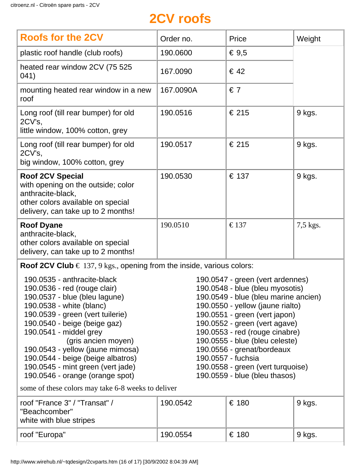# **2CV roofs**

| <b>Roofs for the 2CV</b>                                                                                                                                      | Order no. | Price          | Weight   |
|---------------------------------------------------------------------------------------------------------------------------------------------------------------|-----------|----------------|----------|
| plastic roof handle (club roofs)                                                                                                                              | 190.0600  | € $9,5$        |          |
| heated rear window 2CV (75 525)<br>041)                                                                                                                       | 167.0090  | $\epsilon$ 42  |          |
| mounting heated rear window in a new<br>roof                                                                                                                  | 167.0090A | $\epsilon$ 7   |          |
| Long roof (till rear bumper) for old<br>2CV's,<br>little window, 100% cotton, grey                                                                            | 190.0516  | € 215          | 9 kgs.   |
| Long roof (till rear bumper) for old<br>2CV's,<br>big window, 100% cotton, grey                                                                               | 190.0517  | € 215          | 9 kgs.   |
| <b>Roof 2CV Special</b><br>with opening on the outside; color<br>anthracite-black,<br>other colors available on special<br>delivery, can take up to 2 months! | 190.0530  | € 137          | 9 kgs.   |
| <b>Roof Dyane</b><br>anthracite-black,<br>other colors available on special<br>delivery, can take up to 2 months!                                             | 190.0510  | $\epsilon$ 137 | 7,5 kgs. |

**Roof 2CV Club**  $\in$  137, 9 kgs., opening from the inside, various colors:

190.0535 - anthracite-black 190.0536 - red (rouge clair) 190.0537 - blue (bleu lagune) 190.0538 - white (blanc) 190.0539 - green (vert tuilerie) 190.0540 - beige (beige gaz) 190.0541 - middel grey (gris ancien moyen) 190.0543 - yellow (jaune mimosa) 190.0544 - beige (beige albatros) 190.0545 - mint green (vert jade) 190.0546 - orange (orange spot)

190.0547 - green (vert ardennes) 190.0548 - blue (bleu myosotis) 190.0549 - blue (bleu marine ancien) 190.0550 - yellow (jaune rialto) 190.0551 - green (vert japon) 190.0552 - green (vert agave) 190.0553 - red (rouge cinabre) 190.0555 - blue (bleu celeste) 190.0556 - grenat/bordeaux 190.0557 - fuchsia 190.0558 - green (vert turquoise) 190.0559 - blue (bleu thasos)

some of these colors may take 6-8 weeks to deliver

| roof "France 3" / "Transat" /<br>"Beachcomber"<br>white with blue stripes | 190.0542 | € 180 | $\lq$ 9 kgs. |
|---------------------------------------------------------------------------|----------|-------|--------------|
| roof "Europa"                                                             | 190.0554 | € 180 | 9 kgs.       |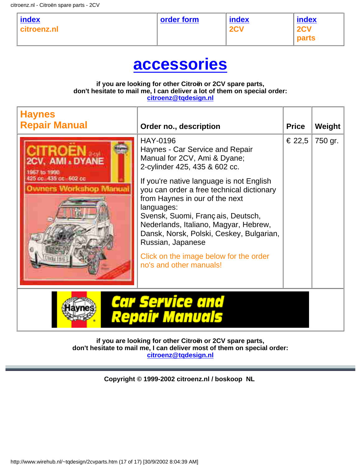| index<br>citroenz.nl | order form | index<br>2CV | index<br><b>2CV</b><br>$ $ parts |
|----------------------|------------|--------------|----------------------------------|
|----------------------|------------|--------------|----------------------------------|

# **[accessories](#page-16-0)**

#### **if you are looking for other Citroën or 2CV spare parts, don't hesitate to mail me, I can deliver a lot of them on special order: [citroenz@tqdesign.nl](mailto:citroenz@tqdesign.nl?subject=I need other Citro�n parts)**

| <b>Haynes</b><br><b>Repair Manual</b>                                                       | Order no., description                                                                                                                                                                                                                                                                                                                                                                                                                                                           | <b>Price</b> | Weight  |
|---------------------------------------------------------------------------------------------|----------------------------------------------------------------------------------------------------------------------------------------------------------------------------------------------------------------------------------------------------------------------------------------------------------------------------------------------------------------------------------------------------------------------------------------------------------------------------------|--------------|---------|
| 2CV, AMI . DYANE<br>1967 to 1950<br>425 cc. 435 cc- 602 cc<br><b>Owners Workshop Manual</b> | <b>HAY-0196</b><br>Haynes - Car Service and Repair<br>Manual for 2CV, Ami & Dyane;<br>2-cylinder 425, 435 & 602 cc.<br>If you're native language is not English<br>you can order a free technical dictionary<br>from Haynes in our of the next<br>languages:<br>Svensk, Suomi, Français, Deutsch,<br>Nederlands, Italiano, Magyar, Hebrew,<br>Dansk, Norsk, Polski, Ceskey, Bulgarian,<br>Russian, Japanese<br>Click on the image below for the order<br>no's and other manuals! | € 22,5       | 750 gr. |
|                                                                                             | Car Service and<br><b>Repair Manuals</b>                                                                                                                                                                                                                                                                                                                                                                                                                                         |              |         |

**if you are looking for other Citroën or 2CV spare parts, don't hesitate to mail me, I can deliver most of them on special order: [citroenz@tqdesign.nl](mailto:citroenz@tqdesign.nl?subject=I need other Citro�n parts)**

**Copyright © 1999-2002 citroenz.nl / boskoop NL**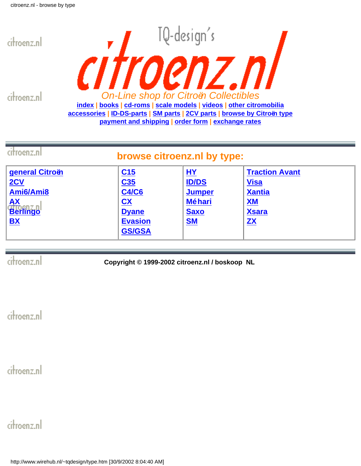<span id="page-41-0"></span>

citroenz.nl



| citroenz.nl<br>browse citroenz.nl by type:                                                                     |                                                                                                                    |                                                                             |                                                                                                               |
|----------------------------------------------------------------------------------------------------------------|--------------------------------------------------------------------------------------------------------------------|-----------------------------------------------------------------------------|---------------------------------------------------------------------------------------------------------------|
| general Citroën<br>2CV<br>Ami6/Ami8<br><b>AX</b><br>Berlingo<br>$\underline{\mathbf{B}}\underline{\mathbf{X}}$ | C15<br>C35<br><b>C4/C6</b><br>$\overline{\mathbf{C}}\mathbf{X}$<br><b>Dyane</b><br><b>Evasion</b><br><b>GS/GSA</b> | HY<br><b>ID/DS</b><br><b>Jumper</b><br><b>Méhari</b><br><b>Saxo</b><br>$SM$ | <b>Traction Avant</b><br><b>Visa</b><br><b>Xantia</b><br><b>XM</b><br><b>Xsara</b><br>$\mathbf{Z} \mathbf{X}$ |

citroenz.nl

**Copyright © 1999-2002 citroenz.nl / boskoop NL**

citroenz.nl

citroenz.nl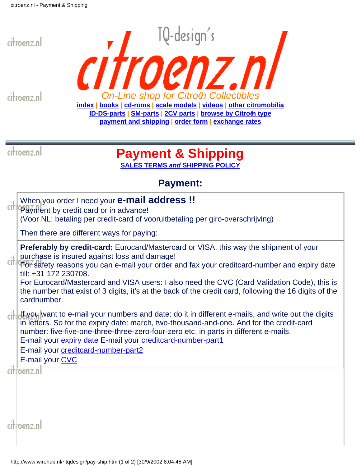<span id="page-42-0"></span>

citroenz.nl



citroenz.nl

# **Payment & Shipping**

**SALES TERMS** *and* **[SHIPPING POLICY](http://www.wirehub.nl/~tqdesign/terms.htm)**

# **Payment:**

| <u>wymsyms</u>                                                                                                                                                                                                                                                                                                                                                                                                                                                                               |
|----------------------------------------------------------------------------------------------------------------------------------------------------------------------------------------------------------------------------------------------------------------------------------------------------------------------------------------------------------------------------------------------------------------------------------------------------------------------------------------------|
| When you order I need your <b>e-mail address</b> !!<br>Payment by credit card or in advance!<br>(Voor NL: betaling per credit-card of vooruitbetaling per giro-overschrijving)                                                                                                                                                                                                                                                                                                               |
| Then there are different ways for paying:                                                                                                                                                                                                                                                                                                                                                                                                                                                    |
| <b>Preferably by credit-card:</b> Eurocard/Mastercard or VISA, this way the shipment of your<br>purchase is insured against loss and damage!<br>For safety reasons you can e-mail your order and fax your creditcard-number and expiry date<br>till: +31 172 230708.<br>For Eurocard/Mastercard and VISA users: I also need the CVC (Card Validation Code), this is<br>the number that exist of 3 digits, it's at the back of the credit card, following the 16 digits of the<br>cardnumber. |
| If you want to e-mail your numbers and date: do it in different e-mails, and write out the digits<br>in letters. So for the expiry date: march, two-thousand-and-one. And for the credit-card<br>number: five-five-one-three-three-zero-four-zero etc. in parts in different e-mails.<br>E-mail your expiry date E-mail your creditcard-number-part1<br>E-mail your creditcard-number-part2<br>E-mail your CVC                                                                               |
| roenz.nl                                                                                                                                                                                                                                                                                                                                                                                                                                                                                     |
|                                                                                                                                                                                                                                                                                                                                                                                                                                                                                              |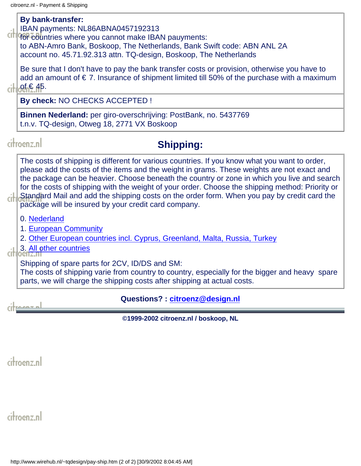#### **By bank-transfer:**

IBAN payments: NL86ABNA0457192313

cit Gon countries where you cannot make IBAN pauyments: to ABN-Amro Bank, Boskoop, The Netherlands, Bank Swift code: ABN ANL 2A account no. 45.71.92.313 attn. TQ-design, Boskoop, The Netherlands

Be sure that I don't have to pay the bank transfer costs or provision, otherwise you have to add an amount of  $\epsilon$  7. Insurance of shipment limited till 50% of the purchase with a maximum  $\left\| \right\|$  of  $\in$  45.

**By check:** NO CHECKS ACCEPTED !

**Binnen Nederland:** per giro-overschrijving: PostBank, no. 5437769 t.n.v. TQ-design, Otweg 18, 2771 VX Boskoop

### citroenz.nl

# **Shipping:**

The costs of shipping is different for various countries. If you know what you want to order, please add the costs of the items and the weight in grams. These weights are not exact and the package can be heavier. Choose beneath the country or zone in which you live and search for the costs of shipping with the weight of your order. Choose the shipping method: Priority or Standard Mail and add the shipping costs on the order form. When you pay by credit card the package will be insured by your credit card company.

0. [Nederland](http://www.wirehub.nl/~tqdesign/zone0.htm)

1. [European Community](http://www.wirehub.nl/~tqdesign/zone1.htm)

2. [Other European countries incl. Cyprus, Greenland, Malta, Russia, Turkey](http://www.wirehub.nl/~tqdesign/zone2.htm)

 $\frac{1}{2}$  3. [All other countries](http://www.wirehub.nl/~tqdesign/zone3.htm)

Shipping of spare parts for 2CV, ID/DS and SM:

The costs of shipping varie from country to country, especially for the bigger and heavy spare parts, we will charge the shipping costs after shipping at actual costs.

 $m + n$ 

### **Questions? : [citroenz@design.nl](mailto:citroenz@tqdesign.nl)**

**©1999-2002 citroenz.nl / boskoop, NL**

citroenz.nl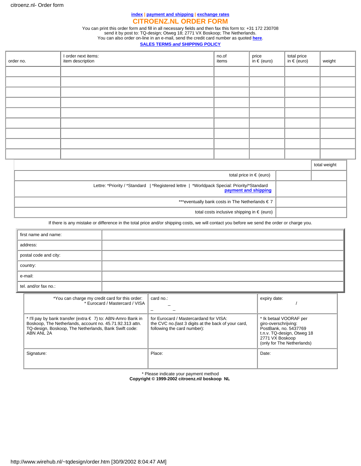#### **[index](#page-1-0) | [payment and shipping](#page-42-0) | [exchange rates](#page-45-0) CITROENZ.NL ORDER FORM**

You can print this order form and fill in all necessary fields and then fax this form to: +31 172 230708 send it by post to: TQ-design; Otweg 18; 2771 VX Boskoop; The Netherlands. You can also order on-line in an e-mail, send the credit card number as quoted **[here](#page-42-0)**.

#### **SALES TERMS** *and* **[SHIPPING POLICY](http://www.wirehub.nl/~tqdesign/terms.htm)**

<span id="page-44-0"></span>

| order no. | I order next items:<br>item description | no.of<br>items | price<br>in € (euro) | total price<br>in $\in$ (euro) | weight |
|-----------|-----------------------------------------|----------------|----------------------|--------------------------------|--------|
|           |                                         |                |                      |                                |        |
|           |                                         |                |                      |                                |        |
|           |                                         |                |                      |                                |        |
|           |                                         |                |                      |                                |        |
|           |                                         |                |                      |                                |        |
|           |                                         |                |                      |                                |        |
|           |                                         |                |                      |                                |        |
|           |                                         |                |                      |                                |        |
|           |                                         |                |                      |                                |        |

|                                                                                                                     | total weight |
|---------------------------------------------------------------------------------------------------------------------|--------------|
| total price in $\epsilon$ (euro)                                                                                    |              |
| Lettre: *Priority / *Standard   *Registered lettre   *Worldpack Special: Priority/*Standard<br>payment and shipping |              |
| ***eventually bank costs in The Netherlands €7                                                                      |              |
| total costs inclusive shipping in $\epsilon$ (euro)                                                                 |              |

#### If there is any mistake or difference in the total price and/or shipping costs, we will contact you before we send the order or charge you.

| first name and name:  |  |
|-----------------------|--|
| address:              |  |
| postal code and city: |  |
| country:              |  |
| e-mail:               |  |
| tel. and/or fax no.:  |  |

| *You can charge my credit card for this order:<br>* Eurocard / Mastercard / VISA                                                                                                                | card no.:                                                                                                                     | expiry date:                                                                                                                                           |
|-------------------------------------------------------------------------------------------------------------------------------------------------------------------------------------------------|-------------------------------------------------------------------------------------------------------------------------------|--------------------------------------------------------------------------------------------------------------------------------------------------------|
| * I'll pay by bank transfer (extra € 7) to: ABN-Amro Bank in<br>Boskoop, The Netherlands, account no. 45.71.92.313 attn.<br>TQ-design, Boskoop, The Netherlands, Bank Swift code:<br>ABN ANL 2A | for Eurocard / Mastercardand for VISA:<br>the CVC no. (last 3 digits at the back of your card,<br>following the card number): | * Ik betaal VOORAF per<br>giro-overschrijving:<br>PostBank, no. 5437769<br>t.n.v. TQ-design, Otweg 18<br>2771 VX Boskoop<br>(only for The Netherlands) |
| Signature:                                                                                                                                                                                      | Place:                                                                                                                        | Date:                                                                                                                                                  |

\* Please indicate your payment method

**Copyright © 1999-2002 citroenz.nl/ boskoop NL**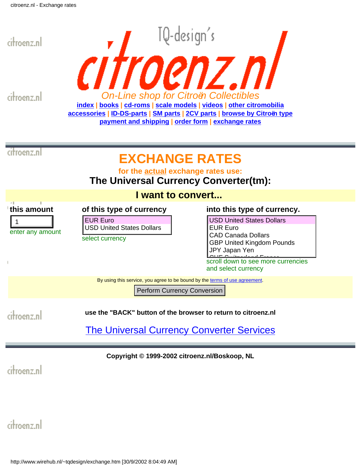<span id="page-45-0"></span>

By using this service, you agree to be bound by the [terms of use agreement.](http://currency.xe.net/gen/about.htm#legal)

Perform Currency Conversion

**use the "BACK" button of the browser to return to citroenz.nl**

[The Universal Currency Converter Services](http://www.xe.net/map/)

**Copyright © 1999-2002 citroenz.nl/Boskoop, NL**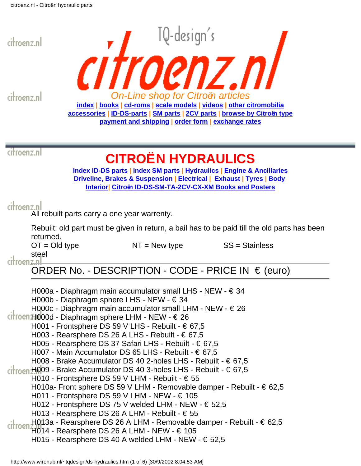<span id="page-46-0"></span>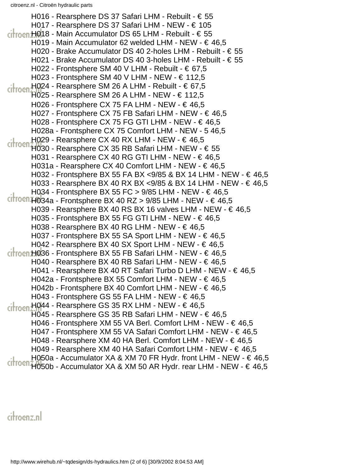H016 - Rearsphere DS 37 Safari LHM - Rebuilt - € 55 H017 - Rearsphere DS 37 Safari LHM - NEW - € 105  $c$ <sub>r</sub>  $H$ 018 - Main Accumulator DS 65 LHM - Rebuilt -  $\epsilon$  55 H019 - Main Accumulator 62 welded LHM - NEW - € 46,5 H020 - Brake Accumulator DS 40 2-holes LHM - Rebuilt - € 55 H021 - Brake Accumulator DS 40 3-holes LHM - Rebuilt - € 55 H022 - Frontsphere SM 40 V LHM - Rebuilt -  $\in$  67,5 H023 - Frontsphere SM 40 V LHM - NEW - € 112,5 H024 - Rearsphere SM 26 A LHM - Rebuilt -  $\in$  67,5  $\frac{1}{100}$  Hoen Ho25 - Rearsphere SM 26 A LHM - NEW - € 112,5 H026 - Frontsphere CX 75 FA LHM - NEW - € 46,5 H027 - Frontsphere CX 75 FB Safari LHM - NEW - € 46,5 H028 - Frontsphere CX 75 FG GTI LHM - NEW -  $\in$  46,5 H028a - Frontsphere CX 75 Comfort LHM - NEW - 5 46,5 H029 - Rearsphere CX 40 RX LHM - NEW - € 46,5  $\frac{1}{100}$  - Rearsphere CX 35 RB Safari LHM - NEW -  $\epsilon$  55 H031 - Rearsphere CX 40 RG GTI LHM - NEW -  $\in$  46,5 H031a - Rearsphere CX 40 Comfort LHM - NEW - € 46,5 H032 - Frontsphere BX 55 FA BX <9/85 & BX 14 LHM - NEW - € 46,5 H033 - Rearsphere BX 40 RX BX <9/85 & BX 14 LHM - NEW - € 46,5 H034 - Frontsphere BX 55 FC > 9/85 LHM - NEW -  $\in$  46,5  $Cit$  The  $-$  Frontsphere BX 40 RZ > 9/85 LHM - NEW -  $\in$  46,5 H039 - Rearsphere BX 40 RS BX 16 valves LHM - NEW -  $\in$  46,5 H035 - Frontsphere BX 55 FG GTI LHM - NEW - € 46,5 H038 - Rearsphere BX 40 RG LHM - NEW -  $\in$  46,5 H037 - Frontsphere BX 55 SA Sport LHM - NEW - € 46,5 H042 - Rearsphere BX 40 SX Sport LHM - NEW - € 46,5  $\frac{1}{1000}$ H036 - Frontsphere BX 55 FB Safari LHM - NEW -  $\in$  46,5 H040 - Rearsphere BX 40 RB Safari LHM - NEW - € 46,5 H041 - Rearsphere BX 40 RT Safari Turbo D LHM - NEW - € 46,5 H042a - Frontsphere BX 55 Comfort LHM - NEW - € 46,5 H042b - Frontsphere BX 40 Comfort LHM - NEW - € 46,5 H043 - Frontsphere GS 55 FA LHM - NEW - € 46,5  $H044$  - Rearsphere GS 35 RX LHM - NEW -  $\in$  46,5 citroen H045 - Rearsphere GS 35 RB Safari LHM - NEW - € 46,5 H046 - Frontsphere XM 55 VA Berl. Comfort LHM - NEW - € 46,5 H047 - Frontsphere XM 55 VA Safari Comfort LHM - NEW - € 46,5 H048 - Rearsphere XM 40 HA Berl. Comfort LHM - NEW - € 46,5 H049 - Rearsphere XM 40 HA Safari Comfort LHM - NEW - € 46,5 H050a - Accumulator XA & XM 70 FR Hydr. front LHM - NEW - € 46,5 citroen H050b - Accumulator XA & XM 50 AR Hydr. rear LHM - NEW - € 46,5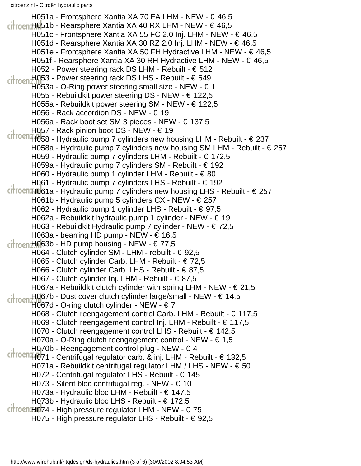H051a - Frontsphere Xantia XA 70 FA LHM - NEW - € 46,5  $ri$ <sub>rnen</sub> H051b - Rearsphere Xantia XA 40 RX LHM - NEW -  $\in$  46,5 H051c - Frontsphere Xantia XA 55 FC 2.0 Inj. LHM - NEW - € 46,5 H051d - Rearsphere Xantia XA 30 RZ 2.0 Inj. LHM - NEW -  $\in$  46,5 H051e - Frontsphere Xantia XA 50 FH Hydractive LHM - NEW - € 46,5 H051f - Rearsphere Xantia XA 30 RH Hydractive LHM - NEW - € 46,5 H052 - Power steering rack DS LHM - Rebuilt - € 512 H053 - Power steering rack DS LHS - Rebuilt - € 549 H053a - O-Ring power steering small size - NEW - € 1 H055 - Rebuildkit power steering DS - NEW - € 122,5 H055a - Rebuildkit power steering SM - NEW - € 122,5 H056 - Rack accordion DS - NEW - € 19 H056a - Rack boot set SM 3 pieces - NEW - € 137,5 H057 - Rack pinion boot DS - NEW - € 19  $Cit$ <sup>roen</sup>H058 - Hydraulic pump 7 cylinders new housing LHM - Rebuilt -  $\in$  237 H058a - Hydraulic pump 7 cylinders new housing SM LHM - Rebuilt - € 257 H059 - Hydraulic pump 7 cylinders LHM - Rebuilt - € 172,5 H059a - Hydraulic pump 7 cylinders SM - Rebuilt - € 192 H060 - Hydraulic pump 1 cylinder LHM - Rebuilt -  $\in$  80 H061 - Hydraulic pump 7 cylinders LHS - Rebuilt - € 192  $C$  ritroen. H061a - Hydraulic pump 7 cylinders new housing LHS - Rebuilt -  $\in$  257 H061b - Hydraulic pump 5 cylinders CX - NEW - € 257 H062 - Hydraulic pump 1 cylinder LHS - Rebuilt - € 97,5 H062a - Rebuildkit hydraulic pump 1 cylinder - NEW - € 19 H063 - Rebuildkit Hydraulic pump 7 cylinder - NEW - € 72,5 H063a - bearring HD pump - NEW -  $\in$  16,5 citroen H063b - HD pump housing - NEW - € 77,5 H064 - Clutch cylinder SM - LHM - rebuilt - € 92,5 H065 - Clutch cylinder Carb. LHM - Rebuilt - € 72,5 H066 - Clutch cylinder Carb. LHS - Rebuilt - € 87,5 H067 - Clutch cylinder Inj. LHM - Rebuilt - € 87,5 H067a - Rebuildkit clutch cylinder with spring LHM - NEW -  $\in$  21,5 H067b - Dust cover clutch cylinder large/small - NEW - € 14,5 citroen H067d - O-ring clutch cylinder - NEW -  $\in$  7 H068 - Clutch reengagement control Carb. LHM - Rebuilt - € 117,5 H069 - Clutch reengagement control Inj. LHM - Rebuilt - € 117,5 H070 - Clutch reengagement control LHS - Rebuilt - € 142,5 H070a - O-Ring clutch reengagement control - NEW -  $\in$  1,5 H070b - Reengagement control plug - NEW -  $\in$  4 citrocn<sub>H071</sub> - Centrifugal regulator carb. & inj. LHM - Rebuilt - € 132,5 H071a - Rebuildkit centrifugal regulator LHM / LHS - NEW - € 50 H072 - Centrifugal regulator LHS - Rebuilt - € 145 H073 - Silent bloc centrifugal reg. - NEW -  $\in$  10 H073a - Hydraulic bloc LHM - Rebuilt - € 147,5 H073b - Hydraulic bloc LHS - Rebuilt - € 172,5  $C$  throen H074 - High pressure regulator LHM - NEW -  $\in$  75 H075 - High pressure regulator LHS - Rebuilt - € 92,5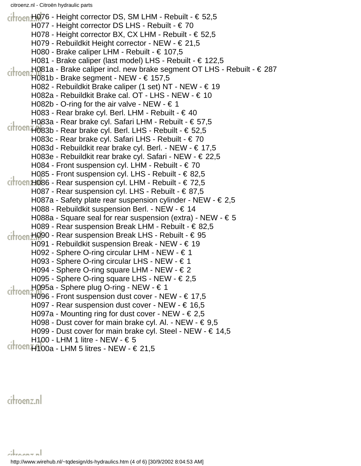citroen H076 - Height corrector DS, SM LHM - Rebuilt - € 52,5 H077 - Height corrector DS LHS - Rebuilt - € 70 H078 - Height corrector BX, CX LHM - Rebuilt - € 52,5 H079 - Rebuildkit Height corrector - NEW - € 21,5 H080 - Brake caliper LHM - Rebuilt - € 107,5 H081 - Brake caliper (last model) LHS - Rebuilt - € 122,5 H081a - Brake caliper incl. new brake segment OT LHS - Rebuilt - € 287  $C$   $\frac{1}{2}$   $\frac{1}{2}$   $\frac{1}{2}$   $\frac{1}{2}$   $\frac{1}{2}$   $\frac{1}{2}$   $\frac{1}{2}$   $\frac{1}{2}$   $\frac{1}{2}$   $\frac{1}{2}$   $\frac{1}{2}$   $\frac{1}{2}$   $\frac{1}{2}$   $\frac{1}{2}$   $\frac{1}{2}$   $\frac{1}{2}$   $\frac{1}{2}$   $\frac{1}{2}$   $\frac{1}{2}$   $\frac{1}{2}$   $\frac{1}{2}$   $\frac{1}{2$ H082 - Rebuildkit Brake caliper (1 set) NT - NEW - € 19 H082a - Rebuildkit Brake cal. OT - LHS - NEW - € 10 H082b - O-ring for the air valve - NEW -  $\in$  1 H083 - Rear brake cyl. Berl. LHM - Rebuilt -  $\in$  40 H083a - Rear brake cyl. Safari LHM - Rebuilt - € 57,5  $C$  rifroen<sub>H0</sub>83b - Rear brake cyl. Berl. LHS - Rebuilt -  $\in$  52,5 H083c - Rear brake cyl. Safari LHS - Rebuilt - € 70 H083d - Rebuildkit rear brake cyl. Berl. - NEW - € 17,5 H083e - Rebuildkit rear brake cyl. Safari - NEW - € 22,5 H084 - Front suspension cyl. LHM - Rebuilt -  $\in$  70 H085 - Front suspension cyl. LHS - Rebuilt - € 82,5  $c$ itroen H086 - Rear suspension cyl. LHM - Rebuilt -  $\in$  72,5 H087 - Rear suspension cyl. LHS - Rebuilt - € 87,5 H087a - Safety plate rear suspension cylinder - NEW -  $\in$  2,5 H088 - Rebuildkit suspension Berl. - NEW - € 14 H088a - Square seal for rear suspension (extra) - NEW -  $\epsilon$  5 H089 - Rear suspension Break LHM - Rebuilt - € 82,5 citroen H090 - Rear suspension Break LHS - Rebuilt - € 95 H091 - Rebuildkit suspension Break - NEW - € 19 H092 - Sphere O-ring circular LHM - NEW - € 1 H093 - Sphere O-ring circular LHS - NEW - € 1 H094 - Sphere O-ring square LHM - NEW - € 2 H095 - Sphere O-ring square LHS - NEW - € 2,5 H095a - Sphere plug O-ring - NEW - € 1  $\frac{1}{1000}$  H096 - Front suspension dust cover - NEW -  $\in$  17,5 H097 - Rear suspension dust cover - NEW - € 16,5 H097a - Mounting ring for dust cover - NEW -  $\in$  2,5 H098 - Dust cover for main brake cyl. Al. - NEW -  $\in$  9,5 H099 - Dust cover for main brake cyl. Steel - NEW - € 14,5 H100 - LHM 1 litre - NEW -  $\in$  5  $Citroen$   $H100a - LHM$  5 litres - NEW -  $\in$  21,5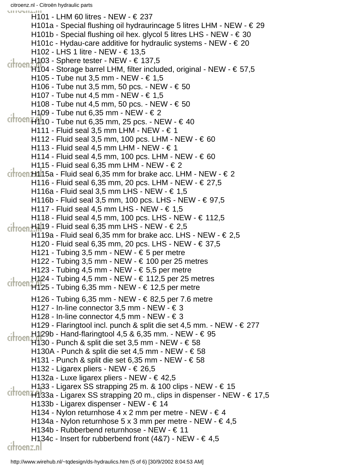citroenz.nl - Citroën hydraulic parts unum H101 - LHM 60 litres - NEW - € 237 H101a - Special flushing oil hydraurincage 5 litres LHM - NEW - € 29 H101b - Special flushing oil hex. glycol 5 litres LHS - NEW -  $\in$  30 H101c - Hydau-care additive for hydraulic systems - NEW -  $\in$  20 H102 - LHS 1 litre - NEW - € 13,5 H103 - Sphere tester - NEW - € 137,5  $\frac{1100}{1104}$  - Storage barrel LHM, filter included, original - NEW -  $\in$  57,5 H105 - Tube nut 3,5 mm - NEW - € 1,5 H106 - Tube nut 3,5 mm, 50 pcs. - NEW - € 50 H107 - Tube nut 4,5 mm - NEW - € 1,5 H108 - Tube nut 4,5 mm, 50 pcs. - NEW - € 50 H109 - Tube nut 6,35 mm - NEW - € 2  $C$  riffoen<sub>H1</sub><sup>1</sup><sub>1</sub>0 - Tube nut 6,35 mm, 25 pcs. - NEW -  $\in$  40 H111 - Fluid seal 3,5 mm LHM - NEW -  $\in$  1 H112 - Fluid seal 3,5 mm, 100 pcs. LHM - NEW - € 60 H113 - Fluid seal 4,5 mm LHM - NEW -  $\in$  1 H114 - Fluid seal 4,5 mm, 100 pcs. LHM - NEW - € 60 H115 - Fluid seal 6,35 mm LHM - NEW -  $\in$  2  $($ froen $H115a$  - Fluid seal 6,35 mm for brake acc. LHM - NEW -  $\in$  2 H116 - Fluid seal 6,35 mm, 20 pcs. LHM - NEW - € 27,5 H116a - Fluid seal 3,5 mm LHS - NEW -  $\in$  1,5 H116b - Fluid seal 3,5 mm, 100 pcs. LHS - NEW - € 97,5 H117 - Fluid seal 4,5 mm LHS - NEW -  $\in$  1,5 H118 - Fluid seal 4,5 mm, 100 pcs. LHS - NEW - € 112,5  $\frac{1}{100}$ <sub>ci</sub>ł<sub>rocn</sub>H<sub>1</sub>19 - Fluid seal 6,35 mm LHS - NEW - € 2,5 H119a - Fluid seal 6,35 mm for brake acc. LHS - NEW -  $\in$  2,5 H120 - Fluid seal 6,35 mm, 20 pcs. LHS - NEW - € 37,5 H121 - Tubing 3,5 mm - NEW -  $\in$  5 per metre H122 - Tubing 3,5 mm - NEW -  $\in$  100 per 25 metres H123 - Tubing 4,5 mm - NEW -  $\in$  5,5 per metre H124 - Tubing 4,5 mm - NEW - € 112,5 per 25 metres  $\frac{11}{1125}$  - Tubing 6,35 mm - NEW -  $\in$  12,5 per metre H126 - Tubing 6,35 mm - NEW - € 82,5 per 7.6 metre H127 - In-line connector 3,5 mm - NEW -  $\in$  3 H128 - In-line connector 4,5 mm - NEW -  $\in$  3 H129 - Flaringtool incl. punch & split die set 4,5 mm. - NEW - € 277 H129b - Hand-flaringtool 4,5 & 6,35 mm. - NEW - € 95  $\frac{11}{1130}$  - Punch & split die set 3,5 mm - NEW -  $\in$  58 H130A - Punch & split die set 4,5 mm - NEW -  $\in$  58 H131 - Punch & split die set 6,35 mm - NEW -  $\in$  58 H132 - Ligarex pliers - NEW - € 26,5 H132a - Luxe ligarex pliers - NEW - € 42,5 H133 - Ligarex SS strapping 25 m. & 100 clips - NEW - € 15 citrocn<sub>H133a</sub> - Ligarex SS strapping 20 m., clips in dispenser - NEW - € 17,5 H133b - Ligarex dispenser - NEW - € 14 H134 - Nylon returnhose  $4 \times 2$  mm per metre - NEW -  $64$ H134a - Nylon returnhose 5 x 3 mm per metre - NEW -  $\in$  4,5 H134b - Rubberbend returnhose - NEW - € 11 H134c - Insert for rubberbend front  $(487)$  - NEW -  $\in$  4,5

citroenz.nl

http://www.wirehub.nl/~tqdesign/ds-hydraulics.htm (5 of 6) [30/9/2002 8:04:53 AM]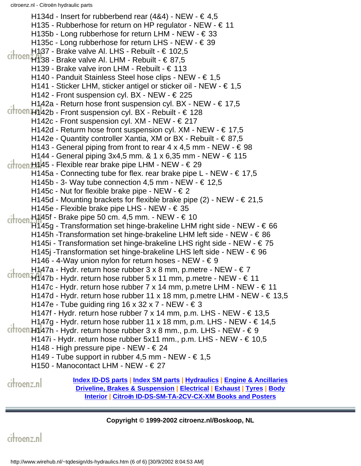H134d - Insert for rubberbend rear  $(484)$  - NEW -  $\in$  4,5 H135 - Rubberhose for return on HP regulator - NEW -  $\in$  11 H135b - Long rubberhose for return LHM - NEW - € 33 H135c - Long rubberhose for return LHS - NEW - € 39 H137 - Brake valve Al. LHS - Rebuilt - € 102,5  $\frac{1}{100}$   $\frac{1}{100}$   $\frac{1}{100}$   $\frac{1}{100}$   $\frac{1}{100}$   $\frac{1}{100}$   $\frac{1}{100}$   $\frac{1}{100}$   $\frac{1}{100}$ H139 - Brake valve iron LHM - Rebuilt - € 113 H140 - Panduit Stainless Steel hose clips - NEW - € 1,5 H141 - Sticker LHM, sticker antigel or sticker oil - NEW - € 1,5 H142 - Front suspension cyl. BX - NEW - € 225 H142a - Return hose front suspension cyl. BX - NEW -  $\in$  17,5  $c$ itroen $H142b$  - Front suspension cyl. BX - Rebuilt -  $\in$  128 H142c - Front suspension cyl. XM - NEW - € 217 H142d - Returm hose front suspension cyl. XM - NEW - € 17,5 H142e - Quantity controller Xantia, XM or BX - Rebuilt - € 87,5 H143 - General piping from front to rear 4 x 4,5 mm - NEW -  $\in$  98 H144 - General piping 3x4,5 mm. & 1 x 6,35 mm - NEW - € 115  $\frac{1}{1000}$ H145 - Flexible rear brake pipe LHM - NEW -  $\in$  29 H145a - Connecting tube for flex. rear brake pipe L - NEW -  $\in$  17,5 H145b - 3- Way tube connection 4,5 mm - NEW -  $\in$  12,5 H145c - Nut for flexible brake pipe - NEW -  $\in$  2 H145d - Mounting brackets for flexible brake pipe (2) - NEW -  $\in$  21,5 H145e - Flexible brake pipe LHS - NEW - € 35 H145f - Brake pipe 50 cm. 4,5 mm. - NEW - € 10 citroen  $H145g$  - Transformation set hinge-brakeline LHM right side - NEW -  $\in$  66 H145h -Transformation set hinge-brakeline LHM left side - NEW - € 86 H145i - Transformation set hinge-brakeline LHS right side - NEW - € 75 H145j -Transformation set hinge-brakeline LHS left side - NEW - € 96 H146 - 4-Way union nylon for return hoses - NEW -  $\in$  9 H147a - Hydr. return hose rubber  $3 \times 8$  mm, p.metre - NEW -  $\in 7$  $\frac{1}{2}$   $\frac{1}{2}$   $\frac{1}{2}$   $\frac{1}{2}$   $\frac{1}{2}$   $\frac{1}{2}$   $\frac{1}{2}$   $\frac{1}{2}$   $\frac{1}{2}$   $\frac{1}{2}$   $\frac{1}{2}$   $\frac{1}{2}$   $\frac{1}{2}$   $\frac{1}{2}$   $\frac{1}{2}$   $\frac{1}{2}$   $\frac{1}{2}$   $\frac{1}{2}$   $\frac{1}{2}$   $\frac{1}{2}$   $\frac{1}{2}$   $\frac{1}{2}$  H147c - Hydr. return hose rubber 7 x 14 mm, p.metre LHM - NEW - € 11 H147d - Hydr. return hose rubber 11 x 18 mm, p.metre LHM - NEW -  $\in$  13,5 H147e - Tube guiding ring 16 x 32 x 7 - NEW -  $\in$  3 H147f - Hydr. return hose rubber 7 x 14 mm, p.m. LHS - NEW -  $\in$  13,5 H147g - Hydr. return hose rubber 11 x 18 mm, p.m. LHS - NEW -  $\in$  14,5  $ciron<sub>H1</sub>47h$  - Hydr. return hose rubber 3 x 8 mm., p.m. LHS - NEW -  $\in$  9 H147i - Hydr. return hose rubber 5x11 mm., p.m. LHS - NEW - € 10,5 H148 - High pressure pipe - NEW -  $\in$  24 H149 - Tube support in rubber 4,5 mm - NEW -  $\in 1.5$ H150 - Manocontact LHM - NEW - € 27 **[Index ID-DS parts](#page-0-0) | [Index SM parts](#page-20-0) | [Hydraulics](#page-46-0) | [Engine & Ancillaries](#page-52-0)** citroenz.nl **[Driveline, Brakes & Suspension](#page-57-0) | [Electrical](#page-60-0) | [Exhaust](#page-63-0) | [Tyres](#page-65-0) | [Body](#page-66-0) [Interior](#page-73-0) | [Citroën ID-DS-SM-TA-2CV-CX-XM Books and Posters](#page-75-0)**

**Copyright © 1999-2002 citroenz.nl/Boskoop, NL**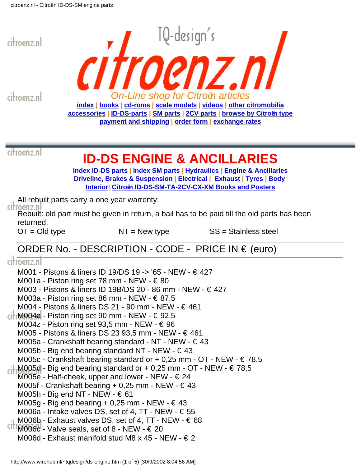<span id="page-52-0"></span>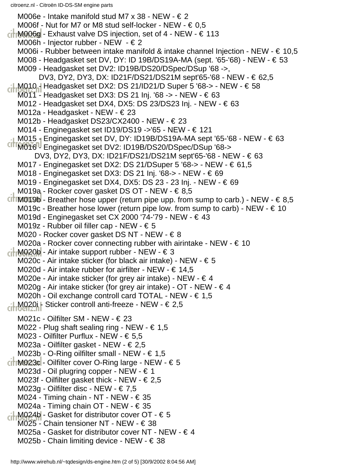M006e - Intake manifold stud M7 x 38 - NEW -  $\in$  2 M006f - Nut for M7 or M8 stud self-locker - NEW -  $\in 0.5$  $\frac{1}{10006}$  - Exhaust valve DS injection, set of 4 - NEW -  $\in$  113 M006h - Injector rubber - NEW - € 2 M006i - Rubber between intake manifold & intake channel Injection - NEW -  $\in$  10,5 M008 - Headgasket set DV, DY: ID 19B/DS19A-MA (sept. '65-'68) - NEW - € 53 M009 - Headgasket set DV2: ID19B/DS20/DSpec/DSup '68 ->, DV3, DY2, DY3, DX: ID21F/DS21/DS21M sept'65-'68 - NEW - € 62,5 M010 - Headgasket set DX2: DS 21/ID21/D Super 5 '68-> - NEW - € 58 M011 - Headgasket set DX3: DS 21 Inj. '68 -> - NEW - € 63 M012 - Headgasket set DX4, DX5: DS 23/DS23 Inj. - NEW - € 63 M012a - Headgasket - NEW - € 23 M012b - Headgasket DS23/CX2400 - NEW - € 23 M014 - Enginegasket set ID19/DS19 ->'65 - NEW - € 121 M015 - Enginegasket set DV, DY: ID19B/DS19A-MA sept '65-'68 - NEW - € 63 M016 - Enginegasket set DV2: ID19B/DS20/DSpec/DSup '68-> DV3, DY2, DY3, DX: ID21F/DS21/DS21M sept'65-'68 - NEW - € 63 M017 - Enginegasket set DX2: DS 21/DSuper 5 '68-> - NEW - € 61,5 M018 - Enginegasket set DX3: DS 21 Inj. '68-> - NEW - € 69 M019 - Enginegasket set DX4, DX5: DS 23 - 23 Inj. - NEW - € 69 M019a - Rocker cover gasket DS OT - NEW - € 8,5 CITIM019b - Breather hose upper (return pipe upp. from sump to carb.) - NEW -  $\in$  8,5 M019c - Breather hose lower (return pipe low. from sump to carb) - NEW -  $\in$  10 M019d - Enginegasket set CX 2000 '74-'79 - NEW - € 43 M019z - Rubber oil filler cap - NEW - € 5 M020 - Rocker cover gasket DS NT - NEW - € 8 M020a - Rocker cover connecting rubber with airintake - NEW -  $\in$  10  $\frac{1}{10}$ M020b - Air intake support rubber - NEW -  $\in$  3 M020c - Air intake sticker (for black air intake) - NEW -  $\epsilon$  5 M020d - Air intake rubber for airfilter - NEW -  $\in$  14,5 M020e - Air intake sticker (for grey air intake) - NEW -  $\in$  4 M020g - Air intake sticker (for grey air intake) - OT - NEW - € 4 M020h - Oil exchange controll card TOTAL - NEW - € 1,5 M020i - Sticker controll anti-freeze - NEW - € 2,5 M021c - Oilfilter SM - NEW - € 23 M022 - Plug shaft sealing ring - NEW -  $\in$  1,5 M023 - Oilfilter Purflux - NEW - € 5,5 M023a - Oilfilter gasket - NEW - € 2,5 M023b - O-Ring oilfilter small - NEW -  $\in$  1,5  $\epsilon$  The M023c - Oilfilter cover O-Ring large - NEW -  $\epsilon$  5 M023d - Oil plugring copper - NEW - € 1 M023f - Oilfilter gasket thick - NEW -  $\in$  2,5 M023g - Oilfilter disc - NEW - € 7,5 M024 - Timing chain - NT - NEW -  $\in$  35 M024a - Timing chain OT - NEW - € 35 ci-M024b - Gasket for distributor cover OT - € 5 M025 - Chain tensioner NT - NEW - € 38 M025a - Gasket for distributor cover NT - NEW -  $\in$  4 M025b - Chain limiting device - NEW -  $\in$  38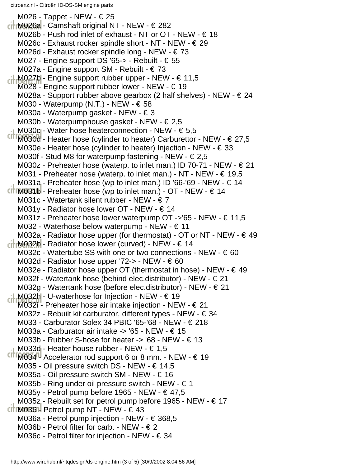M026 - Tappet - NEW - € 25  $\frac{1}{10}$ M026a - Camshaft original NT - NEW -  $\in$  282 M026b - Push rod inlet of exhaust - NT or OT - NEW - € 18 M026c - Exhaust rocker spindle short - NT - NEW - € 29 M026d - Exhaust rocker spindle long - NEW - € 73 M027 - Engine support DS '65-> - Rebuilt - € 55 M027a - Engine support SM - Rebuilt - € 73 M027b - Engine support rubber upper - NEW - € 11,5 M028 - Engine support rubber lower - NEW -  $\in$  19 M028a - Support rubber above gearbox (2 half shelves) - NEW -  $\in$  24 M030 - Waterpump (N.T.) - NEW -  $\in$  58 M030a - Waterpump gasket - NEW - € 3 M030b - Waterpumphouse gasket - NEW - € 2,5 M030c - Water hose heaterconnection - NEW -  $\in 5.5$  $CITM030d$  - Heater hose (cylinder to heater) Carburettor - NEW -  $\in$  27,5 M030e - Heater hose (cylinder to heater) Injection - NEW -  $\in$  33 M030f - Stud M8 for waterpump fastening - NEW -  $\in$  2,5 M030z - Preheater hose (waterp. to inlet man.) ID 70-71 - NEW -  $\in$  21 M031 - Preheater hose (waterp. to inlet man.) - NT - NEW -  $\in$  19,5 M031a - Preheater hose (wp to inlet man.) ID '66-'69 - NEW -  $\in$  14 CITIM081b - Preheater hose (wp to inlet man.) - OT - NEW -  $\in$  14 M031c - Watertank silent rubber - NEW - € 7 M031y - Radiator hose lower OT - NEW - € 14 M031z - Preheater hose lower waterpump OT ->'65 - NEW - € 11,5 M032 - Waterhose below waterpump - NEW - € 11 M032a - Radiator hose upper (for thermostat) - OT or NT - NEW -  $\in$  49  $\frac{1}{10}$  M032b - Radiator hose lower (curved) - NEW -  $\in$  14 M032c - Watertube SS with one or two connections - NEW -  $\in$  60 M032d - Radiator hose upper '72-> - NEW -  $\epsilon$  60 M032e - Radiator hose upper OT (thermostat in hose) - NEW -  $\in$  49 M032f - Watertank hose (behind elec.distributor) - NEW - € 21 M032g - Watertank hose (before elec.distributor) - NEW - € 21 M032h - U-waterhose for Injection - NEW - € 19 M032i - Preheater hose air intake injection - NEW - € 21 M032z - Rebuilt kit carburator, different types - NEW - € 34 M033 - Carburator Solex 34 PBIC '65-'68 - NEW - € 218 M033a - Carburator air intake -> '65 - NEW - € 15 M033b - Rubber S-hose for heater -> '68 - NEW - € 13 M033d - Heater house rubber - NEW - € 1,5  $CITM034^{\text{nd}}$  Accelerator rod support 6 or 8 mm. - NEW -  $\in$  19 M035 - Oil pressure switch DS - NEW - € 14,5 M035a - Oil pressure switch SM - NEW - € 16 M035b - Ring under oil pressure switch - NEW -  $\in$  1 M035y - Petrol pump before 1965 - NEW -  $\in$  47,5 M035z - Rebuilt set for petrol pump before 1965 - NEW -  $\in$  17  $CITIM036H$  Petrol pump NT - NEW -  $\in$  43 M036a - Petrol pump injection - NEW - € 368,5 M036b - Petrol filter for carb. - NEW -  $\in$  2 M036c - Petrol filter for injection - NEW - € 34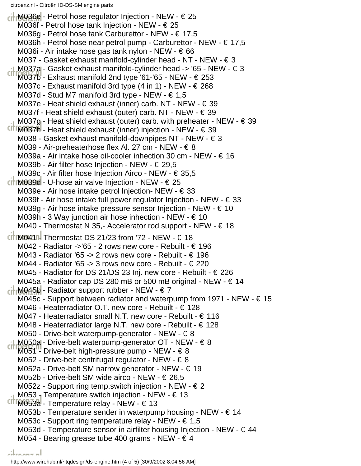M036e - Petrol hose regulator Injection - NEW - € 25 M036f - Petrol hose tank Injection - NEW - € 25 M036g - Petrol hose tank Carburettor - NEW - € 17,5 M036h - Petrol hose near petrol pump - Carburettor - NEW - € 17,5 M036i - Air intake hose gas tank nylon - NEW - € 66 M037 - Gasket exhaust manifold-cylinder head - NT - NEW - € 3 M037a - Gasket exhaust manifold-cylinder head -> '65 - NEW - € 3  $CITM037b$  - Exhaust manifold 2nd type '61-'65 - NEW -  $\in$  253 M037c - Exhaust manifold 3rd type  $(4 \text{ in } 1)$  - NEW -  $\in$  268 M037d - Stud M7 manifold 3rd type - NEW -  $\in 1,5$ M037e - Heat shield exhaust (inner) carb. NT - NEW - € 39 M037f - Heat shield exhaust (outer) carb. NT - NEW - € 39 M037g - Heat shield exhaust (outer) carb. with preheater - NEW - € 39 CITIM037h - Heat shield exhaust (inner) injection - NEW -  $\in$  39 M038 - Gasket exhaust manifold-downpipes NT - NEW - € 3 M039 - Air-preheaterhose flex Al. 27 cm - NEW - € 8 M039a - Air intake hose oil-cooler inhection 30 cm - NEW - € 16 M039b - Air filter hose Injection - NEW - € 29,5 M039c - Air filter hose Injection Airco - NEW - € 35,5  $\frac{1}{2}$  M039d - U-hose air valve Injection - NEW -  $\in$  25 M039e - Air hose intake petrol Injection- NEW - € 33 M039f - Air hose intake full power regulator Injection - NEW -  $\in$  33 M039g - Air hose intake pressure sensor Injection - NEW -  $\in$  10 M039h - 3 Way junction air hose inhection - NEW -  $\in$  10 M040 - Thermostat N 35,- Accelerator rod support - NEW -  $\in$  18  $c$ **i** M041 H Thermostat DS 21/23 from '72 - NEW -  $\in$  18 M042 - Radiator ->'65 - 2 rows new core - Rebuilt - € 196 M043 - Radiator '65 -> 2 rows new core - Rebuilt -  $\in$  196 M044 - Radiator '65 -> 3 rows new core - Rebuilt -  $\epsilon$  220 M045 - Radiator for DS 21/DS 23 Inj. new core - Rebuilt - € 226 M045a - Radiator cap DS 280 mB or 500 mB original - NEW - € 14  $\overline{CH}$  M045b - Radiator support rubber - NEW -  $\in$  7 M045c - Support between radiator and waterpump from 1971 - NEW -  $\in$  15 M046 - Heaterradiator O.T. new core - Rebuilt - € 128 M047 - Heaterradiator small N.T. new core - Rebuilt - € 116 M048 - Heaterradiator large N.T. new core - Rebuilt -  $\epsilon$  128 M050 - Drive-belt waterpump-generator - NEW -  $\in$  8 M050a - Drive-belt waterpump-generator OT - NEW - € 8 M051 - Drive-belt high-pressure pump - NEW -  $\in$  8 M052 - Drive-belt centrifugal regulator - NEW - € 8 M052a - Drive-belt SM narrow generator - NEW - € 19 M052b - Drive-belt SM wide airco - NEW - € 26,5 M052z - Support ring temp.switch injection - NEW -  $\in$  2 M053 - Temperature switch injection - NEW -  $\in$  13 M053a - Temperature relay - NEW - € 13 M053b - Temperature sender in waterpump housing - NEW -  $\in$  14 M053c - Support ring temperature relay - NEW - € 1,5 M053d - Temperature sensor in airfilter housing Injection - NEW -  $\in$  44 M054 - Bearing grease tube 400 grams - NEW -  $\in$  4 المعممعانة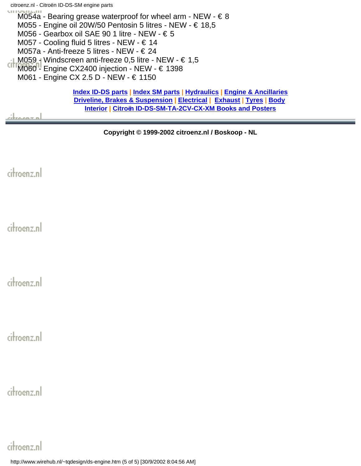M054a - Bearing grease waterproof for wheel arm - NEW -  $\in$  8 M055 - Engine oil 20W/50 Pentosin 5 litres - NEW - € 18,5 M056 - Gearbox oil SAE 90 1 litre - NEW - € 5 M057 - Cooling fluid 5 litres - NEW - € 14 M057a - Anti-freeze 5 litres - NEW - € 24 M059 - Windscreen anti-freeze 0,5 litre - NEW -  $\in$  1,5 M060 - Engine CX2400 injection - NEW - € 1398 M061 - Engine CX 2.5 D - NEW - € 1150 **[Index ID-DS parts](#page-0-0) | [Index SM parts](#page-20-0) | [Hydraulics](#page-46-0) | [Engine & Ancillaries](#page-52-0)**

**[Driveline, Brakes & Suspension](#page-57-0) | [Electrical](#page-60-0) | [Exhaust](#page-63-0) | [Tyres](#page-65-0) | [Body](#page-66-0) [Interior](#page-73-0) | [Citroën ID-DS-SM-TA-2CV-CX-XM Books and Posters](#page-75-0)**

لمعممعة

**Copyright © 1999-2002 citroenz.nl / Boskoop - NL**

citroenz.nl

citroenz.nl

citroenz.nl

citroenz.nl

citroenz.nl

# citroenz.nl

http://www.wirehub.nl/~tqdesign/ds-engine.htm (5 of 5) [30/9/2002 8:04:56 AM]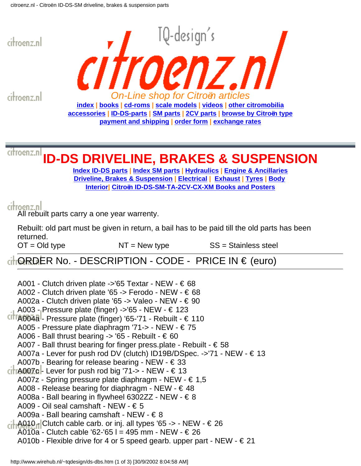<span id="page-57-0"></span>

- A009 Oil seal camshaft NEW € 5
- A009a Ball bearing camshaft NEW  $\in$  8
- $\frac{1}{100}$ A010<sub>n</sub>Clutch cable carb. or inj. all types '65 -> NEW  $\in$  26
- A010a Clutch cable '62-'65 l = 495 mm NEW € 26
- A010b Flexible drive for 4 or 5 speed gearb. upper part NEW  $\in$  21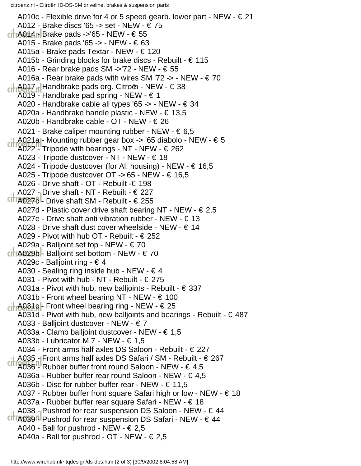citroenz.nl - Citroën ID-DS-SM driveline, brakes & suspension parts

A010c - Flexible drive for 4 or 5 speed gearb. lower part - NEW -  $\in$  21 A012 - Brake discs '65 -> set - NEW - € 75  $\frac{1}{2}$ A014 Brake pads ->'65 - NEW - € 55 A015 - Brake pads '65 -> - NEW - € 63 A015a - Brake pads Textar - NEW - € 120 A015b - Grinding blocks for brake discs - Rebuilt - € 115 A016 - Rear brake pads SM ->'72 - NEW -  $\in$  55 A016a - Rear brake pads with wires SM '72 -> - NEW -  $\epsilon$  70 A017 - Handbrake pads org. Citroën - NEW - € 38 A019 - Handbrake pad spring - NEW - € 1 A020 - Handbrake cable all types '65 -> - NEW - € 34 A020a - Handbrake handle plastic - NEW - € 13,5 A020b - Handbrake cable - OT - NEW - € 26 A021 - Brake caliper mounting rubber - NEW -  $\epsilon$  6,5  $-1$  A021a - Mounting rubber gear box -> '65 diabolo - NEW -  $\in$  5  $CITA022$ <sup>11</sup> Tripode with bearings - NT - NEW -  $\in$  262 A023 - Tripode dustcover - NT - NEW - € 18 A024 - Tripode dustcover (for Al. housing) - NEW -  $\epsilon$  16,5 A025 - Tripode dustcover OT ->'65 - NEW - € 16,5 A026 - Drive shaft - OT - Rebuilt -€ 198 A027 - Drive shaft - NT - Rebuilt - € 227 CITTA0270 - Drive shaft SM - Rebuilt -  $\in$  255 A027d - Plastic cover drive shaft bearing NT - NEW -  $\epsilon$  2,5 A027e - Drive shaft anti vibration rubber - NEW -  $\in$  13 A028 - Drive shaft dust cover wheelside - NEW -  $\in$  14 A029 - Pivot with hub OT - Rebuilt - € 252 A029a - Balljoint set top - NEW - € 70  $\left| \right|$  A029b - Balljoint set bottom - NEW -  $\in$  70 A029c - Balljoint ring - € 4 A030 - Sealing ring inside hub - NEW - € 4 A031 - Pivot with hub - NT - Rebuilt - € 275 A031a - Pivot with hub, new balljoints - Rebuilt -  $\epsilon$  337 A031b - Front wheel bearing NT - NEW -  $\in$  100  $-1$  A031c - Front wheel bearing ring - NEW -  $\in$  25 A031d - Pivot with hub, new balljoints and bearings - Rebuilt -  $\in$  487 A033 - Balljoint dustcover - NEW - € 7 A033a - Clamb balljoint dustcover - NEW - € 1,5 A033b - Lubricator M 7 - NEW - € 1,5 A034 - Front arms half axles DS Saloon - Rebuilt - € 227 A035 - Front arms half axles DS Safari / SM - Rebuilt - € 267 A036 - Rubber buffer front round Saloon - NEW -  $\in$  4,5 A036a - Rubber buffer rear round Saloon - NEW - € 4,5 A036b - Disc for rubber buffer rear - NEW -  $\in$  11,5 A037 - Rubber buffer front square Safari high or low - NEW - € 18 A037a - Rubber buffer rear square Safari - NEW - € 18 A038 - Pushrod for rear suspension DS Saloon - NEW -  $\in$  44  $CIT[AG39]$  Pushrod for rear suspension DS Safari - NEW -  $\in$  44 A040 - Ball for pushrod - NEW -  $\in$  2,5 A040a - Ball for pushrod - OT - NEW -  $\in$  2,5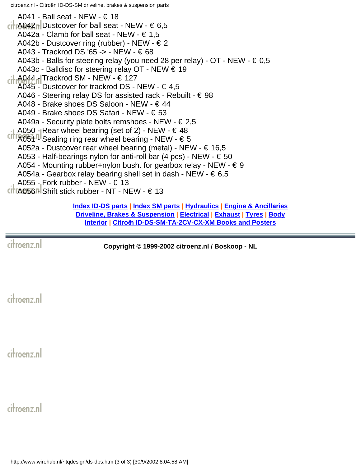citroenz.nl - Citroën ID-DS-SM driveline, brakes & suspension parts

A041 - Ball seat - NEW - € 18  $\frac{1}{100}$ A042<sub>0</sub> Dustcover for ball seat - NEW -  $\in 6.5$ A042a - Clamb for ball seat - NEW -  $\in$  1,5 A042b - Dustcover ring (rubber) - NEW -  $\in$  2 A043 - Trackrod DS '65 -> - NEW - € 68 A043b - Balls for steering relay (you need 28 per relay) -  $OT$  - NEW -  $\in 0.5$ A043c - Balldisc for steering relay OT - NEW  $\in$  19  $\frac{1}{2}$ A044 - Trackrod SM - NEW - € 127 A045 - Dustcover for trackrod DS - NEW -  $\in$  4,5 A046 - Steering relay DS for assisted rack - Rebuilt -  $\in$  98 A048 - Brake shoes DS Saloon - NEW - € 44 A049 - Brake shoes DS Safari - NEW - € 53 A049a - Security plate bolts remshoes - NEW -  $\in$  2,5 A050 - Rear wheel bearing (set of 2) - NEW -  $\in$  48  $CIT[AG51]$  Sealing ring rear wheel bearing - NEW -  $\epsilon$  5 A052a - Dustcover rear wheel bearing (metal) - NEW -  $\in$  16,5 A053 - Half-bearings nylon for anti-roll bar (4 pcs) - NEW -  $\epsilon$  50 A054 - Mounting rubber+nylon bush. for gearbox relay - NEW -  $\in$  9 A054a - Gearbox relay bearing shell set in dash - NEW -  $\epsilon$  6,5 A055 - Fork rubber - NEW -  $\in$  13  $CITA056$  - Shift stick rubber - NT - NEW -  $\in$  13

**[Index ID-DS parts](#page-0-0) | [Index SM parts](#page-20-0) | [Hydraulics](#page-46-0) | [Engine & Ancillaries](#page-52-0) [Driveline, Brakes & Suspension](#page-57-0) | [Electrical](#page-60-0) | [Exhaust](#page-63-0) | [Tyres](#page-65-0) | [Body](#page-66-0) [Interior](#page-73-0) | [Citroën ID-DS-SM-TA-2CV-CX-XM Books and Posters](#page-75-0)**

citroenz.nl

**Copyright © 1999-2002 citroenz.nl / Boskoop - NL**

citroenz.nl

citroenz.nl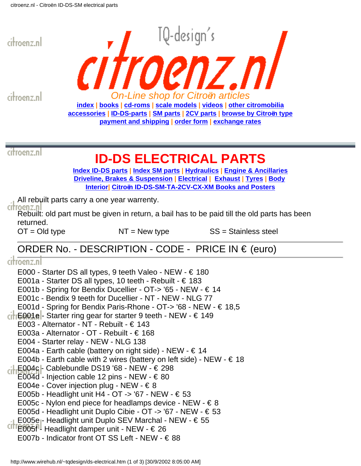<span id="page-60-0"></span>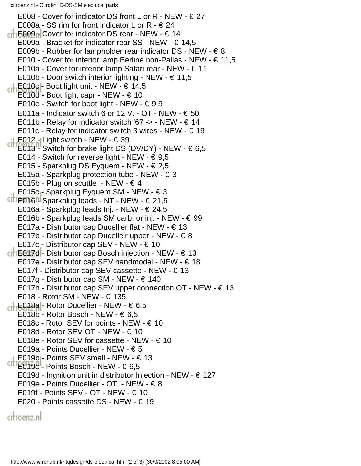citroenz.nl - Citroën ID-DS-SM electrical parts

E008 - Cover for indicator DS front L or R - NEW -  $\in$  27 E008a - SS rim for front indicator L or R -  $\in$  24  $\frac{1}{\sqrt{1+\epsilon}}$  E009<sub>11</sub> Cover for indicator DS rear - NEW -  $\epsilon$  14 E009a - Bracket for indicator rear SS - NEW -  $\in$  14,5 E009b - Rubber for lampholder rear indicator DS - NEW -  $\in$  8 E010 - Cover for interior lamp Berline non-Pallas - NEW - € 11,5 E010a - Cover for interior lamp Safari rear - NEW - € 11 E010b - Door switch interior lighting - NEW -  $\in$  11,5 LE010c - Boot light unit - NEW -  $\in$  14,5 E010d - Boot light capr - NEW -  $\in$  10 E010e - Switch for boot light - NEW -  $\in$  9,5 E011a - Indicator switch 6 or 12 V. - OT - NEW -  $\in$  50 E011b - Relay for indicator switch '67 -> - NEW -  $\in$  14 E011c - Relay for indicator switch 3 wires - NEW -  $\in$  19  $E_1$  E012 - Light switch - NEW -  $\in$  39  $\frac{1}{2}$   $\frac{1}{2}$   $\frac{1}{3}$   $\frac{1}{3}$   $\frac{1}{3}$   $\frac{1}{3}$   $\frac{1}{3}$  if the brake light DS (DV/DY) - NEW -  $\in$  6,5 E014 - Switch for reverse light - NEW -  $\in$  9,5 E015 - Sparkplug DS Eyquem - NEW - € 2,5 E015a - Sparkplug protection tube - NEW - € 3 E015b - Plug on scuttle - NEW -  $\in$  4 E015c - Sparkplug Eyquem SM - NEW - € 3 CITE  $016$  - Sparkplug leads - NT - NEW -  $\in$  21,5 E016a - Sparkplug leads Inj. - NEW - € 24,5 E016b - Sparkplug leads SM carb. or inj. - NEW - € 99 E017a - Distributor cap Ducellier flat - NEW -  $\in$  13 E017b - Distributor cap Ducelleir upper - NEW - € 8 E017c - Distributor cap SEV - NEW - € 10  $\frac{1}{\sqrt{1}}$  = 617d - Distributor cap Bosch injection - NEW -  $\in$  13 E017e - Distributor cap SEV handmodel - NEW - € 18 E017f - Distributor cap SEV cassette - NEW -  $\in$  13 E017g - Distributor cap SM - NEW - € 140 E017h - Distributor cap SEV upper connection  $OT$  - NEW -  $\in$  13 E018 - Rotor SM - NEW - € 135 ci-E018a - Rotor Ducellier - NEW - € 6,5 E018b - Rotor Bosch - NEW -  $\in 6,5$ E018c - Rotor SEV for points - NEW - € 10 E018d - Rotor SEV OT - NEW - € 10 E018e - Rotor SEV for cassette - NEW - € 10 E019a - Points Ducellier - NEW - € 5  $-$  E019b - Points SEV small - NEW -  $\in$  13  $CITE019C<sup>1</sup>$  Points Bosch - NEW -  $\in 6,5$ E019d - Ingnition unit in distributor Injection - NEW - € 127 E019e - Points Ducellier - OT - NEW - € 8 E019f - Points SEV - OT - NEW - € 10 E020 - Points cassette DS - NEW - € 19 citroenz.nl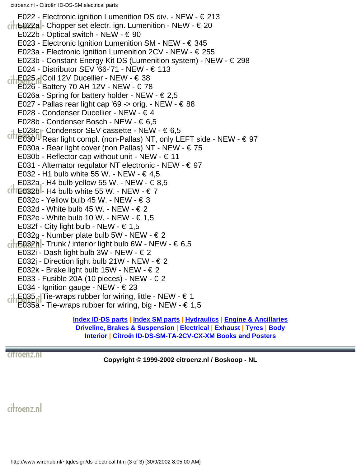citroenz.nl - Citroën ID-DS-SM electrical parts

E022 - Electronic ignition Lumenition DS div. - NEW - € 213  $\mathsf{H} \text{E022a}$  - Chopper set electr. ign. Lumenition - NEW -  $\in$  20 E022b - Optical switch - NEW - € 90 E023 - Electronic Ignition Lumenition SM - NEW -  $\in$  345 E023a - Electronic Ignition Lumenition 2CV - NEW - € 255 E023b - Constant Energy Kit DS (Lumenition system) - NEW - € 298 E024 - Distributor SEV '66-'71 - NEW - € 113  $\frac{1}{2}$ E025 - Coil 12V Ducellier - NEW -  $\in$  38 E026 - Battery 70 AH 12V - NEW - € 78 E026a - Spring for battery holder - NEW -  $\in$  2,5 E027 - Pallas rear light cap '69 -> orig. - NEW -  $\in$  88 E028 - Condenser Ducellier - NEW - € 4 E028b - Condenser Bosch - NEW - € 6,5 E028c  $\Gamma$  Condensor SEV cassette - NEW -  $\in 6.5$  $CITE030$ <sup>n</sup> Rear light compl. (non-Pallas) NT, only LEFT side - NEW -  $\in$  97 E030a - Rear light cover (non Pallas) NT - NEW - € 75 E030b - Reflector cap without unit - NEW -  $\in$  11 E031 - Alternator regulator NT electronic - NEW - € 97 E032 - H1 bulb white 55 W. - NEW - € 4,5 E032a - H4 bulb yellow 55 W. - NEW -  $\in$  8,5 CITE  $032b$  - H4 bulb white 55 W. - NEW -  $\in$  7 E032c - Yellow bulb 45 W. - NEW -  $\in$  3 E032d - White bulb 45 W. - NEW -  $\in$  2 E032e - White bulb 10 W. - NEW -  $\in$  1,5 E032f - City light bulb - NEW -  $\in$  1,5 E032g - Number plate bulb 5W - NEW -  $\in$  2  $\mathsf{H} \text{E} 032\mathsf{h}$  - Trunk / interior light bulb 6W - NEW -  $\in 6.5$ E032i - Dash light bulb 3W - NEW -  $\in$  2 E032j - Direction light bulb 21W - NEW -  $\in$  2 E032k - Brake light bulb 15W - NEW -  $\in$  2 E033 - Fusible 20A (10 pieces) - NEW - € 2 E034 - Ignition gauge - NEW -  $\in$  23 LE035 - Tie-wraps rubber for wiring, little - NEW -  $\in$  1 E035a - Tie-wraps rubber for wiring, big - NEW -  $\in 1.5$ 

**[Index ID-DS parts](#page-0-0) | [Index SM parts](#page-20-0) | [Hydraulics](#page-46-0) | [Engine & Ancillaries](#page-52-0) [Driveline, Brakes & Suspension](#page-57-0) | [Electrical](#page-60-0) | [Exhaust](#page-63-0) | [Tyres](#page-65-0) | [Body](#page-66-0) [Interior](#page-73-0) | [Citroën ID-DS-SM-TA-2CV-CX-XM Books and Posters](#page-75-0)**

citroenz.nl

**Copyright © 1999-2002 citroenz.nl / Boskoop - NL**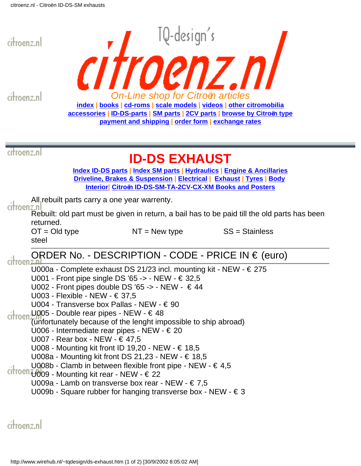<span id="page-63-0"></span>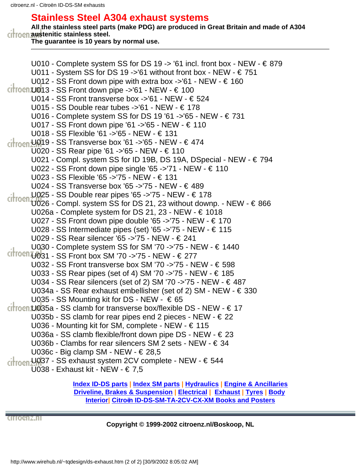### **Stainless Steel A304 exhaust systems**

**All the stainless steel parts (make PDG) are produced in Great Britain and made of A304** citroen austenitic stainless steel.

**The guarantee is 10 years by normal use.** 

U010 - Complete system SS for DS 19 -> '61 incl. front box - NEW -  $\in$  879 U011 - System SS for DS 19 ->'61 without front box - NEW -  $\in$  751 U012 - SS Front down pipe with extra box ->'61 - NEW -  $\in$  160  $c$ irocn U013 - SS Front down pipe ->'61 - NEW -  $\in$  100 U014 - SS Front transverse box  $-$  >'61 - NEW -  $\in$  524 U015 - SS Double rear tubes ->'61 - NEW - € 178 U016 - Complete system SS for DS 19 '61 ->'65 - NEW - € 731 U017 - SS Front down pipe '61 ->'65 - NEW - € 110 U018 - SS Flexible '61 ->'65 - NEW - € 131  $\frac{1}{1000}$ U019 - SS Transverse box '61 ->'65 - NEW - € 474 U020 - SS Rear pipe '61 ->'65 - NEW - € 110 U021 - Compl. system SS for ID 19B, DS 19A, DSpecial - NEW - € 794 U022 - SS Front down pipe single '65 ->'71 - NEW - € 110 U023 - SS Flexible '65 ->'75 - NEW - € 131 U024 - SS Transverse box '65 ->'75 - NEW - € 489 U025 - SS Double rear pipes '65 ->'75 - NEW - € 178  $\frac{U(2)}{U(2)}$  - UU Downe for Press is  $\frac{1}{2}$  . 23 without downp. - NEW -  $\in$  866 U026a - Complete system for DS 21, 23 - NEW -  $\in$  1018 U027 - SS Front down pipe double '65 ->'75 - NEW -  $\in$  170 U028 - SS Intermediate pipes (set) '65 ->'75 - NEW - € 115 U029 - SS Rear silencer '65 ->'75 - NEW - € 241 U030 - Complete system SS for SM '70 ->'75 - NEW - € 1440  $Cit$  roen  $U$ 031 - SS Front box SM '70 ->'75 - NEW -  $\in$  277 U032 - SS Front transverse box SM '70 ->'75 - NEW - € 598 U033 - SS Rear pipes (set of 4) SM '70 ->'75 - NEW - € 185 U034 - SS Rear silencers (set of 2) SM '70 ->'75 - NEW - € 487 U034a - SS Rear exhaust embellisher (set of 2) SM - NEW -  $\in$  330 U035 - SS Mounting kit for DS - NEW -  $\in$  65  $\frac{1}{2}$  citroen U035a - SS clamb for transverse box/flexible DS - NEW -  $\in$  17 U035b - SS clamb for rear pipes end 2 pieces - NEW -  $\in$  22 U036 - Mounting kit for SM, complete - NEW - € 115 U036a - SS clamb flexible/front down pipe DS - NEW - € 23 U036b - Clambs for rear silencers SM 2 sets - NEW - € 34 U036c - Big clamp SM - NEW - € 28,5 ci<sup>1</sup>rocn U037 - SS exhaust system 2CV complete - NEW - € 544 U038 - Exhaust kit - NEW - € 7,5 **[Index ID-DS parts](#page-0-0) | [Index SM parts](#page-20-0) | [Hydraulics](#page-46-0) | [Engine & Ancillaries](#page-52-0)**

**[Driveline, Brakes & Suspension](#page-57-0) | [Electrical](#page-60-0) | [Exhaust](#page-63-0) | [Tyres](#page-65-0) | [Body](#page-66-0) [Interior|](#page-73-0) [Citroën ID-DS-SM-TA-2CV-CX-XM Books and Posters](#page-75-0)**

CITIOGRZ.NI

**Copyright © 1999-2002 citroenz.nl/Boskoop, NL**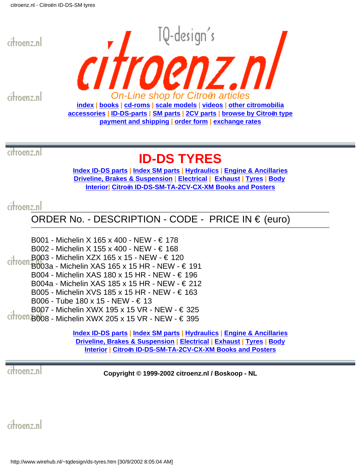<span id="page-65-0"></span>

citroenz.nl



citroenz.nl

# **ID-DS TYRES**

**[Index ID-DS parts](#page-0-0) | [Index SM parts](#page-20-0) | [Hydraulics](#page-46-0) | [Engine & Ancillaries](#page-52-0) [Driveline, Brakes & Suspension](#page-57-0) | [Electrical](#page-60-0) | [Exhaust](#page-63-0) | [Tyres](#page-65-0) | [Body](#page-66-0) [Interior|](#page-73-0) [Citroën ID-DS-SM-TA-2CV-CX-XM Books and Posters](#page-75-0)**

## citroenz.nl

ORDER No. - DESCRIPTION - CODE - PRICE IN € (euro)

B001 - Michelin X 165 x 400 - NEW - € 178 B002 - Michelin X 155 x 400 - NEW - € 168 B003 - Michelin XZX 165 x 15 - NEW - € 120  $\frac{1}{2}$  and  $\frac{1}{2}$  and  $\frac{1}{2}$  and  $\frac{1}{2}$  and  $\frac{1}{2}$  and  $\frac{1}{2}$  and  $\frac{1}{2}$  and  $\frac{1}{2}$  and  $\frac{1}{2}$  and  $\frac{1}{2}$  and  $\frac{1}{2}$  and  $\frac{1}{2}$  and  $\frac{1}{2}$  and  $\frac{1}{2}$  and  $\frac{1}{2}$  and  $\frac{1}{2}$  B004 - Michelin XAS 180 x 15 HR - NEW - € 196 B004a - Michelin XAS 185 x 15 HR - NEW - € 212 B005 - Michelin XVS 185 x 15 HR - NEW - € 163 B006 - Tube 180 x 15 - NEW - € 13 B007 - Michelin XWX 195 x 15 VR - NEW - € 325  $CITO@RB008$  - Michelin XWX 205 x 15 VR - NEW -  $\in$  395

> **[Index ID-DS parts](#page-0-0) | [Index SM parts](#page-20-0) | [Hydraulics](#page-46-0) | [Engine & Ancillaries](#page-52-0) [Driveline, Brakes & Suspension](#page-57-0) | [Electrical](#page-60-0) | [Exhaust](#page-63-0) | [Tyres](#page-65-0) | [Body](#page-66-0) [Interior](#page-73-0) | [Citroën ID-DS-SM-TA-2CV-CX-XM Books and Posters](#page-75-0)**

citroenz.nl

**Copyright © 1999-2002 citroenz.nl / Boskoop - NL**

citroenz.nl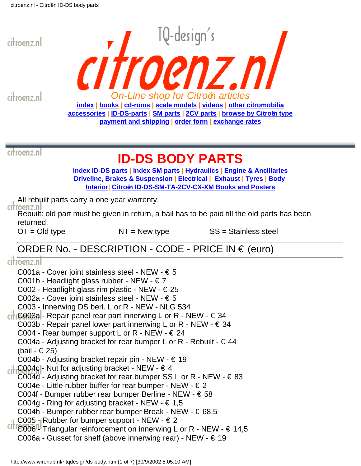<span id="page-66-0"></span>

citroenz.nl



citroenz.nl

# **ID-DS BODY PARTS**

**[Index ID-DS parts](#page-0-0) | [Index SM parts](#page-20-0) | [Hydraulics](#page-46-0) | [Engine & Ancillaries](#page-52-0) [Driveline, Brakes & Suspension](#page-57-0) | [Electrical](#page-60-0) | [Exhaust](#page-63-0) | [Tyres](#page-65-0) | [Body](#page-66-0) [Interior|](#page-73-0) [Citroën ID-DS-SM-TA-2CV-CX-XM Books and Posters](#page-75-0)**

All rebuilt parts carry a one year warrenty.

citroenz.n

Rebuilt: old part must be given in return, a bail has to be paid till the old parts has been returned.

 $OT = Old$  type  $NT = New$  type  $SS = Stainless$  steel

# ORDER No. - DESCRIPTION - CODE - PRICE IN € (euro)

| citroenz.nl                                                                                    |
|------------------------------------------------------------------------------------------------|
| C001a - Cover joint stainless steel - NEW - $\in$ 5                                            |
| C001b - Headlight glass rubber - NEW - $\in$ 7                                                 |
| C002 - Headlight glass rim plastic - NEW - € 25                                                |
| C002a - Cover joint stainless steel - NEW - € 5                                                |
| C003 - Innerwing DS berl. L or R - NEW - NLG 534                                               |
| $\epsilon$ <b>Geo3a</b> - Repair panel rear part innerwing L or R - NEW - $\epsilon$ 34        |
| C003b - Repair panel lower part innerwing L or R - NEW - € 34                                  |
| C004 - Rear bumper support L or R - NEW - $\in$ 24                                             |
| C004a - Adjusting bracket for rear bumper L or R - Rebuilt - $\in$ 44                          |
| (bail - € 25)                                                                                  |
| C004b - Adjusting bracket repair pin - NEW - $\in$ 19                                          |
| $\therefore$ C004c - Nut for adjusting bracket - NEW - $\in$ 4                                 |
| C004d - Adjusting bracket for rear bumper SS L or R - NEW - $\in$ 83                           |
| C004e - Little rubber buffer for rear bumper - NEW - $\in$ 2                                   |
| C004f - Bumper rubber rear bumper Berline - NEW - € 58                                         |
| C004g - Ring for adjusting bracket - NEW - € 1,5                                               |
| C004h - Bumper rubber rear bumper Break - NEW - € 68,5                                         |
| $\cdot$ C005 - Rubber for bumper support - NEW - $\in$ 2                                       |
| <sup>CITI</sup> C006 <sup>nl</sup> Triangular reinforcement on innerwing L or R - NEW - € 14,5 |
| C006a - Gusset for shelf (above innerwing rear) - NEW - $\in$ 19                               |
|                                                                                                |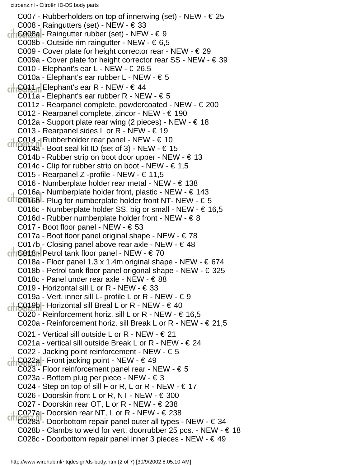C007 - Rubberholders on top of innerwing (set) - NEW -  $\in$ C008 - Raingutters (set) - NEW -  $\in$  $\leftarrow$  C008a - Raingutter rubber (set) - NEW -  $\in$ C008b - Outside rim raingutter - NEW -  $\in 6.5$ C009 - Cover plate for height corrector rear - NEW -  $\in$ C009a - Cover plate for height corrector rear SS - NEW -  $\in$ C010 - Elephant's ear L - NEW -  $\in$  26,5 C010a - Elephant's ear rubber L - NEW - € 5  $\frac{1}{C}$ C011 - Elephant's ear R - NEW - € 44 C011a - Elephant's ear rubber R - NEW -  $\epsilon$ C011z - Rearpanel complete, powdercoated - NEW -  $\in$ C012 - Rearpanel complete, zincor - NEW - € 190 C012a - Support plate rear wing (2 pieces) - NEW -  $\in$ C013 - Rearpanel sides L or R - NEW -  $\in$ C014 - Rubberholder rear panel - NEW -  $\in$  $C1166148 -$  Boot seal kit ID (set of 3) - NEW -  $\in$ C014b - Rubber strip on boot door upper - NEW -  $\in$ C014c - Clip for rubber strip on boot - NEW -  $\in 1,5$ C015 - Rearpanel Z -profile - NEW - € 11,5 C016 - Numberplate holder rear metal - NEW -  $\in$ C016a - Numberplate holder front, plastic - NEW -  $\in$ CITC016b- Plug for numberplate holder front NT- NEW -  $\epsilon$ C016c - Numberplate holder SS, big or small - NEW -  $\in$  16,5 C016d - Rubber numberplate holder front - NEW -  $\in$ C017 - Boot floor panel - NEW -  $\in$ C017a - Boot floor panel original shape - NEW -  $\in$ C017b - Closing panel above rear axle - NEW -  $\in$  $\frac{1}{\sqrt{2}}$  C018 - Petrol tank floor panel - NEW -  $\in$ C018a - Floor panel 1.3 x 1.4m original shape - NEW -  $\in$ C018b - Petrol tank floor panel origonal shape - NEW - € 325 C018c - Panel under rear axle - NEW - € 88 C019 - Horizontal sill L or R - NEW -  $\in$ C019a - Vert. inner sill L- profile L or R - NEW -  $\in$  $\frac{1}{C}$ C019h - Horizontal sill Breal L or R - NEW -  $\in$ C020 - Reinforcement horiz. sill L or R - NEW -  $\in$  16,5 C020a - Reinforcement horiz. sill Break L or R - NEW -  $\in$  21,5 C021 - Vertical sill outside L or R - NEW -  $\in$ C021a - vertical sill outside Break L or R - NEW -  $\in$ C022 - Jacking point reinforcement - NEW - € 5 C022a - Front jacking point - NEW - € 49 C023 - Floor reinforcement panel rear - NEW -  $\epsilon$ C023a - Bottem plug per piece - NEW - € 3 C024 - Step on top of sill F or R, L or R - NEW -  $\in$ C026 - Doorskin front L or R, NT - NEW -  $\in$ C027 - Doorskin rear OT, L or R - NEW -  $\in$ LC027a - Doorskin rear NT, L or R - NEW - € 238  $C116628a -$  Doorbottom repair panel outer all types - NEW -  $\in$ C028b - Clambs to weld for vert. doorrubber 25 pcs. - NEW -  $\in$ C028c - Doorbottom repair panel inner 3 pieces - NEW -  $\in$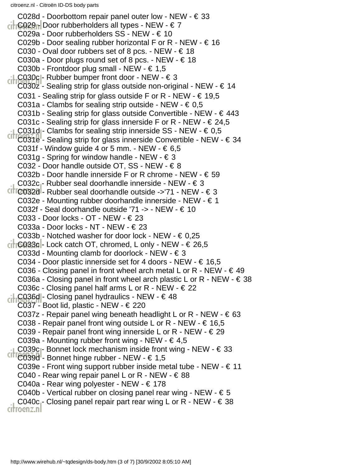C028d - Doorbottom repair panel outer low - NEW -  $\in$  33  $-$  C029 Door rubberholders all types - NEW -  $\in$  7 C029a - Door rubberholders SS - NEW - € 10 C029b - Door sealing rubber horizontal F or R - NEW -  $\in$  16 C030 - Oval door rubbers set of 8 pcs. - NEW -  $\in$  18 C030a - Door plugs round set of 8 pcs. - NEW -  $\in$  18 C030b - Frontdoor plug small - NEW -  $\in$  1,5 LC030c|- Rubber bumper front door - NEW - € 3 C030z - Sealing strip for glass outside non-original - NEW -  $\in$  14 C031 - Sealing strip for glass outside F or R - NEW -  $\in$  19,5 C031a - Clambs for sealing strip outside - NEW -  $\epsilon$  0,5 C031b - Sealing strip for glass outside Convertible - NEW -  $\in$  443 C031c - Sealing strip for glass innerside F or R - NEW -  $\in$  24,5 C031d - Clambs for sealing strip innerside SS - NEW -  $\in 0.5$  $C11C031e^{-C}$  Sealing strip for glass innerside Convertible - NEW -  $\in$  34 C031f - Window guide 4 or 5 mm. - NEW -  $\in 6,5$ C031g - Spring for window handle - NEW -  $\in$  3 C032 - Door handle outside OT, SS - NEW - € 8 C032b - Door handle innerside F or R chrome - NEW -  $\epsilon$  59 C032c - Rubber seal doorhandle innerside - NEW - € 3  $C110032d$  - Rubber seal doorhandle outside ->'71 - NEW -  $\in$  3 C032e - Mounting rubber doorhandle innerside - NEW - € 1 C032f - Seal doorhandle outside '71 -> - NEW - € 10 C033 - Door locks - OT - NEW - € 23 C033a - Door locks - NT - NEW - € 23 C033b - Notched washer for door lock - NEW -  $\in 0.25$  $\frac{1}{16033c}$  - Lock catch OT, chromed, L only - NEW -  $\in$  26,5 C033d - Mounting clamb for doorlock - NEW -  $\in$  3 C034 - Door plastic innerside set for 4 doors - NEW -  $\in$  16,5 C036 - Closing panel in front wheel arch metal L or R - NEW -  $\in$  49 C036a - Closing panel in front wheel arch plastic L or R - NEW -  $\in$  38 C036c - Closing panel half arms L or R - NEW -  $\in$  22 ci-C036d - Closing panel hydraulics - NEW - € 48 C037 - Boot lid, plastic - NEW -  $\in$  220 C037z - Repair panel wing beneath headlight L or R - NEW -  $\in$  63 C038 - Repair panel front wing outside L or R - NEW -  $\in$  16,5 C039 - Repair panel front wing innerside L or R - NEW -  $\in$  29 C039a - Mounting rubber front wing - NEW -  $\in$  4,5 C039c<sub>1</sub>- Bonnet lock mechanism inside front wing - NEW -  $\in$  33 CITIC039d<sup>1</sup>- Bonnet hinge rubber - NEW - € 1,5 C039e - Front wing support rubber inside metal tube - NEW -  $\in$  11 C040 - Rear wing repair panel L or R - NEW -  $\in$  88 C040a - Rear wing polyester - NEW - € 178 C040b - Vertical rubber on closing panel rear wing - NEW -  $\in$  5 C040c - Closing panel repair part rear wing L or R - NEW -  $\in$  38 citroenz.nl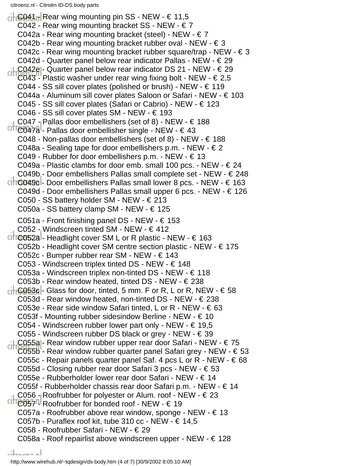$\frac{1}{100}$  C041  $\frac{1}{10}$  Rear wing mounting pin SS - NEW -  $\in$  11,5 C042 - Rear wing mounting bracket SS - NEW -  $\epsilon$  7 C042a - Rear wing mounting bracket (steel) - NEW -  $\in$  7 C042b - Rear wing mounting bracket rubber oval - NEW -  $\in$  3 C042c - Rear wing mounting bracket rubber square/trap - NEW -  $\in$  3 C042d - Quarter panel below rear indicator Pallas - NEW -  $\in$  29 LC042e - Quarter panel below rear indicator DS 21 - NEW - € 29 C043" Plastic washer under rear wing fixing bolt - NEW -  $\in$  2,5 C044 - SS sill cover plates (polished or brush) - NEW -  $\in$  119 C044a - Aluminum sill cover plates Saloon or Safari - NEW - € 103 C045 - SS sill cover plates (Safari or Cabrio) - NEW -  $\in$  123 C046 - SS sill cover plates SM - NEW - € 193 C047 - Pallas door embellishers (set of 8) - NEW -  $\in$  188  $C11C047a<sup>1</sup>$ - Pallas door embellisher single - NEW -  $\in$  43 C048 - Non-pallas door embellishers (set of 8) - NEW -  $\in$  188 C048a - Sealing tape for door embellishers p.m. - NEW -  $\in$  2 C049 - Rubber for door embellishers p.m. - NEW - € 13 C049a - Plastic clambs for door emb. small 100 pcs. - NEW -  $\in$  24 C049b - Door embellishers Pallas small complete set - NEW -  $\in$  248  $\left| \right|$  C049c - Door embellishers Pallas small lower 8 pcs. - NEW -  $\in$  163 C049d - Door embellishers Pallas small upper 6 pcs. - NEW - € 126 C050 - SS battery holder SM - NEW - € 213 C050a - SS battery clamp SM - NEW -  $\in$  125 C051a - Front finishing panel DS - NEW -  $\in$  153 C052 - Windscreen tinted SM - NEW - € 412 CITIC052al- Headlight cover SM L or R plastic - NEW -  $\in$  163 C052b - Headlight cover SM centre section plastic - NEW - € 175 C052c - Bumper rubber rear SM - NEW - € 143 C053 - Windscreen triplex tinted DS - NEW -  $\in$  148 C053a - Windscreen triplex non-tinted DS - NEW - € 118 C053b - Rear window heated, tinted DS - NEW -  $\in$  238  $\left| \int \cos 3\theta \right|$  Glass for door, tinted, 5 mm. F or R, L or R, NEW -  $\in$  58 C053d - Rear window heated, non-tinted DS - NEW -  $\in$  238 C053e - Rear side window Safari tinted, L or R - NEW -  $\in$  63 C053f - Mounting rubber sidesindow Berline - NEW -  $\in$  10 C054 - Windscreen rubber lower part only - NEW -  $\in$  19,5 C055 - Windscreen rubber DS black or grey - NEW - € 39 LC055a - Rear window rubber upper rear door Safari - NEW - € 75 C055b - Rear window rubber quarter panel Safari grey - NEW - € 53 C055c - Repair panels quarter panel Saf. 4 pcs L or R - NEW -  $\in$  68 C055d - Closing rubber rear door Safari 3 pcs - NEW - € 53 C055e - Rubberholder lower rear door Safari - NEW - € 14 C055f - Rubberholder chassis rear door Safari p.m. - NEW - € 14 C056 - Roofrubber for polyester or Alum. roof - NEW -  $\in$  23  $C\Pi$ <sup>C057</sub>  $\Pi$  Roofrubber for bonded roof - NEW -  $\in$  19</sup> C057a - Roofrubber above rear window, sponge - NEW - € 13 C057b - Puraflex roof kit, tube 310 cc - NEW -  $\in$  14,5 C058 - Roofrubber Safari - NEW - € 29 C058a - Roof repairlist above windscreen upper - NEW - € 128

http://www.wirehub.nl/~tqdesign/ds-body.htm (4 of 7) [30/9/2002 8:05:10 AM]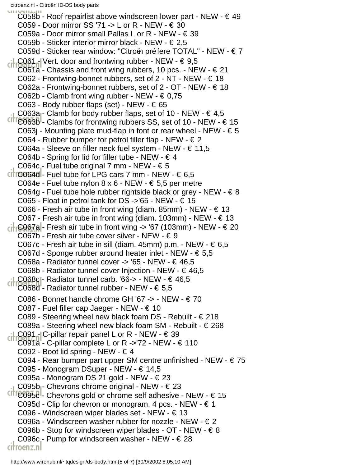C058b - Roof repairlist above windscreen lower part - NEW -  $\in$  49 C059 - Door mirror SS '71 -> L or R - NEW -  $\in$  30 C059a - Door mirror small Pallas L or R - NEW -  $\in$  39 C059b - Sticker interior mirror black - NEW - € 2,5 C059d - Sticker rear window: "Citroën préfere TOTAL" - NEW - € 7 LC061 - Vert. door and frontwing rubber - NEW -  $\in$  9,5 C061a - Chassis and front wing rubbers, 10 pcs. - NEW -  $\in$  21 C062 - Frontwing-bonnet rubbers, set of  $2$  - NT - NEW -  $\in$  18 C062a - Frontwing-bonnet rubbers, set of  $2$  - OT - NEW -  $\in$  18 C062b - Clamb front wing rubber - NEW -  $\in 0.75$ C063 - Body rubber flaps (set) - NEW -  $\in$  65 C063a - Clamb for body rubber flaps, set of 10 - NEW -  $\in$  4,5  $CIO63B<sup>1</sup>$ - Clambs for frontwing rubbers SS, set of 10 - NEW -  $\in$  15 C063j - Mounting plate mud-flap in font or rear wheel - NEW -  $\in$  5 C064 - Rubber bumper for petrol filler flap - NEW - € 2 C064a - Sleeve on filler neck fuel system - NEW -  $\in$  11,5 C064b - Spring for lid for filler tube - NEW -  $\in$  4 C064c - Fuel tube original 7 mm - NEW -  $\in$  5  $\left| \right|$  C064d - Fuel tube for LPG cars 7 mm - NEW -  $\in 6.5$ C064e - Fuel tube nylon  $8 \times 6$  - NEW -  $6 \in 5,5$  per metre C064g - Fuel tube hole rubber rightside black or grey - NEW -  $\in$  8 C065 - Float in petrol tank for DS ->'65 - NEW -  $\in$  15 C066 - Fresh air tube in front wing (diam. 85mm) - NEW -  $\in$  13 C067 - Fresh air tube in front wing (diam. 103mm) - NEW -  $\in$  13  $\frac{1}{10000}$  - Fresh air tube in front wing -> '67 (103mm) - NEW -  $\in$  20 C067b - Fresh air tube cover silver - NEW - € 9 C067c - Fresh air tube in sill (diam. 45mm) p.m. - NEW -  $\in 6,5$ C067d - Sponge rubber around heater inlet - NEW -  $\epsilon$  5,5 C068a - Radiator tunnel cover -> '65 - NEW - € 46,5 C068b - Radiator tunnel cover Injection - NEW -  $\in$  46,5 C068c - Radiator tunnel carb. '66-> - NEW -  $\in$  46,5 C068d - Radiator tunnel rubber - NEW - € 5,5 C086 - Bonnet handle chrome GH '67 -> - NEW -  $\in$  70 C087 - Fuel filler cap Jaeger - NEW - € 10 C089 - Steering wheel new black foam DS - Rebuilt -  $\in$  218 C089a - Steering wheel new black foam SM - Rebuilt - € 268 LC091 - C-pillar repair panel L or R - NEW -  $\in$  39 C091a - C-pillar complete L or R ->'72 - NEW -  $\in$  110 C092 - Boot lid spring - NEW -  $\in$  4 C094 - Rear bumper part upper SM centre unfinished - NEW -  $\epsilon$  75 C095 - Monogram DSuper - NEW - € 14,5 C095a - Monogram DS 21 gold - NEW - € 23 C095b<sub>1</sub>- Chevrons chrome original - NEW -  $\in$  23  $C17C095C<sup>1</sup>$ - Chevrons gold or chrome self adhesive - NEW -  $\in$  15 C095d - Clip for chevron or monogram, 4 pcs. - NEW -  $\in$  1 C096 - Windscreen wiper blades set - NEW - € 13 C096a - Windscreen washer rubber for nozzle - NEW - € 2 C096b - Stop for windscreen wiper blades - OT - NEW - € 8 C096c - Pump for windscreen washer - NEW -  $\in$  28 citroenz.nl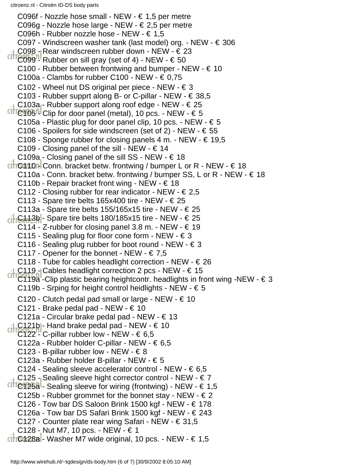C096f - Nozzle hose small - NEW -  $\in$  1,5 per metre C096g - Nozzle hose large - NEW - € 2,5 per metre C096h - Rubber nozzle hose - NEW - € 1,5 C097 - Windscreen washer tank (last model) org. - NEW - € 306 C098 - Rear windscreen rubber down - NEW -  $\in$  23  $C1176099$ <sup>n</sup> Rubber on sill gray (set of 4) - NEW -  $\in$  50 C100 - Rubber between frontwing and bumper - NEW -  $\in$  10 C100a - Clambs for rubber C100 - NEW -  $\in 0.75$ C102 - Wheel nut DS original per piece - NEW -  $\in$  3 C103 - Rubber supprt along B- or C-pillar - NEW - € 38,5 C103a<sub>1</sub>- Rubber support along roof edge - NEW -  $\in$  25  $CIITQ105$ <sup>n</sup> Clip for door panel (metal), 10 pcs. - NEW -  $\in$  5 C105a - Plastic plug for door panel clip, 10 pcs. - NEW -  $\in$  5 C106 - Spoilers for side windscreen (set of 2) - NEW -  $\in$  55 C108 - Sponge rubber for closing panels 4 m. - NEW -  $\in$  19,5 C109 - Closing panel of the sill - NEW -  $\in$  14 C109a - Closing panel of the sill SS - NEW -  $\in$  18  $\left| \right|$  C410 - Conn. bracket betw. frontwing / bumper L or R - NEW -  $\in$  18 C110a - Conn. bracket betw. frontwing / bumper SS, L or R - NEW -  $\in$  18 C110b - Repair bracket front wing - NEW - € 18 C112 - Closing rubber for rear indicator - NEW -  $\in$  2,5 C113 - Spare tire belts 165x400 tire - NEW -  $\in$  25 C113a - Spare tire belts 155/165x15 tire - NEW -  $\in$  25  $\frac{1}{16}$ C113b - Spare tire belts 180/185x15 tire - NEW -  $\in$  25 C114 - Z-rubber for closing panel 3.8 m. - NEW -  $\in$  19 C115 - Sealing plug for floor cone form - NEW -  $\in$  3 C116 - Sealing plug rubber for boot round - NEW -  $\in$  3 C117 - Opener for the bonnet - NEW -  $\in 7,5$ C118 - Tube for cables headlight correction - NEW -  $\in$  26  $\cdot$  C119 - Cables headlight correction 2 pcs - NEW -  $\in$  15  $C119a$  -Clip plastic bearing heightcontr. headlights in front wing -NEW -  $\in$  3 C119b - Srping for height control heidlights - NEW -  $\in$  5 C120 - Clutch pedal pad small or large - NEW -  $\in$  10 C121 - Brake pedal pad - NEW -  $\in$  10 C121a - Circular brake pedal pad - NEW -  $\in$  13 LC121b - Hand brake pedal pad - NEW - € 10 C122 - C-pillar rubber low - NEW -  $\in 6,5$ C122a - Rubber holder C-pillar - NEW -  $\in 6,5$ C123 - B-pillar rubber low - NEW -  $\in$  8 C123a - Rubber holder B-pillar - NEW - € 5 C124 - Sealing sleeve accelerator control - NEW -  $\in 6,5$ C125 - Sealing sleeve hight corrector control - NEW - € 7 CITIC125a - Sealing sleeve for wiring (frontwing) - NEW -  $\in$  1,5 C125b - Rubber grommet for the bonnet stay - NEW -  $\in$  2 C126 - Tow bar DS Saloon Brink 1500 kgf - NEW -  $\in$  178 C126a - Tow bar DS Safari Brink 1500 kgf - NEW -  $\in$  243 C127 - Counter plate rear wing Safari - NEW - € 31,5 C128 - Nut M7, 10 pcs. - NEW - € 1  $C1$ <sup>O428a</sub> - Washer M7 wide original, 10 pcs. - NEW -  $\in$  1,5</sup>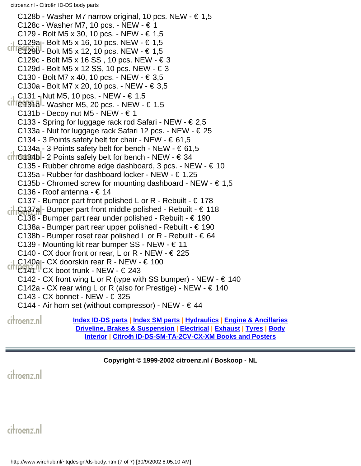C128b - Washer M7 narrow original, 10 pcs. NEW -  $\in$  1,5 C128c - Washer M7, 10 pcs. - NEW - € 1 C129 - Bolt M5 x 30, 10 pcs. - NEW - € 1,5 C129a - Bolt M5 x 16, 10 pcs. NEW -  $\in$  1,5  $C1TC129B$  - Bolt M5 x 12, 10 pcs. NEW - € 1,5 C129c - Bolt M5 x 16 SS, 10 pcs. NEW -  $\in$  3 C129d - Bolt M5 x 12 SS, 10 pcs. NEW - € 3 C130 - Bolt M7 x 40, 10 pcs. - NEW - € 3,5 C130a - Bolt M7 x 20, 10 pcs. - NEW - € 3,5 C131 - Nut M5, 10 pcs. - NEW -  $\in$  1,5 CITIC131a - Washer M5, 20 pcs. - NEW -  $\in$  1,5 C131b - Decoy nut M5 - NEW -  $\in$  1 C133 - Spring for luggage rack rod Safari - NEW - € 2,5 C133a - Nut for luggage rack Safari 12 pcs. - NEW - € 25 C134 - 3 Points safety belt for chair - NEW -  $\in$  61,5 C134a - 3 Points safety belt for bench - NEW -  $\in 61,5$  $\left| \right|$  G134b - 2 Points safely belt for bench - NEW -  $\in$  34 C135 - Rubber chrome edge dashboard, 3 pcs. - NEW - € 10 C135a - Rubber for dashboard locker - NEW - € 1,25 C135b - Chromed screw for mounting dashboard - NEW -  $\in 1,5$ C136 - Roof antenna - € 14 C137 - Bumper part front polished L or R - Rebuilt -  $\in$  178 C137a - Bumper part front middle polished - Rebuilt - € 118 C138 - Bumper part rear under polished - Rebuilt -  $\in$  190 C138a - Bumper part rear upper polished - Rebuilt -  $\in$  190 C138b - Bumper roset rear polished L or R - Rebuilt -  $\in$  64 C139 - Mounting kit rear bumper SS - NEW - € 11 C140 - CX door front or rear, L or R - NEW -  $\in$  225 C140a - CX doorskin rear R - NEW -  $\in$  100  $C11$ <sup> $C1$ </sup> $C1$ <sup> $C1$ </sup> $C2$  boot trunk - NEW -  $\in$  243 C142 - CX front wing L or R (type with SS bumper) - NEW -  $\in$  140 C142a - CX rear wing L or R (also for Prestige) - NEW -  $\in$  140 C143 - CX bonnet - NEW -  $\in$  325 C144 - Air horn set (without compressor) - NEW -  $\in$  44 citroenz.nl **[Index ID-DS parts](#page-0-0) | [Index SM parts](#page-20-0) | [Hydraulics](#page-46-0) | [Engine & Ancillaries](#page-52-0) [Driveline, Brakes & Suspension](#page-57-0) | [Electrical](#page-60-0) | [Exhaust](#page-63-0) | [Tyres](#page-65-0) | [Body](#page-66-0)**

**[Interior](#page-73-0) | [Citroën ID-DS-SM-TA-2CV-CX-XM Books and Posters](#page-75-0)**

**Copyright © 1999-2002 citroenz.nl / Boskoop - NL**

citroenz.nl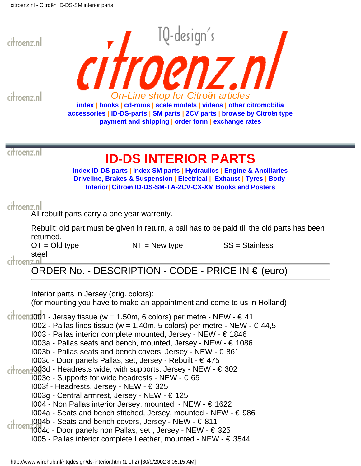<span id="page-73-0"></span>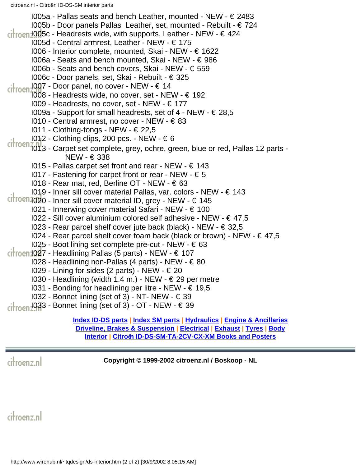$1005a$  - Pallas seats and bench Leather, mounted - NEW -  $\in$  2483 I005b - Door panels Pallas Leather, set, mounted - Rebuilt - € 724  $\frac{1005}{1000}$  - Headrests wide, with supports, Leather - NEW -  $\in$  424 I005d - Central armrest, Leather - NEW - € 175 I006 - Interior complete, mounted, Skai - NEW - € 1622 I006a - Seats and bench mounted, Skai - NEW - € 986 I006b - Seats and bench covers, Skai - NEW - € 559 I006c - Door panels, set, Skai - Rebuilt - € 325 I007 - Door panel, no cover - NEW - € 14  $\frac{1007}{1008}$  - Door paner, no set ......<br>Toos - Headrests wide, no cover, set - NEW -  $\epsilon$  192 I009 - Headrests, no cover, set - NEW - € 177  $1009a$  - Support for small headrests, set of 4 - NEW -  $\in$  28,5 I010 - Central armrest, no cover - NEW - € 83 I011 - Clothing-tongs - NEW - € 22,5 I012 - Clothing clips, 200 pcs. - NEW - € 6 citroen<sub>1013</sub> - Carpet set complete, grey, ochre, green, blue or red, Pallas 12 parts - NEW - € 338 I015 - Pallas carpet set front and rear - NEW - € 143  $1017$  - Fastening for carpet front or rear - NEW -  $\epsilon$  5 I018 - Rear mat, red, Berline OT - NEW - € 63 I019 - Inner sill cover material Pallas, var. colors - NEW - € 143  $\frac{1}{100}$  - Inner sill cover material ID, grey - NEW -  $\in$  145 I021 - Innerwing cover material Safari - NEW - € 100  $1022$  - Sill cover aluminium colored self adhesive - NEW -  $\in$  47,5 I023 - Rear parcel shelf cover jute back (black) - NEW - € 32,5 I024 - Rear parcel shelf cover foam back (black or brown) - NEW - € 47,5  $1025$  - Boot lining set complete pre-cut - NEW -  $\in 63$  $\frac{1}{100}$  1027 - Headlining Pallas (5 parts) - NEW -  $\in$  107 I028 - Headlining non-Pallas (4 parts) - NEW - € 80 I029 - Lining for sides (2 parts) - NEW - € 20 I030 - Headlining (width 1.4 m.) - NEW - € 29 per metre I031 - Bonding for headlining per litre - NEW - € 19,5 I032 - Bonnet lining (set of 3) - NT- NEW - € 39  $1033$  - Bonnet lining (set of 3) - OT - NEW -  $\in$  39

citroen

**[Index ID-DS parts](#page-0-0) | [Index SM parts](#page-20-0) | [Hydraulics](#page-46-0) | [Engine & Ancillaries](#page-52-0) [Driveline, Brakes & Suspension](#page-57-0) | [Electrical](#page-60-0) | [Exhaust](#page-63-0) | [Tyres](#page-65-0) | [Body](#page-66-0) [Interior](#page-73-0) | [Citroën ID-DS-SM-TA-2CV-CX-XM Books and Posters](#page-75-0)**

citroenz.nl

**Copyright © 1999-2002 citroenz.nl / Boskoop - NL**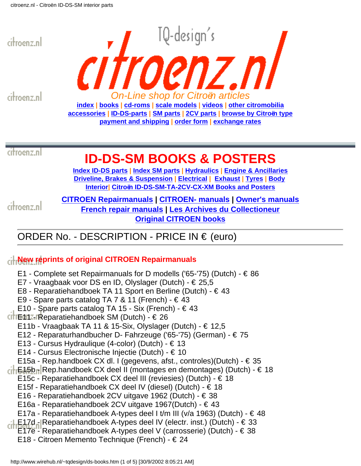<span id="page-75-0"></span>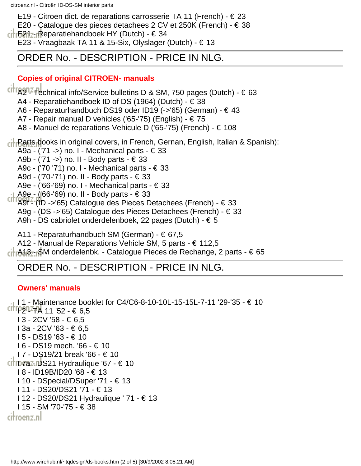E19 - Citroen dict. de reparations carrosserie TA 11 (French) -  $\in$  23

E20 - Catalogue des pieces detachees 2 CV et 250K (French) - € 38

 $\frac{1}{16}$  E21 - Reparatiehandboek HY (Dutch) - € 34

E23 - Vraagbaak TA 11 & 15-Six, Olyslager (Dutch) - € 13

## ORDER No. - DESCRIPTION - PRICE IN NLG.

#### **Copies of original CITROEN- manuals**

 $Citr$   $\alpha$ <sup>1</sup> Technical info/Service bulletins D & SM, 750 pages (Dutch) -  $\epsilon$  63

A4 - Reparatiehandboek ID of DS (1964) (Dutch) - € 38

A6 - Reparaturhandbuch DS19 oder ID19 (->'65) (German) - € 43

A7 - Repair manual D vehicles ('65-'75) (English) - € 75

A8 - Manuel de reparations Vehicule D ('65-'75) (French) - € 108

**Parts books in original covers, in French, Gernan, English, Italian & Spanish):** 

A9a - ('71 ->) no. I - Mechanical parts - € 33

A9b - ('71 ->) no. II - Body parts - € 33

A9c - ('70 '71) no. I - Mechanical parts - € 33

A9d - ('70-'71) no. II - Body parts - € 33

A9e - ('66-'69) no. I - Mechanical parts - € 33

A9e - ('66-'69) no. II - Body parts - € 33

A9f - (ID ->'65) Catalogue des Pieces Detachees (French) - € 33

A9g - (DS ->'65) Catalogue des Pieces Detachees (French) - € 33

A9h - DS cabriolet onderdelenboek, 22 pages (Dutch) - € 5

A11 - Reparaturhandbuch SM (German) - € 67,5

A12 - Manual de Reparations Vehicle SM, 5 parts - € 112,5

A13 - SM onderdelenbk. - Catalogue Pieces de Rechange, 2 parts - € 65

## ORDER No. - DESCRIPTION - PRICE IN NLG.

### **Owners' manuals**

**I** 1 - Maintenance booklet for C4/C6-8-10-10L-15-15L-7-11 '29-'35 - € 10 I 2 - TA 11 '52 - € 6,5 I 3 - 2CV '58 - € 6,5 I 3a - 2CV '63 - € 6,5 I 5 - DS19 '63 - € 10 I 6 - DS19 mech. '66 - € 10 I 7 - DS19/21 break '66 - € 10  $C$   $\overline{CD}$   $\overline{C}$   $\overline{CD}$   $\overline{C}$   $\overline{C}$   $\overline{D}$   $\overline{C}$   $\overline{C}$   $\overline{D}$   $\overline{C}$   $\overline{C}$   $\overline{D}$   $\overline{C}$   $\overline{C}$   $\overline{D}$   $\overline{C}$   $\overline{C}$   $\overline{D}$   $\overline{C}$   $\overline{C}$   $\overline{D}$   $\overline{C}$   $\overline{D}$   $\overline{C}$  I 8 - ID19B/ID20 '68 - € 13 I 10 - DSpecial/DSuper '71 - € 13 I 11 - DS20/DS21 '71 - € 13 I 12 - DS20/DS21 Hydraulique ' 71 - € 13 I 15 - SM '70-'75 - € 38 citroenz.nl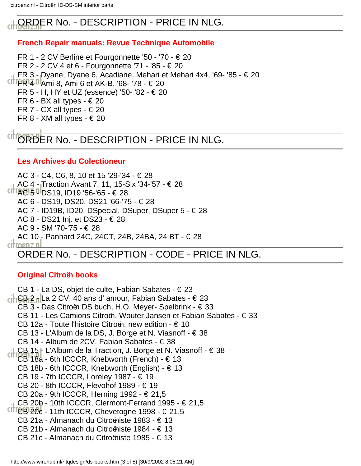# ORDER No. - DESCRIPTION - PRICE IN NLG.

## **French Repair manuals: Revue Technique Automobile**

FR 1 - 2 CV Berline et Fourgonnette '50 - '70 - € 20 FR 2 - 2 CV 4 et 6 - Fourgonnette '71 - '85 - € 20 FR 3 - Dyane, Dyane 6, Acadiane, Mehari et Mehari 4x4, '69- '85 - € 20 FR 4 - Ami 8, Ami 6 et AK-B, '68- '78 - € 20 FR 5 - H, HY et UZ (essence) '50- '82 - € 20 FR 6 - BX all types -  $\in$  20 FR 7 - CX all types -  $\in$  20 FR 8 - XM all types -  $\in$  20

# ORDER No. - DESCRIPTION - PRICE IN NLG.

## **Les Archives du Colectioneur**

AC 3 - C4, C6, 8, 10 et 15 '29-'34 - € 28 AC 4 - Traction Avant 7, 11, 15-Six '34-'57 - € 28  $CITAG$  5  $P$  DS19, ID19 '56-'65 -  $\in$  28 AC 6 - DS19, DS20, DS21 '66-'75 - € 28 AC 7 - ID19B, ID20, DSpecial, DSuper, DSuper 5 - € 28 AC 8 - DS21 Inj. et DS23 - € 28 AC 9 - SM '70-'75 - € 28 AC 10 - Panhard 24C, 24CT, 24B, 24BA, 24 BT - € 28 citroenz n ORDER No. - DESCRIPTION - CODE - PRICE IN NLG.

## **Original Citroën books**

CB 1 - La DS, objet de culte, Fabian Sabates - € 23  $\frac{1}{16}$ CB 2 <sub>n</sub> La 2 CV, 40 ans d' amour, Fabian Sabates - € 23 CB 3 - Das Citroën DS buch, H.O. Meyer- Spelbrink - € 33 CB 11 - Les Camions Citroën, Wouter Jansen et Fabian Sabates - € 33 CB 12a - Toute l'histoire Citroën, new edition - € 10 CB 13 - L'Album de la DS, J. Borge et N. Viasnoff - € 38 CB 14 - Album de 2CV, Fabian Sabates - € 38 LCB 15 - L'Album de la Traction, J. Borge et N. Viasnoff - € 38 CB 18a - 6th ICCCR, Knebworth (French) - € 13 CB 18b - 6th ICCCR, Knebworth (English) - € 13 CB 19 - 7th ICCCR, Loreley 1987 - € 19 CB 20 - 8th ICCCR, Flevohof 1989 - € 19 CB 20a - 9th ICCCR, Herning 1992 - € 21,5 CB 20b - 10th ICCCR, Clermont-Ferrand 1995 - € 21,5  $CITCBI20c - 11th$  ICCCR, Chevetogne 1998 -  $\in$  21,5 CB 21a - Almanach du Citroëniste 1983 - € 13 CB 21b - Almanach du Citroëniste 1984 - € 13 CB 21c - Almanach du Citroëniste 1985 - € 13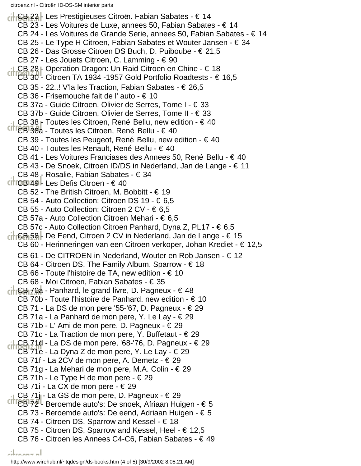CB 22 - Les Prestigieuses Citroën. Fabian Sabates - € 14 CB 23 - Les Voitures de Luxe, annees 50, Fabian Sabates - € 14 CB 24 - Les Voitures de Grande Serie, annees 50, Fabian Sabates - € 14 CB 25 - Le Type H Citroen, Fabian Sabates et Wouter Jansen - € 34 CB 26 - Das Grosse Citroen DS Buch, D. Puiboube - € 21,5 CB 27 - Les Jouets Citroen, C. Lamming - € 90 CB 28 - Operation Dragon: Un Raid Citroen en Chine - € 18 CB 30 - Citroen TA 1934 -1957 Gold Portfolio Roadtests - € 16,5 CB 35 - 22..! V'la les Traction, Fabian Sabates - € 26,5 CB 36 - Frisemouche fait de l' auto - € 10 CB 37a - Guide Citroen. Olivier de Serres, Tome I - € 33 CB 37b - Guide Citroen, Olivier de Serres, Tome II - € 33 CB 38  $\Gamma$  Toutes les Citroen, René Bellu, new edition -  $\epsilon$  40 CB 38a - Toutes les Citroen, René Bellu - € 40 CB 39 - Toutes les Peugeot, René Bellu, new edition - € 40 CB 40 - Toutes les Renault, René Bellu - € 40 CB 41 - Les Voitures Franciases des Annees 50, René Bellu - € 40 CB 43 - De Snoek, Citroen ID/DS in Nederland, Jan de Lange - € 11 CB 48 - Rosalie, Fabian Sabates - € 34 CB 49 - Les Defis Citroen - € 40 CB 52 - The British Citroen, M. Bobbitt - € 19 CB 54 - Auto Collection: Citroen DS 19 - € 6,5 CB 55 - Auto Collection: Citroen 2 CV -  $\in 6,5$ CB 57a - Auto Collection Citroen Mehari - € 6,5 CB 57c - Auto Collection Citroen Panhard, Dyna Z, PL17 - € 6,5  $\left| \int_{0}^{1}$  GB 58 - De Eend, Citroen 2 CV in Nederland, Jan de Lange -  $\in$  15 CB 60 - Herinneringen van een Citroen verkoper, Johan Krediet - € 12,5 CB 61 - De CITROEN in Nederland, Wouter en Rob Jansen - € 12 CB 64 - Citroen DS, The Family Album. Sparrow -  $\in$  18 CB 66 - Toute l'histoire de TA, new edition -  $\in$  10 CB 68 - Moi Citroen, Fabian Sabates - € 35  $\overline{\text{ch}}$  GB 70a - Panhard, le grand livre, D. Pagneux -  $\in$  48 CB 70b - Toute l'histoire de Panhard. new edition -  $\in$  10 CB 71 - La DS de mon pere '55-'67, D. Pagneux - € 29 CB 71a - La Panhard de mon pere, Y. Le Lay - € 29 CB 71b - L' Ami de mon pere, D. Pagneux - € 29 CB 71c - La Traction de mon pere, Y. Buffetaut -  $\in$  29  $\frac{1}{100}$   $\frac{1}{100}$   $\frac{1}{210}$  - La DS de mon pere, '68-'76, D. Pagneux -  $\in$  29 CB 71e - La Dyna Z de mon pere, Y. Le Lay -  $\in$  29 CB 71f - La 2CV de mon pere, A. Demetz -  $\in$  29 CB 71g - La Mehari de mon pere, M.A. Colin - € 29 CB 71h - Le Type H de mon pere -  $\in$  29 CB 71i - La CX de mon pere - € 29 CB 71j - La GS de mon pere, D. Pagneux - € 29 CITICBI72<sup>1</sup> Beroemde auto's: De snoek, Afriaan Huigen - € 5 CB 73 - Beroemde auto's: De eend, Adriaan Huigen - € 5 CB 74 - Citroen DS, Sparrow and Kessel - € 18 CB 75 - Citroen DS, Sparrow and Kessel, Heel - € 12,5 CB 76 - Citroen les Annees C4-C6, Fabian Sabates - € 49 المعممعانة

http://www.wirehub.nl/~tqdesign/ds-books.htm (4 of 5) [30/9/2002 8:05:21 AM]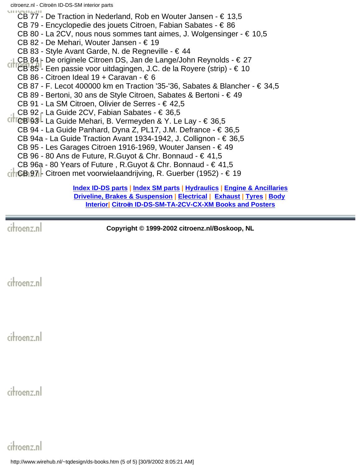CB 77 - De Traction in Nederland, Rob en Wouter Jansen - € 13,5 CB 79 - Encyclopedie des jouets Citroen, Fabian Sabates - € 86 CB 80 - La 2CV, nous nous sommes tant aimes, J. Wolgensinger - € 10,5 CB 82 - De Mehari, Wouter Jansen - € 19 CB 83 - Style Avant Garde, N. de Regneville - € 44 CB 84 <sub>r</sub> De originele Citroen DS, Jan de Lange/John Reynolds - € 27 CITTEB 85<sup>1</sup> Een passie voor uitdagingen, J.C. de la Royere (strip) - € 10 CB 86 - Citroen Ideal 19 + Caravan -  $\in$  6 CB 87 - F. Lecot 400000 km en Traction '35-'36, Sabates & Blancher - € 34,5 CB 89 - Bertoni, 30 ans de Style Citroen, Sabates & Bertoni - € 49 CB 91 - La SM Citroen, Olivier de Serres - € 42,5 CB 92 - La Guide 2CV, Fabian Sabates - € 36,5 CITICB 93 - La Guide Mehari, B. Vermeyden & Y. Le Lay -  $\in$  36,5 CB 94 - La Guide Panhard, Dyna Z, PL17, J.M. Defrance - € 36,5 CB 94a - La Guide Traction Avant 1934-1942, J. Collignon -  $\in$  36,5 CB 95 - Les Garages Citroen 1916-1969, Wouter Jansen - € 49 CB 96 - 80 Ans de Future, R.Guyot & Chr. Bonnaud - € 41,5 CB 96a - 80 Years of Future, R.Guyot & Chr. Bonnaud -  $\in$  41,5 CB 97 - Citroen met voorwielaandrijving, R. Guerber (1952) - € 19

**[Index ID-DS parts](#page-0-0) | [Index SM parts](#page-20-0) | [Hydraulics](#page-46-0) | [Engine & Ancillaries](#page-52-0) [Driveline, Brakes & Suspension](#page-57-0) | [Electrical](#page-60-0) | [Exhaust](#page-63-0) | [Tyres](#page-65-0) | [Body](#page-66-0) [Interior|](#page-73-0) [Citroën ID-DS-SM-TA-2CV-CX-XM Books and Posters](#page-75-0)**

citroenz.nl

**Copyright © 1999-2002 citroenz.nl/Boskoop, NL**

citroenz.nl

citroenz.nl

citroenz.nl

citroenz.nl

http://www.wirehub.nl/~tqdesign/ds-books.htm (5 of 5) [30/9/2002 8:05:21 AM]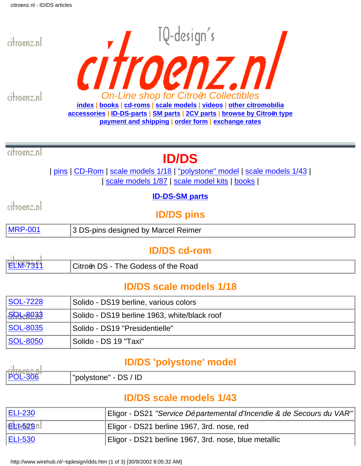

citroenz.nl



citroenz.nl

# **ID/DS**

| pins | CD-Rom | scale models 1/18 | "polystone" model | scale models 1/43 | | scale models 1/87 | scale model kits | books |

## **[ID-DS-SM parts](#page-0-0)**

citroenz.nl

**ID/DS pins**

| <b>MRP-</b><br>3 DS-pins designed by Marcel Reimer |
|----------------------------------------------------|
|----------------------------------------------------|

# **ID/DS cd-rom**

| <b>ELM-7311</b> | Citroën DS - The Godess of the Road |  |
|-----------------|-------------------------------------|--|

# **ID/DS scale models 1/18**

| <b>SOL-7228</b> | Solido - DS19 berline, various colors        |
|-----------------|----------------------------------------------|
| <b>SOL-8033</b> | Solido - DS19 berline 1963, white/black roof |
| SOL-8035        | Solido - DS19 "Presidentielle"               |
| SOL-8050        | <sup>l</sup> Solido - DS 19 "Taxi"           |

# **ID/DS 'polystone' model**

| <b>ALBRA ARE RI</b> |                                 |
|---------------------|---------------------------------|
| 11                  | $" \sim$<br>tone<br>Ħ<br>טו וטט |

# **ID/DS scale models 1/43**

| <b>ELI-230</b> | Eligor - DS21 "Service Départemental d'Incendie & de Secours du VAR" |
|----------------|----------------------------------------------------------------------|
| EL1-529n       | Eligor - DS21 berline 1967, 3rd. nose, red                           |
| <b>ELI-530</b> | Eligor - DS21 berline 1967, 3rd. nose, blue metallic                 |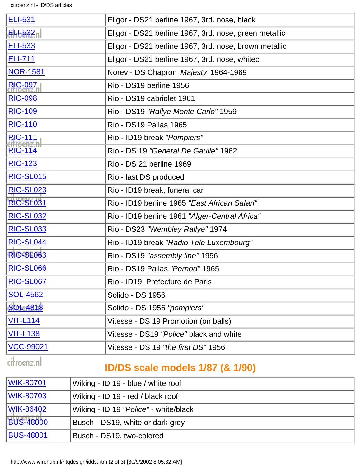citroenz.nl - ID/DS articles

| <b>ELI-531</b>   | Eligor - DS21 berline 1967, 3rd. nose, black          |
|------------------|-------------------------------------------------------|
| ELI-532          | Eligor - DS21 berline 1967, 3rd. nose, green metallic |
| <b>ELI-533</b>   | Eligor - DS21 berline 1967, 3rd. nose, brown metallic |
| <b>ELI-711</b>   | Eligor - DS21 berline 1967, 3rd. nose, whitec         |
| <b>NOR-1581</b>  | Norev - DS Chapron 'Majesty' 1964-1969                |
| <b>RIO-097</b>   | Rio - DS19 berline 1956                               |
| <b>RIO-098</b>   | Rio - DS19 cabriolet 1961                             |
| <b>RIO-109</b>   | Rio - DS19 "Rallye Monte Carlo" 1959                  |
| <b>RIO-110</b>   | <b>Rio - DS19 Pallas 1965</b>                         |
| <b>RIO-111</b>   | Rio - ID19 break "Pompiers"                           |
| <b>RIO-114</b>   | Rio - DS 19 "General De Gaulle" 1962                  |
| <b>RIO-123</b>   | Rio - DS 21 berline 1969                              |
| <b>RIO-SL015</b> | Rio - last DS produced                                |
| <b>RIO-SL023</b> | Rio - ID19 break, funeral car                         |
| <b>RIO-SL031</b> | Rio - ID19 berline 1965 "East African Safari"         |
| <b>RIO-SL032</b> | Rio - ID19 berline 1961 "Alger-Central Africa"        |
| <b>RIO-SL033</b> | Rio - DS23 "Wembley Rallye" 1974                      |
| <b>RIO-SL044</b> | Rio - ID19 break "Radio Tele Luxembourg"              |
| <b>RIO-SL063</b> | Rio - DS19 "assembly line" 1956                       |
| <b>RIO-SL066</b> | Rio - DS19 Pallas "Pernod" 1965                       |
| <b>RIO-SL067</b> | Rio - ID19, Prefecture de Paris                       |
| <b>SOL-4562</b>  | Solido - DS 1956                                      |
| <b>SOL-4818</b>  | Solido - DS 1956 "pompiers"                           |
| <b>VIT-L114</b>  | Vitesse - DS 19 Promotion (on balls)                  |
| <b>VIT-L138</b>  | Vitesse - DS19 "Police" black and white               |
| <b>VCC-99021</b> | Vitesse - DS 19 "the first DS" 1956                   |
| citroenz.nl      | <u>ID/DS</u> engla modale 1/87 (8.1/00)               |

## **ID/DS scale models 1/87 (& 1/90)**

| WIK-80701        | Wiking - ID 19 - blue / white roof    |
|------------------|---------------------------------------|
| <b>WIK-80703</b> | Wiking - ID 19 - red / black roof     |
| <b>WIK-86402</b> | Wiking - ID 19 "Police" - white/black |
| <b>BUS-48000</b> | Busch - DS19, white or dark grey      |
| <b>BUS-48001</b> | Busch - DS19, two-colored             |

http://www.wirehub.nl/~tqdesign/idds.htm (2 of 3) [30/9/2002 8:05:32 AM]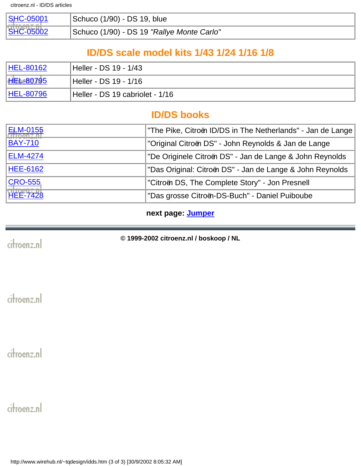| <b>SHC-05001</b> | Schuco (1/90) - DS 19, blue                |
|------------------|--------------------------------------------|
| <b>SHC-05002</b> | Schuco (1/90) - DS 19 "Rallye Monte Carlo" |

# **ID/DS scale model kits 1/43 1/24 1/16 1/8**

| <b>HEL-80162</b> | Heller - DS 19 - 1/43           |
|------------------|---------------------------------|
| <b>HEL-80795</b> | Heller - DS 19 - 1/16           |
| <b>HEL-80796</b> | Heller - DS 19 cabriolet - 1/16 |

## **ID/DS books**

| <b>ELM-0155</b> | "The Pike, Citroën ID/DS in The Netherlands" - Jan de Lange |
|-----------------|-------------------------------------------------------------|
| <b>BAY-710</b>  | "Original Citroën DS" - John Reynolds & Jan de Lange        |
| <b>ELM-4274</b> | De Originele Citroën DS" - Jan de Lange & John Reynolds     |
| <b>HEE-6162</b> | "Das Original: Citroën DS" - Jan de Lange & John Reynolds   |
| <b>CRO-555</b>  | Citroën DS, The Complete Story" - Jon Presnell              |
| <b>HEE-7428</b> | "Das grosse Citroën-DS-Buch" - Daniel Puiboube              |

**next page: [Jumper](http://www.wirehub.nl/~tqdesign/jumper.htm)**

citroenz.nl

**© 1999-2002 citroenz.nl / boskoop / NL**

citroenz.nl

citroenz.nl